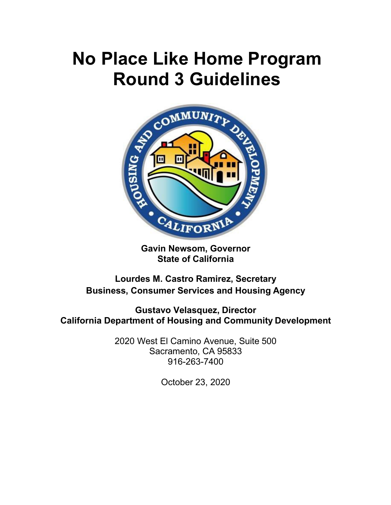# **No Place Like Home Program Round 3 Guidelines**



**Gavin Newsom, Governor State of California**

**Lourdes M. Castro Ramirez, Secretary Business, Consumer Services and Housing Agency**

**Gustavo Velasquez, Director California Department of Housing and Community Development**

> 2020 West El Camino Avenue, Suite 500 Sacramento, CA 95833 916-263-7400

> > October 23, 2020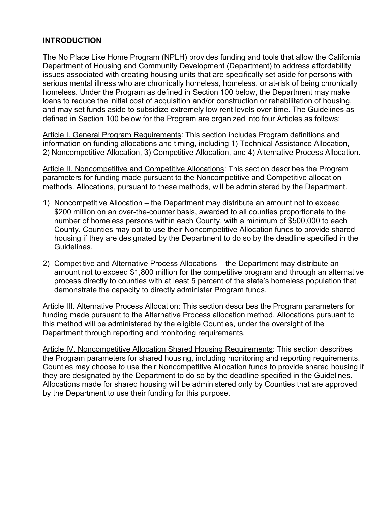#### **INTRODUCTION**

The No Place Like Home Program (NPLH) provides funding and tools that allow the California Department of Housing and Community Development (Department) to address affordability issues associated with creating housing units that are specifically set aside for persons with serious mental illness who are chronically homeless, homeless, or at-risk of being chronically homeless. Under the Program as defined in Section 100 below, the Department may make loans to reduce the initial cost of acquisition and/or construction or rehabilitation of housing, and may set funds aside to subsidize extremely low rent levels over time. The Guidelines as defined in Section 100 below for the Program are organized into four Articles as follows:

Article I. General Program Requirements: This section includes Program definitions and information on funding allocations and timing, including 1) Technical Assistance Allocation, 2) Noncompetitive Allocation, 3) Competitive Allocation, and 4) Alternative Process Allocation.

Article II. Noncompetitive and Competitive Allocations: This section describes the Program parameters for funding made pursuant to the Noncompetitive and Competitive allocation methods. Allocations, pursuant to these methods, will be administered by the Department.

- 1) Noncompetitive Allocation the Department may distribute an amount not to exceed \$200 million on an over-the-counter basis, awarded to all counties proportionate to the number of homeless persons within each County, with a minimum of \$500,000 to each County. Counties may opt to use their Noncompetitive Allocation funds to provide shared housing if they are designated by the Department to do so by the deadline specified in the Guidelines.
- 2) Competitive and Alternative Process Allocations the Department may distribute an amount not to exceed \$1,800 million for the competitive program and through an alternative process directly to counties with at least 5 percent of the state's homeless population that demonstrate the capacity to directly administer Program funds.

Article III. Alternative Process Allocation: This section describes the Program parameters for funding made pursuant to the Alternative Process allocation method. Allocations pursuant to this method will be administered by the eligible Counties, under the oversight of the Department through reporting and monitoring requirements.

Article IV. Noncompetitive Allocation Shared Housing Requirements: This section describes the Program parameters for shared housing, including monitoring and reporting requirements. Counties may choose to use their Noncompetitive Allocation funds to provide shared housing if they are designated by the Department to do so by the deadline specified in the Guidelines. Allocations made for shared housing will be administered only by Counties that are approved by the Department to use their funding for this purpose.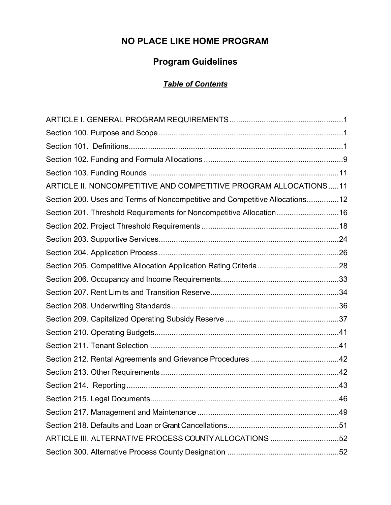# **NO PLACE LIKE HOME PROGRAM**

## **Program Guidelines**

## *Table of Contents*

| ARTICLE II. NONCOMPETITIVE AND COMPETITIVE PROGRAM ALLOCATIONS11            |  |
|-----------------------------------------------------------------------------|--|
| Section 200. Uses and Terms of Noncompetitive and Competitive Allocations12 |  |
| Section 201. Threshold Requirements for Noncompetitive Allocation16         |  |
|                                                                             |  |
|                                                                             |  |
|                                                                             |  |
|                                                                             |  |
|                                                                             |  |
|                                                                             |  |
|                                                                             |  |
|                                                                             |  |
|                                                                             |  |
|                                                                             |  |
|                                                                             |  |
|                                                                             |  |
|                                                                             |  |
|                                                                             |  |
|                                                                             |  |
|                                                                             |  |
| ARTICLE III. ALTERNATIVE PROCESS COUNTY ALLOCATIONS 52                      |  |
|                                                                             |  |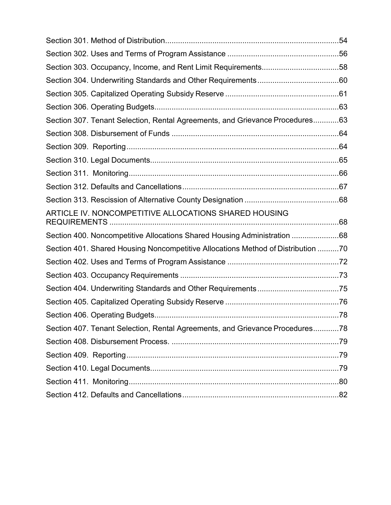| Section 303. Occupancy, Income, and Rent Limit Requirements58                    |  |
|----------------------------------------------------------------------------------|--|
|                                                                                  |  |
|                                                                                  |  |
|                                                                                  |  |
| Section 307. Tenant Selection, Rental Agreements, and Grievance Procedures63     |  |
|                                                                                  |  |
|                                                                                  |  |
|                                                                                  |  |
|                                                                                  |  |
|                                                                                  |  |
|                                                                                  |  |
| ARTICLE IV. NONCOMPETITIVE ALLOCATIONS SHARED HOUSING                            |  |
| Section 400. Noncompetitive Allocations Shared Housing Administration 68         |  |
| Section 401. Shared Housing Noncompetitive Allocations Method of Distribution 70 |  |
|                                                                                  |  |
|                                                                                  |  |
|                                                                                  |  |
|                                                                                  |  |
|                                                                                  |  |
| Section 407. Tenant Selection, Rental Agreements, and Grievance Procedures78     |  |
|                                                                                  |  |
|                                                                                  |  |
|                                                                                  |  |
|                                                                                  |  |
|                                                                                  |  |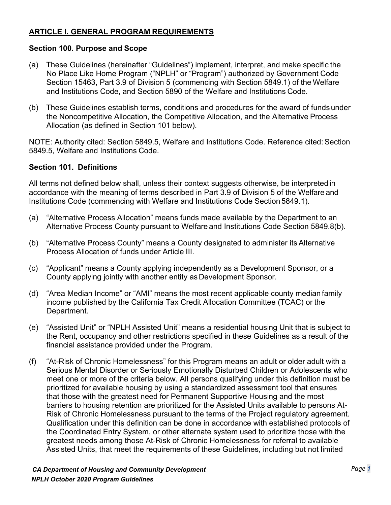#### <span id="page-4-0"></span>**ARTICLE I. GENERAL PROGRAM REQUIREMENTS**

#### <span id="page-4-1"></span>**Section 100. Purpose and Scope**

- (a) These Guidelines (hereinafter "Guidelines") implement, interpret, and make specific the No Place Like Home Program ("NPLH" or "Program") authorized by Government Code Section 15463, Part 3.9 of Division 5 (commencing with Section 5849.1) of the Welfare and Institutions Code, and Section 5890 of the Welfare and Institutions Code.
- (b) These Guidelines establish terms, conditions and procedures for the award of funds under the Noncompetitive Allocation, the Competitive Allocation, and the Alternative Process Allocation (as defined in Section 101 below).

NOTE: Authority cited: Section 5849.5, Welfare and Institutions Code. Reference cited: Section 5849.5, Welfare and Institutions Code.

#### <span id="page-4-2"></span>**Section 101. Definitions**

All terms not defined below shall, unless their context suggests otherwise, be interpreted in accordance with the meaning of terms described in Part 3.9 of Division 5 of the Welfare and Institutions Code (commencing with Welfare and Institutions Code Section 5849.1).

- (a) "Alternative Process Allocation" means funds made available by the Department to an Alternative Process County pursuant to Welfare and Institutions Code Section 5849.8(b).
- (b) "Alternative Process County" means a County designated to administer its Alternative Process Allocation of funds under Article III.
- (c) "Applicant" means a County applying independently as a Development Sponsor, or a County applying jointly with another entity as Development Sponsor.
- (d) "Area Median Income" or "AMI" means the most recent applicable county median family income published by the California Tax Credit Allocation Committee (TCAC) or the Department.
- (e) "Assisted Unit" or "NPLH Assisted Unit" means a residential housing Unit that is subject to the Rent, occupancy and other restrictions specified in these Guidelines as a result of the financial assistance provided under the Program.
- (f) "At-Risk of Chronic Homelessness" for this Program means an adult or older adult with a Serious Mental Disorder or Seriously Emotionally Disturbed Children or Adolescents who meet one or more of the criteria below. All persons qualifying under this definition must be prioritized for available housing by using a standardized assessment tool that ensures that those with the greatest need for Permanent Supportive Housing and the most barriers to housing retention are prioritized for the Assisted Units available to persons At-Risk of Chronic Homelessness pursuant to the terms of the Project regulatory agreement. Qualification under this definition can be done in accordance with established protocols of the Coordinated Entry System, or other alternate system used to prioritize those with the greatest needs among those At-Risk of Chronic Homelessness for referral to available Assisted Units, that meet the requirements of these Guidelines, including but not limited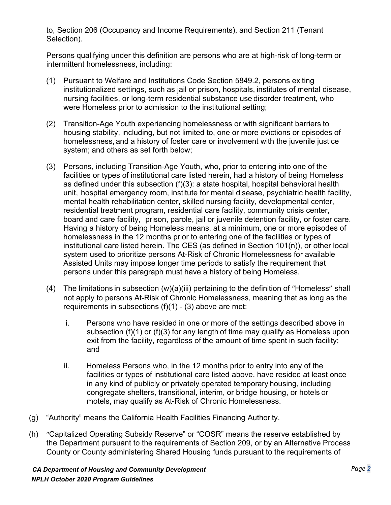to, Section 206 (Occupancy and Income Requirements), and Section 211 (Tenant Selection).

Persons qualifying under this definition are persons who are at high-risk of long-term or intermittent homelessness, including:

- (1) Pursuant to Welfare and Institutions Code Section 5849.2, persons exiting institutionalized settings, such as jail or prison, hospitals, institutes of mental disease, nursing facilities, or long-term residential substance use disorder treatment, who were Homeless prior to admission to the institutional setting;
- (2) Transition-Age Youth experiencing homelessness or with significant barriers to housing stability, including, but not limited to, one or more evictions or episodes of homelessness, and a history of foster care or involvement with the juvenile justice system; and others as set forth below;
- (3) Persons, including Transition-Age Youth, who, prior to entering into one of the facilities or types of institutional care listed herein, had a history of being Homeless as defined under this subsection (f)(3): a state hospital, hospital behavioral health unit, hospital emergency room, institute for mental disease, psychiatric health facility, mental health rehabilitation center, skilled nursing facility, developmental center, residential treatment program, residential care facility, community crisis center, board and care facility, prison, parole, jail or juvenile detention facility, or foster care. Having a history of being Homeless means, at a minimum, one or more episodes of homelessness in the 12 months prior to entering one of the facilities or types of institutional care listed herein. The CES (as defined in Section 101(n)), or other local system used to prioritize persons At-Risk of Chronic Homelessness for available Assisted Units may impose longer time periods to satisfy the requirement that persons under this paragraph must have a history of being Homeless.
- (4) The limitations in subsection (w)(a)(iii) pertaining to the definition of "Homeless" shall not apply to persons At-Risk of Chronic Homelessness, meaning that as long as the requirements in subsections  $(f)(1) - (3)$  above are met:
	- i. Persons who have resided in one or more of the settings described above in subsection (f)(1) or (f)(3) for any length of time may qualify as Homeless upon exit from the facility, regardless of the amount of time spent in such facility; and
	- ii. Homeless Persons who, in the 12 months prior to entry into any of the facilities or types of institutional care listed above, have resided at least once in any kind of publicly or privately operated temporary housing, including congregate shelters, transitional, interim, or bridge housing, or hotels or motels, may qualify as At-Risk of Chronic Homelessness.
- (g) "Authority" means the California Health Facilities Financing Authority.
- (h) "Capitalized Operating Subsidy Reserve" or "COSR" means the reserve established by the Department pursuant to the requirements of Section 209, or by an Alternative Process County or County administering Shared Housing funds pursuant to the requirements of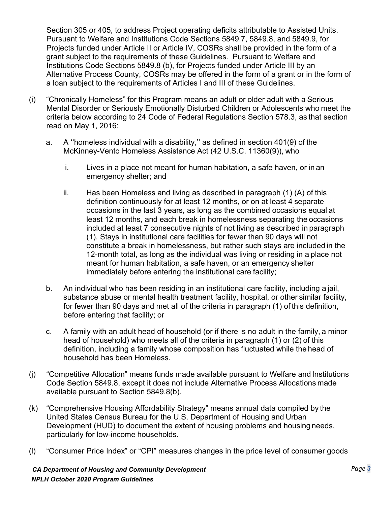Section 305 or 405, to address Project operating deficits attributable to Assisted Units. Pursuant to Welfare and Institutions Code Sections 5849.7, 5849.8, and 5849.9, for Projects funded under Article II or Article IV, COSRs shall be provided in the form of a grant subject to the requirements of these Guidelines. Pursuant to Welfare and Institutions Code Sections 5849.8 (b), for Projects funded under Article III by an Alternative Process County, COSRs may be offered in the form of a grant or in the form of a loan subject to the requirements of Articles I and III of these Guidelines.

- (i) "Chronically Homeless" for this Program means an adult or older adult with a Serious Mental Disorder or Seriously Emotionally Disturbed Children or Adolescents who meet the criteria below according to 24 Code of Federal Regulations Section 578.3, as that section read on May 1, 2016:
	- a. A ''homeless individual with a disability,'' as defined in section 401(9) of the McKinney-Vento Homeless Assistance Act (42 U.S.C. 11360(9)), who
		- i. Lives in a place not meant for human habitation, a safe haven, or in an emergency shelter; and
		- ii. Has been Homeless and living as described in paragraph (1) (A) of this definition continuously for at least 12 months, or on at least 4 separate occasions in the last 3 years, as long as the combined occasions equal at least 12 months, and each break in homelessness separating the occasions included at least 7 consecutive nights of not living as described in paragraph (1). Stays in institutional care facilities for fewer than 90 days will not constitute a break in homelessness, but rather such stays are included in the 12-month total, as long as the individual was living or residing in a place not meant for human habitation, a safe haven, or an emergency shelter immediately before entering the institutional care facility;
	- b. An individual who has been residing in an institutional care facility, including a jail, substance abuse or mental health treatment facility, hospital, or other similar facility, for fewer than 90 days and met all of the criteria in paragraph (1) of this definition, before entering that facility; or
	- c. A family with an adult head of household (or if there is no adult in the family, a minor head of household) who meets all of the criteria in paragraph (1) or (2) of this definition, including a family whose composition has fluctuated while the head of household has been Homeless.
- (j) "Competitive Allocation" means funds made available pursuant to Welfare and Institutions Code Section 5849.8, except it does not include Alternative Process Allocations made available pursuant to Section 5849.8(b).
- (k) "Comprehensive Housing Affordability Strategy" means annual data compiled by the United States Census Bureau for the U.S. Department of Housing and Urban Development (HUD) to document the extent of housing problems and housing needs, particularly for low-income households.
- (l) "Consumer Price Index" or "CPI" measures changes in the price level of [consumer goods](https://en.wikipedia.org/wiki/Final_goods)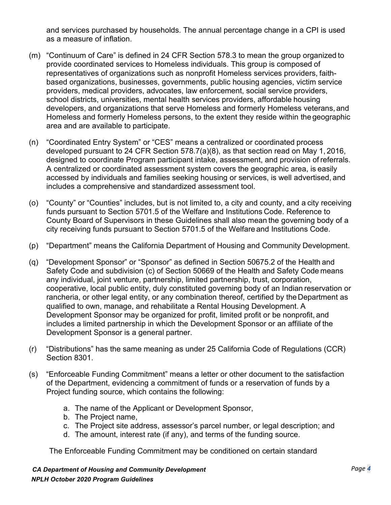and [services](https://en.wikipedia.org/wiki/Consumer_Services) purchased by households. The annual percentage change in a CPI is used as a measure of [inflation.](https://en.wikipedia.org/wiki/Inflation)

- (m) "Continuum of Care" is defined in 24 CFR Section 578.3 to mean the group organized to provide coordinated services to Homeless individuals. This group is composed of representatives of organizations such as nonprofit Homeless services providers, faithbased organizations, businesses, governments, public housing agencies, victim service providers, medical providers, advocates, law enforcement, social service providers, school districts, universities, mental health services providers, affordable housing developers, and organizations that serve Homeless and formerly Homeless veterans, and Homeless and formerly Homeless persons, to the extent they reside within the geographic area and are available to participate.
- (n) "Coordinated Entry System" or "CES" means a centralized or coordinated process developed pursuant to 24 CFR Section 578.7(a)(8), as that section read on May 1, 2016, designed to coordinate Program participant intake, assessment, and provision of referrals. A centralized or coordinated assessment system covers the geographic area, is easily accessed by individuals and families seeking housing or services, is well advertised, and includes a comprehensive and standardized assessment tool.
- (o) "County" or "Counties" includes, but is not limited to, a city and county, and a city receiving funds pursuant to Section 5701.5 of the Welfare and Institutions Code. Reference to County Board of Supervisors in these Guidelines shall also mean the governing body of a city receiving funds pursuant to Section 5701.5 of the Welfare and Institutions Code.
- (p) "Department" means the California Department of Housing and Community Development.
- (q) "Development Sponsor" or "Sponsor" as defined in Section 50675.2 of the Health and Safety Code and subdivision (c) of Section 50669 of the Health and Safety Code means any individual, joint venture, partnership, limited partnership, trust, corporation, cooperative, local public entity, duly constituted governing body of an Indian reservation or rancheria, or other legal entity, or any combination thereof, certified by the Department as qualified to own, manage, and rehabilitate a Rental Housing Development. A Development Sponsor may be organized for profit, limited profit or be nonprofit, and includes a limited partnership in which the Development Sponsor or an affiliate of the Development Sponsor is a general partner.
- (r) "Distributions" has the same meaning as under 25 California Code of Regulations (CCR) Section 8301.
- (s) "Enforceable Funding Commitment" means a letter or other document to the satisfaction of the Department, evidencing a commitment of funds or a reservation of funds by a Project funding source, which contains the following:
	- a. The name of the Applicant or Development Sponsor,
	- b. The Project name,
	- c. The Project site address, assessor's parcel number, or legal description; and
	- d. The amount, interest rate (if any), and terms of the funding source.

The Enforceable Funding Commitment may be conditioned on certain standard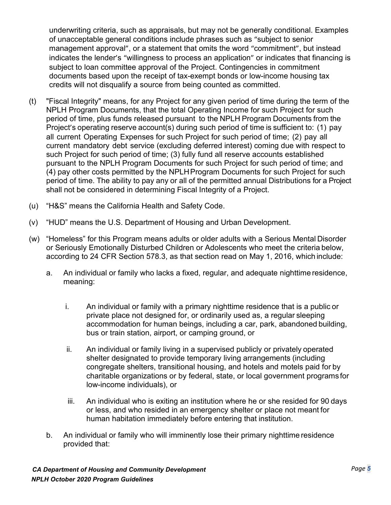underwriting criteria, such as appraisals, but may not be generally conditional. Examples of unacceptable general conditions include phrases such as "subject to senior management approval", or a statement that omits the word "commitment", but instead indicates the lender's "willingness to process an application" or indicates that financing is subject to loan committee approval of the Project. Contingencies in commitment documents based upon the receipt of tax-exempt bonds or low-income housing tax credits will not disqualify a source from being counted as committed.

- (t) "Fiscal Integrity" means, for any Project for any given period of time during the term of the NPLH Program Documents, that the total Operating Income for such Project for such period of time, plus funds released pursuant to the NPLH Program Documents from the Project's operating reserve account(s) during such period of time is sufficient to: (1) pay all current Operating Expenses for such Project for such period of time; (2) pay all current mandatory debt service (excluding deferred interest) coming due with respect to such Project for such period of time; (3) fully fund all reserve accounts established pursuant to the NPLH Program Documents for such Project for such period of time; and (4) pay other costs permitted by the NPLHProgram Documents for such Project for such period of time. The ability to pay any or all of the permitted annual Distributions for a Project shall not be considered in determining Fiscal Integrity of a Project.
- (u) "H&S" means the California Health and Safety Code.
- (v) "HUD" means the U.S. Department of Housing and Urban Development.
- (w) "Homeless" for this Program means adults or older adults with a Serious Mental Disorder or Seriously Emotionally Disturbed Children or Adolescents who meet the criteria below, according to 24 CFR Section 578.3, as that section read on May 1, 2016, which include:
	- a. An individual or family who lacks a fixed, regular, and adequate nighttime residence, meaning:
		- i. An individual or family with a primary nighttime residence that is a public or private place not designed for, or ordinarily used as, a regular sleeping accommodation for human beings, including a car, park, abandoned building, bus or train station, airport, or camping ground, or
		- ii. An individual or family living in a supervised publicly or privately operated shelter designated to provide temporary living arrangements (including congregate shelters, transitional housing, and hotels and motels paid for by charitable organizations or by federal, state, or local government programs for low-income individuals), or
		- iii. An individual who is exiting an institution where he or she resided for 90 days or less, and who resided in an emergency shelter or place not meant for human habitation immediately before entering that institution.
	- b. An individual or family who will imminently lose their primary nighttime residence provided that: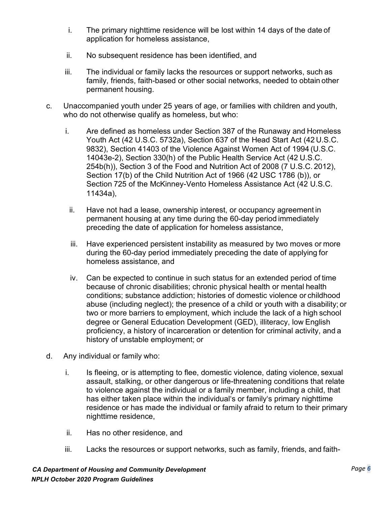- i. The primary nighttime residence will be lost within 14 days of the date of application for homeless assistance,
- ii. No subsequent residence has been identified, and
- iii. The individual or family lacks the resources or support networks, such as family, friends, faith-based or other social networks, needed to obtain other permanent housing.
- c. Unaccompanied youth under 25 years of age, or families with children and youth, who do not otherwise qualify as homeless, but who:
	- i. Are defined as homeless under Section 387 of the Runaway and Homeless Youth Act (42 U.S.C. 5732a), Section 637 of the Head Start Act (42 U.S.C. 9832), Section 41403 of the Violence Against Women Act of 1994 (U.S.C. 14043e-2), Section 330(h) of the Public Health Service Act (42 U.S.C. 254b(h)), Section 3 of the Food and Nutrition Act of 2008 (7 U.S.C. 2012), Section 17(b) of the Child Nutrition Act of 1966 (42 USC 1786 (b)), or Section 725 of the McKinney-Vento Homeless Assistance Act (42 U.S.C. 11434a),
		- ii. Have not had a lease, ownership interest, or occupancy agreement in permanent housing at any time during the 60-day period immediately preceding the date of application for homeless assistance,
		- iii. Have experienced persistent instability as measured by two moves or more during the 60-day period immediately preceding the date of applying for homeless assistance, and
		- iv. Can be expected to continue in such status for an extended period of time because of chronic disabilities; chronic physical health or mental health conditions; substance addiction; histories of domestic violence or childhood abuse (including neglect); the presence of a child or youth with a disability; or two or more barriers to employment, which include the lack of a high school degree or General Education Development (GED), illiteracy, low English proficiency, a history of incarceration or detention for criminal activity, and a history of unstable employment; or
- d. Any individual or family who:
	- i. Is fleeing, or is attempting to flee, domestic violence, dating violence, sexual assault, stalking, or other dangerous or life-threatening conditions that relate to violence against the individual or a family member, including a child, that has either taken place within the individual's or family's primary nighttime residence or has made the individual or family afraid to return to their primary nighttime residence,
	- ii. Has no other residence, and
	- iii. Lacks the resources or support networks, such as family, friends, and faith-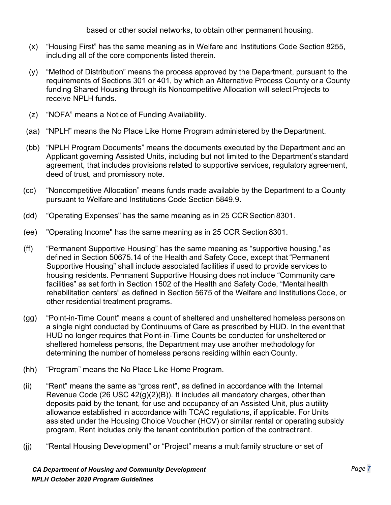based or other social networks, to obtain other permanent housing.

- (x) "Housing First" has the same meaning as in Welfare and Institutions Code Section 8255, including all of the core components listed therein.
- (y) "Method of Distribution" means the process approved by the Department, pursuant to the requirements of Sections 301 or 401, by which an Alternative Process County or a County funding Shared Housing through its Noncompetitive Allocation will select Projects to receive NPLH funds.
- (z) "NOFA" means a Notice of Funding Availability.
- (aa) "NPLH" means the No Place Like Home Program administered by the Department.
- (bb) "NPLH Program Documents" means the documents executed by the Department and an Applicant governing Assisted Units, including but not limited to the Department's standard agreement, that includes provisions related to supportive services, regulatory agreement, deed of trust, and promissory note.
- (cc) "Noncompetitive Allocation" means funds made available by the Department to a County pursuant to Welfare and Institutions Code Section 5849.9.
- (dd) "Operating Expenses" has the same meaning as in 25 CCR Section 8301.
- (ee) "Operating Income" has the same meaning as in 25 CCR Section 8301.
- (ff) "Permanent Supportive Housing" has the same meaning as "supportive housing," as defined in Section 50675.14 of the Health and Safety Code, except that "Permanent Supportive Housing" shall include associated facilities if used to provide services to housing residents. Permanent Supportive Housing does not include "Community care facilities" as set forth in Section 1502 of the Health and Safety Code, "Mental health rehabilitation centers" as defined in Section 5675 of the Welfare and Institutions Code, or other residential treatment programs.
- (gg) "Point-in-Time Count" means a count of sheltered and unsheltered homeless personson a single night conducted by Continuums of Care as prescribed by HUD. In the event that HUD no longer requires that Point-in-Time Counts be conducted for unsheltered or sheltered homeless persons, the Department may use another methodology for determining the number of homeless persons residing within each County.
- (hh) "Program" means the No Place Like Home Program.
- (ii) "Rent" means the same as "gross rent", as defined in accordance with the Internal Revenue Code (26 USC 42(g)(2)(B)). It includes all mandatory charges, other than deposits paid by the tenant, for use and occupancy of an Assisted Unit, plus a utility allowance established in accordance with TCAC regulations, if applicable. For Units assisted under the Housing Choice Voucher (HCV) or similar rental or operating subsidy program, Rent includes only the tenant contribution portion of the contractrent.
- (jj) "Rental Housing Development" or "Project" means a multifamily structure or set of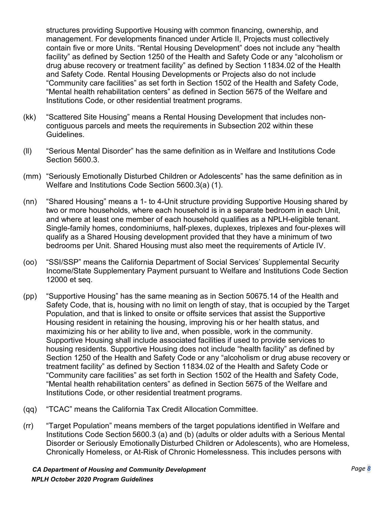structures providing Supportive Housing with common financing, ownership, and management. For developments financed under Article II, Projects must collectively contain five or more Units. "Rental Housing Development" does not include any "health facility" as defined by Section 1250 of the Health and Safety Code or any "alcoholism or drug abuse recovery or treatment facility" as defined by Section 11834.02 of the Health and Safety Code. Rental Housing Developments or Projects also do not include "Community care facilities" as set forth in Section 1502 of the Health and Safety Code, "Mental health rehabilitation centers" as defined in Section 5675 of the Welfare and Institutions Code, or other residential treatment programs.

- (kk) "Scattered Site Housing" means a Rental Housing Development that includes noncontiguous parcels and meets the requirements in Subsection 202 within these Guidelines.
- (ll) "Serious Mental Disorder" has the same definition as in [Welfare and Institutions Code](http://leginfo.legislature.ca.gov/faces/codes_displaySection.xhtml?lawCode=WIC&sectionNum=5600.3) [Section 5600.3.](http://leginfo.legislature.ca.gov/faces/codes_displaySection.xhtml?lawCode=WIC&sectionNum=5600.3)
- (mm) "Seriously Emotionally Disturbed Children or Adolescents" has the same definition as i[n](http://leginfo.legislature.ca.gov/faces/codes_displaySection.xhtml?lawCode=WIC&sectionNum=5600.3) [Welfare and Institutions Code Section 5600.3\(](http://leginfo.legislature.ca.gov/faces/codes_displaySection.xhtml?lawCode=WIC&sectionNum=5600.3)a) (1).
- (nn) "Shared Housing" means a 1- to 4-Unit structure providing Supportive Housing shared by two or more households, where each household is in a separate bedroom in each Unit, and where at least one member of each household qualifies as a NPLH-eligible tenant. Single-family homes, condominiums, half-plexes, duplexes, triplexes and four-plexes will qualify as a Shared Housing development provided that they have a minimum of two bedrooms per Unit. Shared Housing must also meet the requirements of Article IV.
- (oo) "SSI/SSP" means the California Department of Social Services' Supplemental Security Income/State Supplementary Payment pursuant to Welfare and Institutions Code Section 12000 et seq.
- (pp) "Supportive Housing" has the same meaning as in Section 50675.14 of the Health and Safety Code, that is, housing with no limit on length of stay, that is occupied by the Target Population, and that is linked to onsite or offsite services that assist the Supportive Housing resident in retaining the housing, improving his or her health status, and maximizing his or her ability to live and, when possible, work in the community. Supportive Housing shall include associated facilities if used to provide services to housing residents. Supportive Housing does not include "health facility" as defined by Section 1250 of the Health and Safety Code or any "alcoholism or drug abuse recovery or treatment facility" as defined by Section 11834.02 of the Health and Safety Code or "Community care facilities" as set forth in Section 1502 of the Health and Safety Code, "Mental health rehabilitation centers" as defined in Section 5675 of the Welfare and Institutions Code, or other residential treatment programs.
- (qq) "TCAC" means the California Tax Credit Allocation Committee.
- (rr) "Target Population" means members of the target populations identified in Welfare and Institutions Code Section 5600.3 (a) and (b) (adults or older adults with a Serious Mental Disorder or Seriously Emotionally Disturbed Children or Adolescents), who are Homeless, Chronically Homeless, or At-Risk of Chronic Homelessness. This includes persons with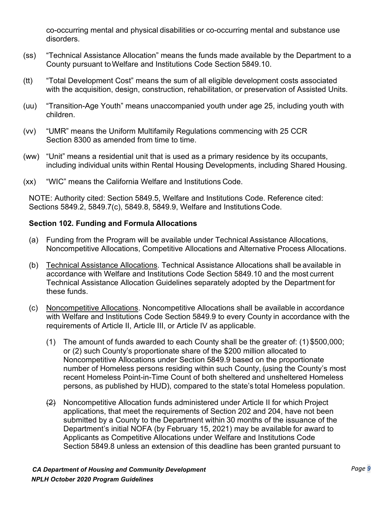co-occurring mental and physical disabilities or co-occurring mental and substance use disorders.

- (ss) "Technical Assistance Allocation" means the funds made available by the Department to a County pursuant toWelfare and Institutions Code Section 5849.10.
- (tt) "Total Development Cost" means the sum of all eligible development costs associated with the acquisition, design, construction, rehabilitation, or preservation of Assisted Units.
- (uu) "Transition-Age Youth" means unaccompanied youth under age 25, including youth with children.
- (vv) "UMR" means the Uniform Multifamily Regulations commencing with 25 CCR Section 8300 as amended from time to time.
- (ww) "Unit" means a residential unit that is used as a primary residence by its occupants, including individual units within Rental Housing Developments, including Shared Housing.
- (xx) "WIC" means the California Welfare and Institutions Code.

NOTE: Authority cited: Section 5849.5, Welfare and Institutions Code. Reference cited: Sections 5849.2, 5849.7(c), 5849.8, 5849.9, Welfare and Institutions Code.

#### <span id="page-12-0"></span>**Section 102. Funding and Formula Allocations**

- (a) Funding from the Program will be available under Technical Assistance Allocations, Noncompetitive Allocations, Competitive Allocations and Alternative Process Allocations.
- (b) Technical Assistance Allocations. Technical Assistance Allocations shall be available in accordance with Welfare and Institutions Code Section 5849.10 and the most current Technical Assistance Allocation Guidelines separately adopted by the Department for these funds.
- (c) Noncompetitive Allocations. Noncompetitive Allocations shall be available in accordance with Welfare and Institutions Code Section 5849.9 to every County in accordance with the requirements of Article II, Article III, or Article IV as applicable.
	- (1) The amount of funds awarded to each County shall be the greater of: (1) \$500,000; or (2) such County's proportionate share of the \$200 million allocated to Noncompetitive Allocations under Section 5849.9 based on the proportionate number of Homeless persons residing within such County, (using the County's most recent Homeless Point-in-Time Count of both sheltered and unsheltered Homeless persons, as published by HUD), compared to the state's total Homeless population.
	- (2) Noncompetitive Allocation funds administered under Article II for which Project applications, that meet the requirements of Section 202 and 204, have not been submitted by a County to the Department within 30 months of the issuance of the Department's initial NOFA (by February 15, 2021) may be available for award to Applicants as Competitive Allocations under Welfare and Institutions Code Section 5849.8 unless an extension of this deadline has been granted pursuant to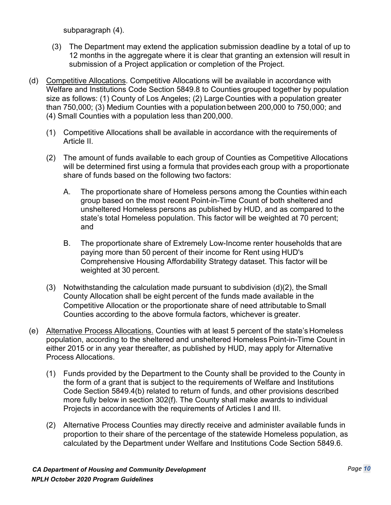subparagraph (4).

- (3) The Department may extend the application submission deadline by a total of up to 12 months in the aggregate where it is clear that granting an extension will result in submission of a Project application or completion of the Project.
- (d) Competitive Allocations. Competitive Allocations will be available in accordance with Welfare and Institutions Code Section 5849.8 to Counties grouped together by population size as follows: (1) County of Los Angeles; (2) Large Counties with a population greater than 750,000; (3) Medium Counties with a population between 200,000 to 750,000; and (4) Small Counties with a population less than 200,000.
	- (1) Competitive Allocations shall be available in accordance with the requirements of Article II.
	- (2) The amount of funds available to each group of Counties as Competitive Allocations will be determined first using a formula that provides each group with a proportionate share of funds based on the following two factors:
		- A. The proportionate share of Homeless persons among the Counties within each group based on the most recent Point-in-Time Count of both sheltered and unsheltered Homeless persons as published by HUD, and as compared to the state's total Homeless population. This factor will be weighted at 70 percent; and
		- B. The proportionate share of Extremely Low-Income renter households that are paying more than 50 percent of their income for Rent using HUD's Comprehensive Housing Affordability Strategy dataset. This factor will be weighted at 30 percent.
	- (3) Notwithstanding the calculation made pursuant to subdivision (d)(2), the Small County Allocation shall be eight percent of the funds made available in the Competitive Allocation or the proportionate share of need attributable toSmall Counties according to the above formula factors, whichever is greater.
- (e) Alternative Process Allocations. Counties with at least 5 percent of the state's Homeless population, according to the sheltered and unsheltered Homeless Point-in-Time Count in either 2015 or in any year thereafter, as published by HUD, may apply for Alternative Process Allocations.
	- (1) Funds provided by the Department to the County shall be provided to the County in the form of a grant that is subject to the requirements of Welfare and Institutions Code Section 5849.4(b) related to return of funds, and other provisions described more fully below in section 302(f). The County shall make awards to individual Projects in accordancewith the requirements of Articles I and III.
	- (2) Alternative Process Counties may directly receive and administer available funds in proportion to their share of the percentage of the statewide Homeless population, as calculated by the Department under Welfare and Institutions Code Section 5849.6.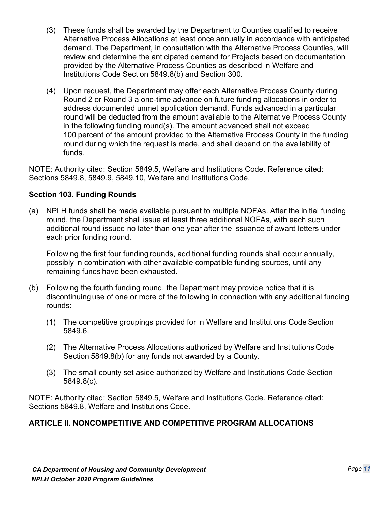- (3) These funds shall be awarded by the Department to Counties qualified to receive Alternative Process Allocations at least once annually in accordance with anticipated demand. The Department, in consultation with the Alternative Process Counties, will review and determine the anticipated demand for Projects based on documentation provided by the Alternative Process Counties as described in Welfare and Institutions Code Section 5849.8(b) and Section 300.
- (4) Upon request, the Department may offer each Alternative Process County during Round 2 or Round 3 a one-time advance on future funding allocations in order to address documented unmet application demand. Funds advanced in a particular round will be deducted from the amount available to the Alternative Process County in the following funding round(s). The amount advanced shall not exceed 100 percent of the amount provided to the Alternative Process County in the funding round during which the request is made, and shall depend on the availability of funds.

NOTE: Authority cited: Section 5849.5, Welfare and Institutions Code. Reference cited: Sections 5849.8, 5849.9, 5849.10, Welfare and Institutions Code.

#### <span id="page-14-0"></span>**Section 103. Funding Rounds**

(a) NPLH funds shall be made available pursuant to multiple NOFAs. After the initial funding round, the Department shall issue at least three additional NOFAs, with each such additional round issued no later than one year after the issuance of award letters under each prior funding round.

Following the first four funding rounds, additional funding rounds shall occur annually, possibly in combination with other available compatible funding sources, until any remaining funds have been exhausted.

- (b) Following the fourth funding round, the Department may provide notice that it is discontinuing use of one or more of the following in connection with any additional funding rounds:
	- (1) The competitive groupings provided for in Welfare and Institutions Code Section 5849.6.
	- (2) The Alternative Process Allocations authorized by Welfare and Institutions Code Section 5849.8(b) for any funds not awarded by a County.
	- (3) The small county set aside authorized by Welfare and Institutions Code Section 5849.8(c).

NOTE: Authority cited: Section 5849.5, Welfare and Institutions Code. Reference cited: Sections 5849.8, Welfare and Institutions Code.

### <span id="page-14-1"></span>**ARTICLE II. NONCOMPETITIVE AND COMPETITIVE PROGRAM ALLOCATIONS**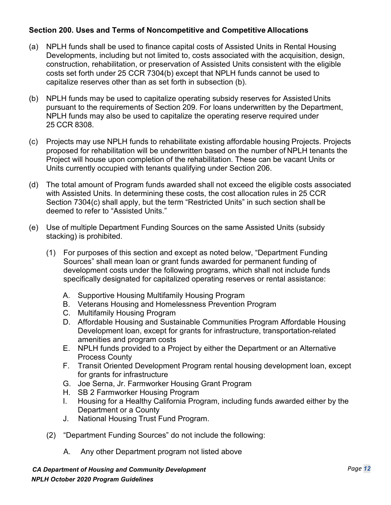#### <span id="page-15-0"></span>**Section 200. Uses and Terms of Noncompetitive and Competitive Allocations**

- (a) NPLH funds shall be used to finance capital costs of Assisted Units in Rental Housing Developments, including but not limited to, costs associated with the acquisition, design, construction, rehabilitation, or preservation of Assisted Units consistent with the eligible costs set forth under 25 CCR 7304(b) except that NPLH funds cannot be used to capitalize reserves other than as set forth in subsection (b).
- (b) NPLH funds may be used to capitalize operating subsidy reserves for Assisted Units pursuant to the requirements of Section 209. For loans underwritten by the Department, NPLH funds may also be used to capitalize the operating reserve required under 25 CCR 8308.
- (c) Projects may use NPLH funds to rehabilitate existing affordable housing Projects. Projects proposed for rehabilitation will be underwritten based on the number of NPLH tenants the Project will house upon completion of the rehabilitation. These can be vacant Units or Units currently occupied with tenants qualifying under Section 206.
- (d) The total amount of Program funds awarded shall not exceed the eligible costs associated with Assisted Units. In determining these costs, the cost allocation rules in 25 CCR Section 7304(c) shall apply, but the term "Restricted Units" in such section shall be deemed to refer to "Assisted Units."
- (e) Use of multiple Department Funding Sources on the same Assisted Units (subsidy stacking) is prohibited.
	- (1) For purposes of this section and except as noted below, "Department Funding Sources" shall mean loan or grant funds awarded for permanent funding of development costs under the following programs, which shall not include funds specifically designated for capitalized operating reserves or rental assistance:
		- A. Supportive Housing Multifamily Housing Program
		- B. Veterans Housing and Homelessness Prevention Program
		- C. Multifamily Housing Program
		- D. Affordable Housing and Sustainable Communities Program Affordable Housing Development loan, except for grants for infrastructure, transportation-related amenities and program costs
		- E. NPLH funds provided to a Project by either the Department or an Alternative Process County
		- F. Transit Oriented Development Program rental housing development loan, except for grants for infrastructure
		- G. Joe Serna, Jr. Farmworker Housing Grant Program
		- H. SB 2 Farmworker Housing Program
		- I. Housing for a Healthy California Program, including funds awarded either by the Department or a County
		- J. National Housing Trust Fund Program.
	- (2) "Department Funding Sources" do not include the following:
		- A. Any other Department program not listed above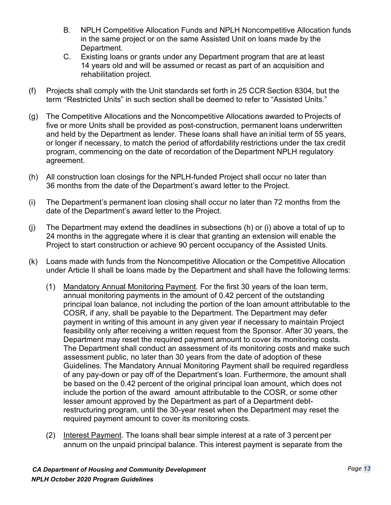- B. NPLH Competitive Allocation Funds and NPLH Noncompetitive Allocation funds in the same project or on the same Assisted Unit on loans made by the Department.
- C. Existing loans or grants under any Department program that are at least 14 years old and will be assumed or recast as part of an acquisition and rehabilitation project.
- (f) Projects shall comply with the Unit standards set forth in 25 CCR Section 8304, but the term "Restricted Units" in such section shall be deemed to refer to "Assisted Units."
- (g) The Competitive Allocations and the Noncompetitive Allocations awarded to Projects of five or more Units shall be provided as post-construction, permanent loans underwritten and held by the Department as lender. These loans shall have an initial term of 55 years, or longer if necessary, to match the period of affordability restrictions under the tax credit program, commencing on the date of recordation of the Department NPLH regulatory agreement.
- (h) All construction loan closings for the NPLH-funded Project shall occur no later than 36 months from the date of the Department's award letter to the Project.
- (i) The Department's permanent loan closing shall occur no later than 72 months from the date of the Department's award letter to the Project.
- (j) The Department may extend the deadlines in subsections (h) or (i) above a total of up to 24 months in the aggregate where it is clear that granting an extension will enable the Project to start construction or achieve 90 percent occupancy of the Assisted Units.
- (k) Loans made with funds from the Noncompetitive Allocation or the Competitive Allocation under Article II shall be loans made by the Department and shall have the following terms:
	- (1) Mandatory Annual Monitoring Payment. For the first 30 years of the loan term, annual monitoring payments in the amount of 0.42 percent of the outstanding principal loan balance, not including the portion of the loan amount attributable to the COSR, if any, shall be payable to the Department. The Department may defer payment in writing of this amount in any given year if necessary to maintain Project feasibility only after receiving a written request from the Sponsor. After 30 years, the Department may reset the required payment amount to cover its monitoring costs. The Department shall conduct an assessment of its monitoring costs and make such assessment public, no later than 30 years from the date of adoption of these Guidelines. The Mandatory Annual Monitoring Payment shall be required regardless of any pay-down or pay off of the Department's loan. Furthermore, the amount shall be based on the 0.42 percent of the original principal loan amount, which does not include the portion of the award amount attributable to the COSR, or some other lesser amount approved by the Department as part of a Department debtrestructuring program, until the 30-year reset when the Department may reset the required payment amount to cover its monitoring costs.
	- (2) Interest Payment. The loans shall bear simple interest at a rate of 3 percent per annum on the unpaid principal balance. This interest payment is separate from the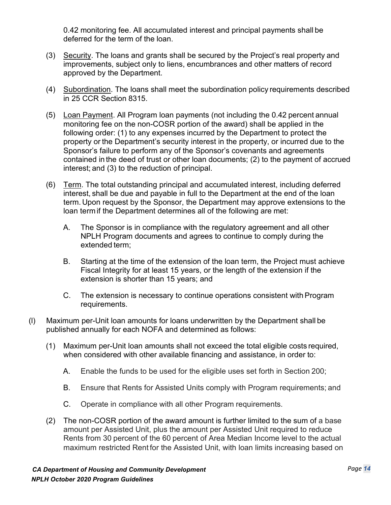0.42 monitoring fee. All accumulated interest and principal payments shall be deferred for the term of the loan.

- (3) Security. The loans and grants shall be secured by the Project's real property and improvements, subject only to liens, encumbrances and other matters of record approved by the Department.
- (4) Subordination. The loans shall meet the subordination policy requirements described in 25 CCR Section 8315.
- (5) Loan Payment. All Program loan payments (not including the 0.42 percent annual monitoring fee on the non-COSR portion of the award) shall be applied in the following order: (1) to any expenses incurred by the Department to protect the property or the Department's security interest in the property, or incurred due to the Sponsor's failure to perform any of the Sponsor's covenants and agreements contained in the deed of trust or other loan documents; (2) to the payment of accrued interest; and (3) to the reduction of principal.
- (6) Term. The total outstanding principal and accumulated interest, including deferred interest, shall be due and payable in full to the Department at the end of the loan term. Upon request by the Sponsor, the Department may approve extensions to the loan term if the Department determines all of the following are met:
	- A. The Sponsor is in compliance with the regulatory agreement and all other NPLH Program documents and agrees to continue to comply during the extended term;
	- B. Starting at the time of the extension of the loan term, the Project must achieve Fiscal Integrity for at least 15 years, or the length of the extension if the extension is shorter than 15 years; and
	- C. The extension is necessary to continue operations consistent withProgram requirements.
- (l) Maximum per-Unit loan amounts for loans underwritten by the Department shall be published annually for each NOFA and determined as follows:
	- (1) Maximum per-Unit loan amounts shall not exceed the total eligible costs required, when considered with other available financing and assistance, in order to:
		- A. Enable the funds to be used for the eligible uses set forth in Section 200;
		- B. Ensure that Rents for Assisted Units comply with Program requirements; and
		- C. Operate in compliance with all other Program requirements.
	- (2) The non-COSR portion of the award amount is further limited to the sum of a base amount per Assisted Unit, plus the amount per Assisted Unit required to reduce Rents from 30 percent of the 60 percent of Area Median Income level to the actual maximum restricted Rent for the Assisted Unit, with loan limits increasing based on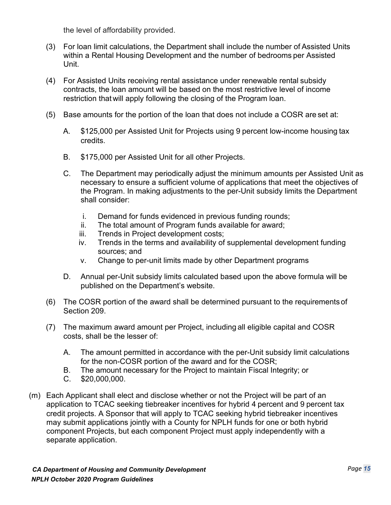the level of affordability provided.

- (3) For loan limit calculations, the Department shall include the number of Assisted Units within a Rental Housing Development and the number of bedrooms per Assisted Unit.
- (4) For Assisted Units receiving rental assistance under renewable rental subsidy contracts, the loan amount will be based on the most restrictive level of income restriction that will apply following the closing of the Program loan.
- (5) Base amounts for the portion of the loan that does not include a COSR are set at:
	- A. \$125,000 per Assisted Unit for Projects using 9 percent low-income housing tax credits.
	- B. \$175,000 per Assisted Unit for all other Projects.
	- C. The Department may periodically adjust the minimum amounts per Assisted Unit as necessary to ensure a sufficient volume of applications that meet the objectives of the Program. In making adjustments to the per-Unit subsidy limits the Department shall consider:
		- i. Demand for funds evidenced in previous funding rounds;
		- ii. The total amount of Program funds available for award;
		- iii. Trends in Project development costs;
		- iv. Trends in the terms and availability of supplemental development funding sources; and
		- v. Change to per-unit limits made by other Department programs
	- D. Annual per-Unit subsidy limits calculated based upon the above formula will be published on the Department's website.
- (6) The COSR portion of the award shall be determined pursuant to the requirements of Section 209.
- (7) The maximum award amount per Project, including all eligible capital and COSR costs, shall be the lesser of:
	- A. The amount permitted in accordance with the per-Unit subsidy limit calculations for the non-COSR portion of the award and for the COSR;
	- B. The amount necessary for the Project to maintain Fiscal Integrity; or
	- C. \$20,000,000.
- (m) Each Applicant shall elect and disclose whether or not the Project will be part of an application to TCAC seeking tiebreaker incentives for hybrid 4 percent and 9 percent tax credit projects. A Sponsor that will apply to TCAC seeking hybrid tiebreaker incentives may submit applications jointly with a County for NPLH funds for one or both hybrid component Projects, but each component Project must apply independently with a separate application.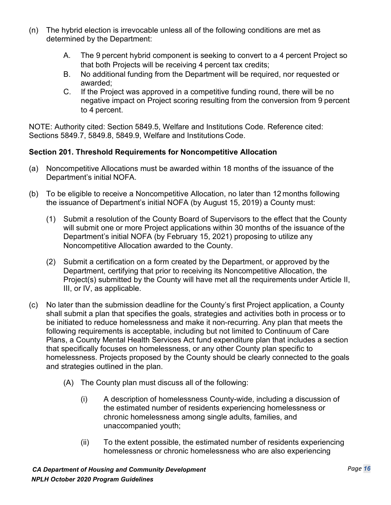- (n) The hybrid election is irrevocable unless all of the following conditions are met as determined by the Department:
	- A. The 9 percent hybrid component is seeking to convert to a 4 percent Project so that both Projects will be receiving 4 percent tax credits;
	- B. No additional funding from the Department will be required, nor requested or awarded;
	- C. If the Project was approved in a competitive funding round, there will be no negative impact on Project scoring resulting from the conversion from 9 percent to 4 percent.

NOTE: Authority cited: Section 5849.5, Welfare and Institutions Code. Reference cited: Sections 5849.7, 5849.8, 5849.9, Welfare and Institutions Code.

#### <span id="page-19-0"></span>**Section 201. Threshold Requirements for Noncompetitive Allocation**

- (a) Noncompetitive Allocations must be awarded within 18 months of the issuance of the Department's initial NOFA.
- (b) To be eligible to receive a Noncompetitive Allocation, no later than 12 months following the issuance of Department's initial NOFA (by August 15, 2019) a County must:
	- (1) Submit a resolution of the County Board of Supervisors to the effect that the County will submit one or more Project applications within 30 months of the issuance of the Department's initial NOFA (by February 15, 2021) proposing to utilize any Noncompetitive Allocation awarded to the County.
	- (2) Submit a certification on a form created by the Department, or approved by the Department, certifying that prior to receiving its Noncompetitive Allocation, the Project(s) submitted by the County will have met all the requirements under Article II, III, or IV, as applicable.
- (c) No later than the submission deadline for the County's first Project application, a County shall submit a plan that specifies the goals, strategies and activities both in process or to be initiated to reduce homelessness and make it non-recurring. Any plan that meets the following requirements is acceptable, including but not limited to Continuum of Care Plans, a County Mental Health Services Act fund expenditure plan that includes a section that specifically focuses on homelessness, or any other County plan specific to homelessness. Projects proposed by the County should be clearly connected to the goals and strategies outlined in the plan.
	- (A) The County plan must discuss all of the following:
		- (i) A description of homelessness County-wide, including a discussion of the estimated number of residents experiencing homelessness or chronic homelessness among single adults, families, and unaccompanied youth;
		- (ii) To the extent possible, the estimated number of residents experiencing homelessness or chronic homelessness who are also experiencing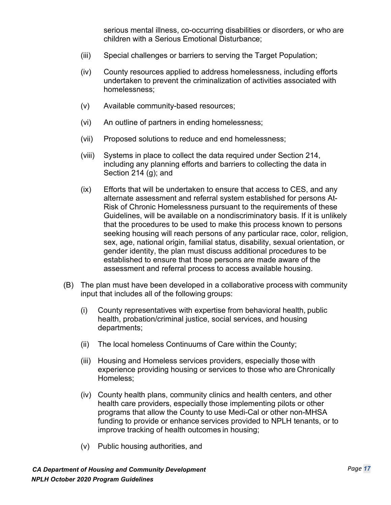serious mental illness, co-occurring disabilities or disorders, or who are children with a Serious Emotional Disturbance;

- (iii) Special challenges or barriers to serving the Target Population;
- (iv) County resources applied to address homelessness, including efforts undertaken to prevent the criminalization of activities associated with homelessness;
- (v) Available community-based resources;
- (vi) An outline of partners in ending homelessness;
- (vii) Proposed solutions to reduce and end homelessness;
- (viii) Systems in place to collect the data required under Section 214, including any planning efforts and barriers to collecting the data in Section 214 (g); and
- (ix) Efforts that will be undertaken to ensure that access to CES, and any alternate assessment and referral system established for persons At-Risk of Chronic Homelessness pursuant to the requirements of these Guidelines, will be available on a nondiscriminatory basis. If it is unlikely that the procedures to be used to make this process known to persons seeking housing will reach persons of any particular race, color, religion, sex, age, national origin, familial status, disability, sexual orientation, or gender identity, the plan must discuss additional procedures to be established to ensure that those persons are made aware of the assessment and referral process to access available housing.
- (B) The plan must have been developed in a collaborative process with community input that includes all of the following groups:
	- (i) County representatives with expertise from behavioral health, public health, probation/criminal justice, social services, and housing departments;
	- (ii) The local homeless Continuums of Care within the County;
	- (iii) Housing and Homeless services providers, especially those with experience providing housing or services to those who are Chronically Homeless;
	- (iv) County health plans, community clinics and health centers, and other health care providers, especially those implementing pilots or other programs that allow the County to use Medi-Cal or other non-MHSA funding to provide or enhance services provided to NPLH tenants, or to improve tracking of health outcomes in housing;
	- (v) Public housing authorities, and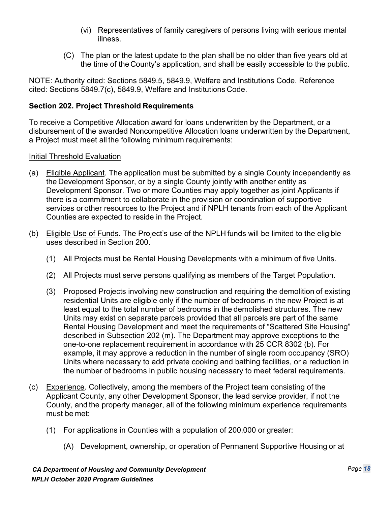- (vi) Representatives of family caregivers of persons living with serious mental illness.
- (C) The plan or the latest update to the plan shall be no older than five years old at the time of the County's application, and shall be easily accessible to the public.

NOTE: Authority cited: Sections 5849.5, 5849.9, Welfare and Institutions Code. Reference cited: Sections 5849.7(c), 5849.9, Welfare and Institutions Code.

#### <span id="page-21-0"></span>**Section 202. Project Threshold Requirements**

To receive a Competitive Allocation award for loans underwritten by the Department, or a disbursement of the awarded Noncompetitive Allocation loans underwritten by the Department, a Project must meet all the following minimum requirements:

#### Initial Threshold Evaluation

- (a) Eligible Applicant. The application must be submitted by a single County independently as the Development Sponsor, or by a single County jointly with another entity as Development Sponsor. Two or more Counties may apply together as joint Applicants if there is a commitment to collaborate in the provision or coordination of supportive services or other resources to the Project and if NPLH tenants from each of the Applicant Counties are expected to reside in the Project.
- (b) Eligible Use of Funds. The Project's use of the NPLH funds will be limited to the eligible uses described in Section 200.
	- (1) All Projects must be Rental Housing Developments with a minimum of five Units.
	- (2) All Projects must serve persons qualifying as members of the Target Population.
	- (3) Proposed Projects involving new construction and requiring the demolition of existing residential Units are eligible only if the number of bedrooms in the new Project is at least equal to the total number of bedrooms in the demolished structures. The new Units may exist on separate parcels provided that all parcels are part of the same Rental Housing Development and meet the requirements of "Scattered Site Housing" described in Subsection 202 (m). The Department may approve exceptions to the one-to-one replacement requirement in accordance with 25 CCR 8302 (b). For example, it may approve a reduction in the number of single room occupancy (SRO) Units where necessary to add private cooking and bathing facilities, or a reduction in the number of bedrooms in public housing necessary to meet federal requirements.
- (c) Experience. Collectively, among the members of the Project team consisting of the Applicant County, any other Development Sponsor, the lead service provider, if not the County, and the property manager, all of the following minimum experience requirements must be met:
	- (1) For applications in Counties with a population of 200,000 or greater:
		- (A) Development, ownership, or operation of Permanent Supportive Housing or at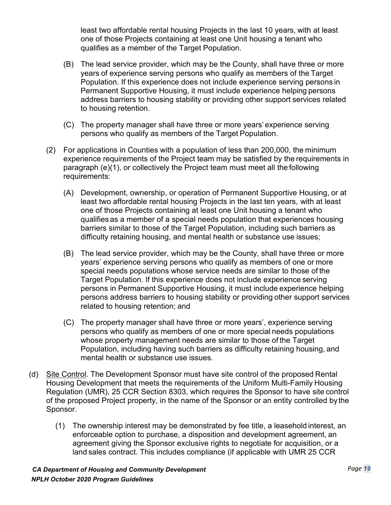least two affordable rental housing Projects in the last 10 years, with at least one of those Projects containing at least one Unit housing a tenant who qualifies as a member of the Target Population.

- (B) The lead service provider, which may be the County, shall have three or more years of experience serving persons who qualify as members of the Target Population. If this experience does not include experience serving persons in Permanent Supportive Housing, it must include experience helping persons address barriers to housing stability or providing other support services related to housing retention.
- (C) The property manager shall have three or more years'experience serving persons who qualify as members of the Target Population.
- (2) For applications in Counties with a population of less than 200,000, the minimum experience requirements of the Project team may be satisfied by the requirements in paragraph (e)(1), or collectively the Project team must meet all the following requirements:
	- (A) Development, ownership, or operation of Permanent Supportive Housing, or at least two affordable rental housing Projects in the last ten years, with at least one of those Projects containing at least one Unit housing a tenant who qualifies as a member of a special needs population that experiences housing barriers similar to those of the Target Population, including such barriers as difficulty retaining housing, and mental health or substance use issues;
	- (B) The lead service provider, which may be the County, shall have three or more years' experience serving persons who qualify as members of one or more special needs populations whose service needs are similar to those of the Target Population. If this experience does not include experience serving persons in Permanent Supportive Housing, it must include experience helping persons address barriers to housing stability or providing other support services related to housing retention; and
	- (C) The property manager shall have three or more years', experience serving persons who qualify as members of one or more special needs populations whose property management needs are similar to those of the Target Population, including having such barriers as difficulty retaining housing, and mental health or substance use issues.
- (d) Site Control. The Development Sponsor must have site control of the proposed Rental Housing Development that meets the requirements of the Uniform Multi-Family Housing Regulation (UMR), 25 CCR Section 8303, which requires the Sponsor to have site control of the proposed Project property, in the name of the Sponsor or an entity controlled by the Sponsor.
	- (1) The ownership interest may be demonstrated by fee title, a leasehold interest, an enforceable option to purchase, a disposition and development agreement, an agreement giving the Sponsor exclusive rights to negotiate for acquisition, or a land sales contract. This includes compliance (if applicable with UMR 25 CCR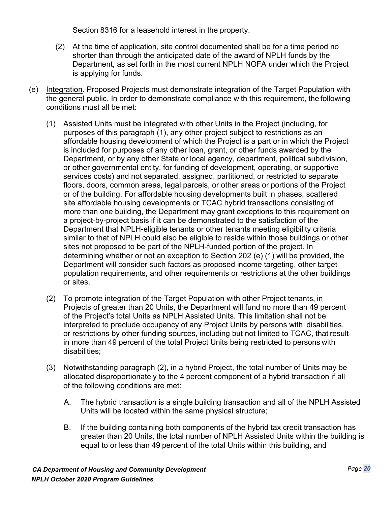Section 8316 for a leasehold interest in the property.

- (2) At the time of application, site control documented shall be for a time period no shorter than through the anticipated date of the award of NPLH funds by the Department, as set forth in the most current NPLH NOFA under which the Project is applying for funds.
- (e) Integration. Proposed Projects must demonstrate integration of the Target Population with the general public. In order to demonstrate compliance with this requirement, the following conditions must all be met:
	- (1) Assisted Units must be integrated with other Units in the Project (including, for purposes of this paragraph (1), any other project subject to restrictions as an affordable housing development of which the Project is a part or in which the Project is included for purposes of any other loan, grant, or other funds awarded by the Department, or by any other State or local agency, department, political subdivision, or other governmental entity, for funding of development, operating, or supportive services costs) and not separated, assigned, partitioned, or restricted to separate floors, doors, common areas, legal parcels, or other areas or portions of the Project or of the building. For affordable housing developments built in phases, scattered site affordable housing developments or TCAC hybrid transactions consisting of more than one building, the Department may grant exceptions to this requirement on a project-by-project basis if it can be demonstrated to the satisfaction of the Department that NPLH-eligible tenants or other tenants meeting eligibility criteria similar to that of NPLH could also be eligible to reside within those buildings or other sites not proposed to be part of the NPLH-funded portion of the project. In determining whether or not an exception to Section 202 (e) (1) will be provided, the Department will consider such factors as proposed income targeting, other target population requirements, and other requirements or restrictions at the other buildings or sites.
	- (2) To promote integration of the Target Population with other Project tenants, in Projects of greater than 20 Units, the Department will fund no more than 49 percent of the Project's total Units as NPLH Assisted Units. This limitation shall not be interpreted to preclude occupancy of any Project Units by persons with disabilities, or restrictions by other funding sources, including but not limited to TCAC, that result in more than 49 percent of the total Project Units being restricted to persons with disabilities;
	- (3) Notwithstanding paragraph (2), in a hybrid Project, the total number of Units may be allocated disproportionately to the 4 percent component of a hybrid transaction if all of the following conditions are met:
		- A. The hybrid transaction is a single building transaction and all of the NPLH Assisted Units will be located within the same physical structure;
		- B. If the building containing both components of the hybrid tax credit transaction has greater than 20 Units, the total number of NPLH Assisted Units within the building is equal to or less than 49 percent of the total Units within this building, and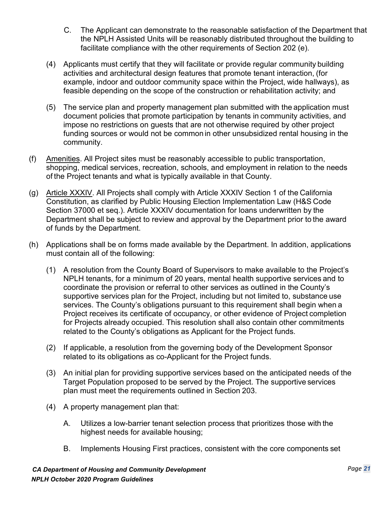- C. The Applicant can demonstrate to the reasonable satisfaction of the Department that the NPLH Assisted Units will be reasonably distributed throughout the building to facilitate compliance with the other requirements of Section 202 (e).
- (4) Applicants must certify that they will facilitate or provide regular community building activities and architectural design features that promote tenant interaction, (for example, indoor and outdoor community space within the Project, wide hallways), as feasible depending on the scope of the construction or rehabilitation activity; and
- (5) The service plan and property management plan submitted with the application must document policies that promote participation by tenants in community activities, and impose no restrictions on guests that are not otherwise required by other project funding sources or would not be common in other unsubsidized rental housing in the community.
- (f) Amenities. All Project sites must be reasonably accessible to public transportation, shopping, medical services, recreation, schools, and employment in relation to the needs of the Project tenants and what is typically available in that County.
- (g) Article XXXIV. All Projects shall comply with Article XXXIV Section 1 of the California Constitution, as clarified by Public Housing Election Implementation Law (H&S Code Section 37000 et seq.). Article XXXIV documentation for loans underwritten by the Department shall be subject to review and approval by the Department prior to the award of funds by the Department.
- (h) Applications shall be on forms made available by the Department. In addition, applications must contain all of the following:
	- (1) A resolution from the County Board of Supervisors to make available to the Project's NPLH tenants, for a minimum of 20 years, mental health supportive services and to coordinate the provision or referral to other services as outlined in the County's supportive services plan for the Project, including but not limited to, substance use services. The County's obligations pursuant to this requirement shall begin when a Project receives its certificate of occupancy, or other evidence of Project completion for Projects already occupied. This resolution shall also contain other commitments related to the County's obligations as Applicant for the Project funds.
	- (2) If applicable, a resolution from the governing body of the Development Sponsor related to its obligations as co-Applicant for the Project funds.
	- (3) An initial plan for providing supportive services based on the anticipated needs of the Target Population proposed to be served by the Project. The supportive services plan must meet the requirements outlined in Section 203.
	- (4) A property management plan that:
		- A. Utilizes a low-barrier tenant selection process that prioritizes those with the highest needs for available housing;
		- B. Implements Housing First practices, consistent with the core components set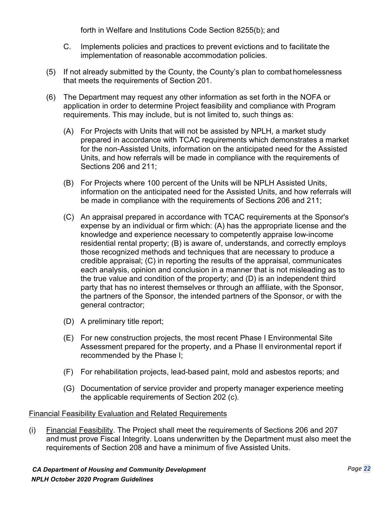forth in Welfare and Institutions Code Section 8255(b); and

- C. Implements policies and practices to prevent evictions and to facilitate the implementation of reasonable accommodation policies.
- (5) If not already submitted by the County, the County's plan to combat homelessness that meets the requirements of Section 201.
- (6) The Department may request any other information as set forth in the NOFA or application in order to determine Project feasibility and compliance with Program requirements. This may include, but is not limited to, such things as:
	- (A) For Projects with Units that will not be assisted by NPLH, a market study prepared in accordance with TCAC requirements which demonstrates a market for the non-Assisted Units, information on the anticipated need for the Assisted Units, and how referrals will be made in compliance with the requirements of Sections 206 and 211;
	- (B) For Projects where 100 percent of the Units will be NPLH Assisted Units, information on the anticipated need for the Assisted Units, and how referrals will be made in compliance with the requirements of Sections 206 and 211;
	- (C) An appraisal prepared in accordance with TCAC requirements at the Sponsor's expense by an individual or firm which: (A) has the appropriate license and the knowledge and experience necessary to competently appraise low-income residential rental property; (B) is aware of, understands, and correctly employs those recognized methods and techniques that are necessary to produce a credible appraisal; (C) in reporting the results of the appraisal, communicates each analysis, opinion and conclusion in a manner that is not misleading as to the true value and condition of the property; and (D) is an independent third party that has no interest themselves or through an affiliate, with the Sponsor, the partners of the Sponsor, the intended partners of the Sponsor, or with the general contractor;
	- (D) A preliminary title report;
	- (E) For new construction projects, the most recent Phase I Environmental Site Assessment prepared for the property, and a Phase II environmental report if recommended by the Phase I;
	- (F) For rehabilitation projects, lead-based paint, mold and asbestos reports; and
	- (G) Documentation of service provider and property manager experience meeting the applicable requirements of Section 202 (c).

#### Financial Feasibility Evaluation and Related Requirements

(i) Financial Feasibility. The Project shall meet the requirements of Sections 206 and 207 and must prove Fiscal Integrity. Loans underwritten by the Department must also meet the requirements of Section 208 and have a minimum of five Assisted Units.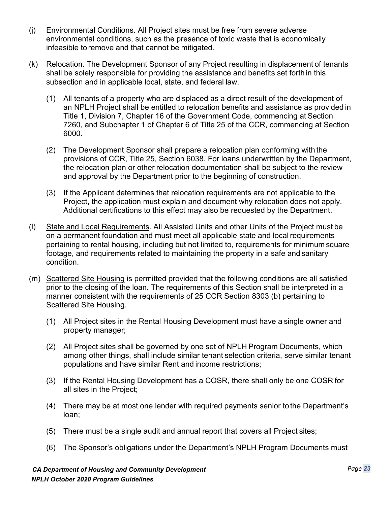- (j) Environmental Conditions. All Project sites must be free from severe adverse environmental conditions, such as the presence of toxic waste that is economically infeasible toremove and that cannot be mitigated.
- (k) Relocation. The Development Sponsor of any Project resulting in displacement of tenants shall be solely responsible for providing the assistance and benefits set forth in this subsection and in applicable local, state, and federal law.
	- (1) All tenants of a property who are displaced as a direct result of the development of an NPLH Project shall be entitled to relocation benefits and assistance as provided in Title 1, Division 7, Chapter 16 of the Government Code, commencing at Section 7260, and Subchapter 1 of Chapter 6 of Title 25 of the CCR, commencing at Section 6000.
	- (2) The Development Sponsor shall prepare a relocation plan conforming with the provisions of CCR, Title 25, Section 6038. For loans underwritten by the Department, the relocation plan or other relocation documentation shall be subject to the review and approval by the Department prior to the beginning of construction.
	- (3) If the Applicant determines that relocation requirements are not applicable to the Project, the application must explain and document why relocation does not apply. Additional certifications to this effect may also be requested by the Department.
- (l) State and Local Requirements. All Assisted Units and other Units of the Project must be on a permanent foundation and must meet all applicable state and local requirements pertaining to rental housing, including but not limited to, requirements for minimum square footage, and requirements related to maintaining the property in a safe and sanitary condition.
- (m) Scattered Site Housing is permitted provided that the following conditions are all satisfied prior to the closing of the loan. The requirements of this Section shall be interpreted in a manner consistent with the requirements of 25 CCR Section 8303 (b) pertaining to Scattered Site Housing.
	- (1) All Project sites in the Rental Housing Development must have a single owner and property manager;
	- (2) All Project sites shall be governed by one set of NPLH Program Documents, which among other things, shall include similar tenant selection criteria, serve similar tenant populations and have similar Rent and income restrictions;
	- (3) If the Rental Housing Development has a COSR, there shall only be one COSR for all sites in the Project;
	- (4) There may be at most one lender with required payments senior to the Department's loan;
	- (5) There must be a single audit and annual report that covers all Project sites;
	- (6) The Sponsor's obligations under the Department's NPLH Program Documents must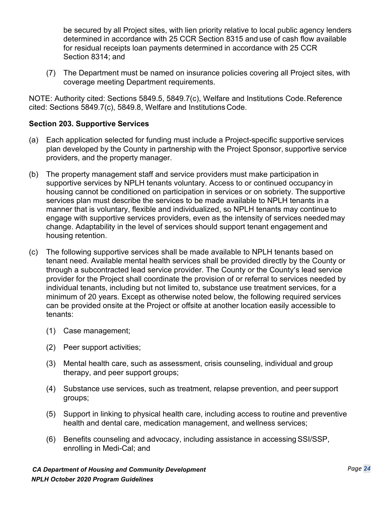<span id="page-27-0"></span>be secured by all Project sites, with lien priority relative to local public agency lenders determined in accordance with 25 CCR Section 8315 and use of cash flow available for residual receipts loan payments determined in accordance with 25 CCR Section 8314; and

(7) The Department must be named on insurance policies covering all Project sites, with coverage meeting Department requirements.

NOTE: Authority cited: Sections 5849.5, 5849.7(c), Welfare and Institutions Code.Reference cited: Sections 5849.7(c), 5849.8, Welfare and Institutions Code.

#### **Section 203. Supportive Services**

- (a) Each application selected for funding must include a Project-specific supportive services plan developed by the County in partnership with the Project Sponsor, supportive service providers, and the property manager.
- (b) The property management staff and service providers must make participation in supportive services by NPLH tenants voluntary. Access to or continued occupancy in housing cannot be conditioned on participation in services or on sobriety. The supportive services plan must describe the services to be made available to NPLH tenants in a manner that is voluntary, flexible and individualized, so NPLH tenants may continue to engage with supportive services providers, even as the intensity of services needed may change. Adaptability in the level of services should support tenant engagement and housing retention.
- (c) The following supportive services shall be made available to NPLH tenants based on tenant need. Available mental health services shall be provided directly by the County or through a subcontracted lead service provider. The County or the County's lead service provider for the Project shall coordinate the provision of or referral to services needed by individual tenants, including but not limited to, substance use treatment services, for a minimum of 20 years. Except as otherwise noted below, the following required services can be provided onsite at the Project or offsite at another location easily accessible to tenants:
	- (1) Case management;
	- (2) Peer support activities;
	- (3) Mental health care, such as assessment, crisis counseling, individual and group therapy, and peer support groups;
	- (4) Substance use services, such as treatment, relapse prevention, and peer support groups;
	- (5) Support in linking to physical health care, including access to routine and preventive health and dental care, medication management, and wellness services;
	- (6) Benefits counseling and advocacy, including assistance in accessingSSI/SSP, enrolling in Medi-Cal; and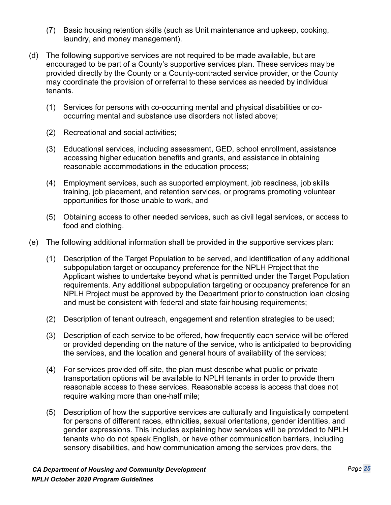- (7) Basic housing retention skills (such as Unit maintenance and upkeep, cooking, laundry, and money management).
- (d) The following supportive services are not required to be made available, but are encouraged to be part of a County's supportive services plan. These services may be provided directly by the County or a County-contracted service provider, or the County may coordinate the provision of orreferral to these services as needed by individual tenants.
	- (1) Services for persons with co-occurring mental and physical disabilities or cooccurring mental and substance use disorders not listed above;
	- (2) Recreational and social activities;
	- (3) Educational services, including assessment, GED, school enrollment, assistance accessing higher education benefits and grants, and assistance in obtaining reasonable accommodations in the education process;
	- (4) Employment services, such as supported employment, job readiness, job skills training, job placement, and retention services, or programs promoting volunteer opportunities for those unable to work, and
	- (5) Obtaining access to other needed services, such as civil legal services, or access to food and clothing.
- (e) The following additional information shall be provided in the supportive services plan:
	- (1) Description of the Target Population to be served, and identification of any additional subpopulation target or occupancy preference for the NPLH Project that the Applicant wishes to undertake beyond what is permitted under the Target Population requirements. Any additional subpopulation targeting or occupancy preference for an NPLH Project must be approved by the Department prior to construction loan closing and must be consistent with federal and state fair housing requirements;
	- (2) Description of tenant outreach, engagement and retention strategies to be used;
	- (3) Description of each service to be offered, how frequently each service will be offered or provided depending on the nature of the service, who is anticipated to beproviding the services, and the location and general hours of availability of the services;
	- (4) For services provided off-site, the plan must describe what public or private transportation options will be available to NPLH tenants in order to provide them reasonable access to these services. Reasonable access is access that does not require walking more than one-half mile;
	- (5) Description of how the supportive services are culturally and linguistically competent for persons of different races, ethnicities, sexual orientations, gender identities, and gender expressions. This includes explaining how services will be provided to NPLH tenants who do not speak English, or have other communication barriers, including sensory disabilities, and how communication among the services providers, the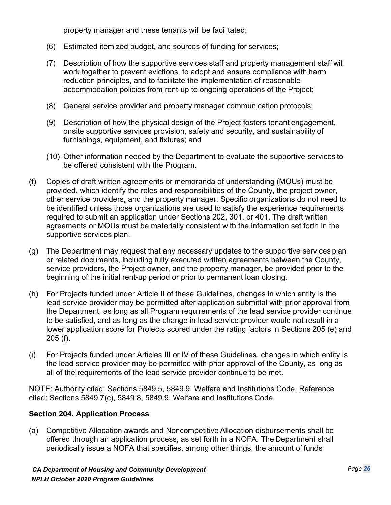property manager and these tenants will be facilitated;

- (6) Estimated itemized budget, and sources of funding for services;
- (7) Description of how the supportive services staff and property management staff will work together to prevent evictions, to adopt and ensure compliance with harm reduction principles, and to facilitate the implementation of reasonable accommodation policies from rent-up to ongoing operations of the Project;
- (8) General service provider and property manager communication protocols;
- (9) Description of how the physical design of the Project fosters tenant engagement, onsite supportive services provision, safety and security, and sustainability of furnishings, equipment, and fixtures; and
- (10) Other information needed by the Department to evaluate the supportive services to be offered consistent with the Program.
- (f) Copies of draft written agreements or memoranda of understanding (MOUs) must be provided, which identify the roles and responsibilities of the County, the project owner, other service providers, and the property manager. Specific organizations do not need to be identified unless those organizations are used to satisfy the experience requirements required to submit an application under Sections 202, 301, or 401. The draft written agreements or MOUs must be materially consistent with the information set forth in the supportive services plan.
- (g) The Department may request that any necessary updates to the supportive services plan or related documents, including fully executed written agreements between the County, service providers, the Project owner, and the property manager, be provided prior to the beginning of the initial rent-up period or prior to permanent loan closing.
- (h) For Projects funded under Article II of these Guidelines, changes in which entity is the lead service provider may be permitted after application submittal with prior approval from the Department, as long as all Program requirements of the lead service provider continue to be satisfied, and as long as the change in lead service provider would not result in a lower application score for Projects scored under the rating factors in Sections 205 (e) and 205 (f).
- (i) For Projects funded under Articles III or IV of these Guidelines, changes in which entity is the lead service provider may be permitted with prior approval of the County, as long as all of the requirements of the lead service provider continue to be met.

NOTE: Authority cited: Sections 5849.5, 5849.9, Welfare and Institutions Code. Reference cited: Sections 5849.7(c), 5849.8, 5849.9, Welfare and Institutions Code.

#### <span id="page-29-0"></span>**Section 204. Application Process**

(a) Competitive Allocation awards and Noncompetitive Allocation disbursements shall be offered through an application process, as set forth in a NOFA. The Department shall periodically issue a NOFA that specifies, among other things, the amount of funds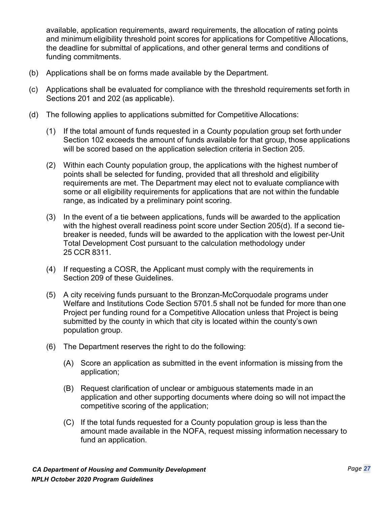available, application requirements, award requirements, the allocation of rating points and minimum eligibility threshold point scores for applications for Competitive Allocations, the deadline for submittal of applications, and other general terms and conditions of funding commitments.

- (b) Applications shall be on forms made available by the Department.
- (c) Applications shall be evaluated for compliance with the threshold requirements set forth in Sections 201 and 202 (as applicable).
- (d) The following applies to applications submitted for Competitive Allocations:
	- (1) If the total amount of funds requested in a County population group set forth under Section 102 exceeds the amount of funds available for that group, those applications will be scored based on the application selection criteria in Section 205.
	- (2) Within each County population group, the applications with the highest number of points shall be selected for funding, provided that all threshold and eligibility requirements are met. The Department may elect not to evaluate compliance with some or all eligibility requirements for applications that are not within the fundable range, as indicated by a preliminary point scoring.
	- (3) In the event of a tie between applications, funds will be awarded to the application with the highest overall readiness point score under Section 205(d). If a second tiebreaker is needed, funds will be awarded to the application with the lowest per-Unit Total Development Cost pursuant to the calculation methodology under 25 CCR 8311.
	- (4) If requesting a COSR, the Applicant must comply with the requirements in Section 209 of these Guidelines.
	- (5) A city receiving funds pursuant to the Bronzan-McCorquodale programs under Welfare and Institutions Code Section 5701.5 shall not be funded for more than one Project per funding round for a Competitive Allocation unless that Project is being submitted by the county in which that city is located within the county's own population group.
	- (6) The Department reserves the right to do the following:
		- (A) Score an application as submitted in the event information is missing from the application;
		- (B) Request clarification of unclear or ambiguous statements made in an application and other supporting documents where doing so will not impact the competitive scoring of the application;
		- (C) If the total funds requested for a County population group is less than the amount made available in the NOFA, request missing information necessary to fund an application.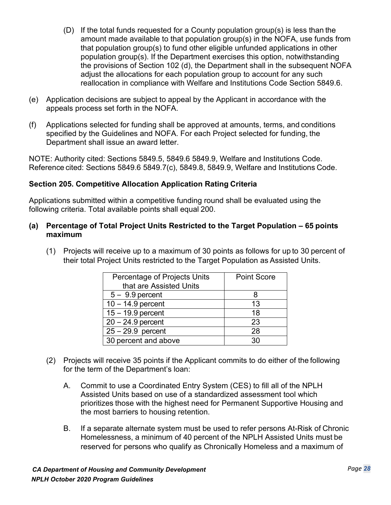- (D) If the total funds requested for a County population group(s) is less than the amount made available to that population group(s) in the NOFA, use funds from that population group(s) to fund other eligible unfunded applications in other population group(s). If the Department exercises this option, notwithstanding the provisions of Section 102 (d), the Department shall in the subsequent NOFA adjust the allocations for each population group to account for any such reallocation in compliance with Welfare and Institutions Code Section 5849.6.
- (e) Application decisions are subject to appeal by the Applicant in accordance with the appeals process set forth in the NOFA.
- (f) Applications selected for funding shall be approved at amounts, terms, and conditions specified by the Guidelines and NOFA. For each Project selected for funding, the Department shall issue an award letter.

NOTE: Authority cited: Sections 5849.5, 5849.6 5849.9, Welfare and Institutions Code. Reference cited: Sections 5849.6 5849.7(c), 5849.8, 5849.9, Welfare and Institutions Code.

#### <span id="page-31-0"></span>**Section 205. Competitive Allocation Application Rating Criteria**

Applications submitted within a competitive funding round shall be evaluated using the following criteria. Total available points shall equal 200.

#### **(a) Percentage of Total Project Units Restricted to the Target Population – 65 points maximum**

(1) Projects will receive up to a maximum of 30 points as follows for up to 30 percent of their total Project Units restricted to the Target Population as Assisted Units.

| Percentage of Projects Units | <b>Point Score</b> |
|------------------------------|--------------------|
| that are Assisted Units      |                    |
| $5 - 9.9$ percent            |                    |
| $10 - 14.9$ percent          | 13                 |
| $15 - 19.9$ percent          | 18                 |
| $20 - 24.9$ percent          | 23                 |
| $25 - 29.9$ percent          | 28                 |
| 30 percent and above         | 30.                |

- (2) Projects will receive 35 points if the Applicant commits to do either of the following for the term of the Department's loan:
	- A. Commit to use a Coordinated Entry System (CES) to fill all of the NPLH Assisted Units based on use of a standardized assessment tool which prioritizes those with the highest need for Permanent Supportive Housing and the most barriers to housing retention.
	- B. If a separate alternate system must be used to refer persons At-Risk of Chronic Homelessness, a minimum of 40 percent of the NPLH Assisted Units must be reserved for persons who qualify as Chronically Homeless and a maximum of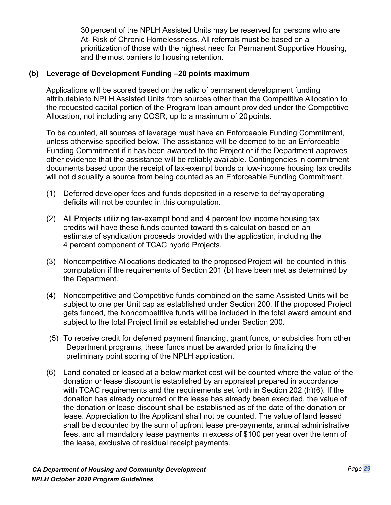30 percent of the NPLH Assisted Units may be reserved for persons who are At- Risk of Chronic Homelessness. All referrals must be based on a prioritization of those with the highest need for Permanent Supportive Housing, and the most barriers to housing retention.

#### **(b) Leverage of Development Funding –20 points maximum**

Applications will be scored based on the ratio of permanent development funding attributableto NPLH Assisted Units from sources other than the Competitive Allocation to the requested capital portion of the Program loan amount provided under the Competitive Allocation, not including any COSR, up to a maximum of 20 points.

To be counted, all sources of leverage must have an Enforceable Funding Commitment, unless otherwise specified below. The assistance will be deemed to be an Enforceable Funding Commitment if it has been awarded to the Project or if the Department approves other evidence that the assistance will be reliably available. Contingencies in commitment documents based upon the receipt of tax-exempt bonds or low-income housing tax credits will not disqualify a source from being counted as an Enforceable Funding Commitment.

- (1) Deferred developer fees and funds deposited in a reserve to defray operating deficits will not be counted in this computation.
- (2) All Projects utilizing tax-exempt bond and 4 percent low income housing tax credits will have these funds counted toward this calculation based on an estimate of syndication proceeds provided with the application, including the 4 percent component of TCAC hybrid Projects.
- (3) Noncompetitive Allocations dedicated to the proposed Project will be counted in this computation if the requirements of Section 201 (b) have been met as determined by the Department.
- (4) Noncompetitive and Competitive funds combined on the same Assisted Units will be subject to one per Unit cap as established under Section 200. If the proposed Project gets funded, the Noncompetitive funds will be included in the total award amount and subject to the total Project limit as established under Section 200.
- (5) To receive credit for deferred payment financing, grant funds, or subsidies from other Department programs, these funds must be awarded prior to finalizing the preliminary point scoring of the NPLH application.
- (6) Land donated or leased at a below market cost will be counted where the value of the donation or lease discount is established by an appraisal prepared in accordance with TCAC requirements and the requirements set forth in Section 202 (h)(6). If the donation has already occurred or the lease has already been executed, the value of the donation or lease discount shall be established as of the date of the donation or lease. Appreciation to the Applicant shall not be counted. The value of land leased shall be discounted by the sum of upfront lease pre-payments, annual administrative fees, and all mandatory lease payments in excess of \$100 per year over the term of the lease, exclusive of residual receipt payments.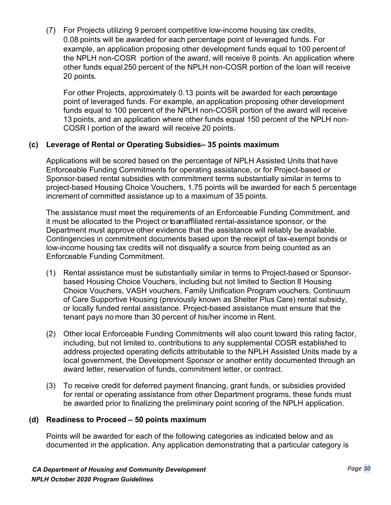(7) For Projects utilizing 9 percent competitive low-income housing tax credits, 0.08 points will be awarded for each percentage point of leveraged funds. For example, an application proposing other development funds equal to 100 percentof the NPLH non-COSR portion of the award, will receive 8 points. An application where other funds equal 250 percent of the NPLH non-COSR portion of the loan will receive 20 points.

For other Projects, approximately 0.13 points will be awarded for each percentage point of leveraged funds. For example, an application proposing other development funds equal to 100 percent of the NPLH non-COSR portion of the award will receive 13 points, and an application where other funds equal 150 percent of the NPLH non-COSR l portion of the award will receive 20 points.

#### **(c) Leverage of Rental or Operating Subsidies– 35 points maximum**

Applications will be scored based on the percentage of NPLH Assisted Units that have Enforceable Funding Commitments for operating assistance, or for Project-based or Sponsor-based rental subsidies with commitment terms substantially similar in terms to project-based Housing Choice Vouchers, 1.75 points will be awarded for each 5 percentage increment of committed assistance up to a maximum of 35 points.

The assistance must meet the requirements of an Enforceable Funding Commitment, and it must be allocated to the Project or to an affiliated rental-assistance sponsor, or the Department must approve other evidence that the assistance will reliably be available. Contingencies in commitment documents based upon the receipt of tax-exempt bonds or low-income housing tax credits will not disqualify a source from being counted as an Enforceable Funding Commitment.

- (1) Rental assistance must be substantially similar in terms to Project-based or Sponsorbased Housing Choice Vouchers, including but not limited to Section 8 Housing Choice Vouchers, VASH vouchers, Family Unification Program vouchers, Continuum of Care Supportive Housing (previously known as Shelter Plus Care) rental subsidy, or locally funded rental assistance. Project-based assistance must ensure that the tenant pays no more than 30 percent of his/her income in Rent.
- (2) Other local Enforceable Funding Commitments will also count toward this rating factor, including, but not limited to, contributions to any supplemental COSR established to address projected operating deficits attributable to the NPLH Assisted Units made by a local government, the Development Sponsor or another entity documented through an award letter, reservation of funds, commitment letter, or contract.
- (3) To receive credit for deferred payment financing, grant funds, or subsidies provided for rental or operating assistance from other Department programs, these funds must be awarded prior to finalizing the preliminary point scoring of the NPLH application.

#### **(d) Readiness to Proceed – 50 points maximum**

Points will be awarded for each of the following categories as indicated below and as documented in the application. Any application demonstrating that a particular category is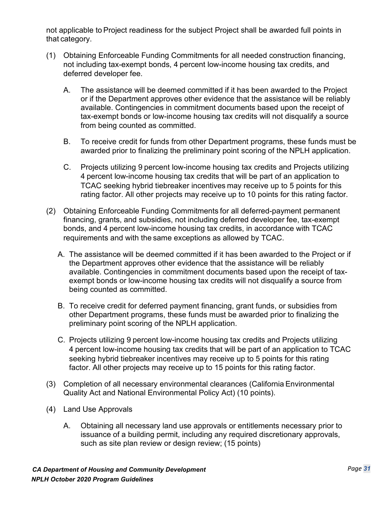not applicable to Project readiness for the subject Project shall be awarded full points in that category.

- (1) Obtaining Enforceable Funding Commitments for all needed construction financing, not including tax-exempt bonds, 4 percent low-income housing tax credits, and deferred developer fee.
	- A. The assistance will be deemed committed if it has been awarded to the Project or if the Department approves other evidence that the assistance will be reliably available. Contingencies in commitment documents based upon the receipt of tax-exempt bonds or low-income housing tax credits will not disqualify a source from being counted as committed.
	- B. To receive credit for funds from other Department programs, these funds must be awarded prior to finalizing the preliminary point scoring of the NPLH application.
	- C. Projects utilizing 9 percent low-income housing tax credits and Projects utilizing 4 percent low-income housing tax credits that will be part of an application to TCAC seeking hybrid tiebreaker incentives may receive up to 5 points for this rating factor. All other projects may receive up to 10 points for this rating factor.
- (2) Obtaining Enforceable Funding Commitments for all deferred-payment permanent financing, grants, and subsidies, not including deferred developer fee, tax-exempt bonds, and 4 percent low-income housing tax credits, in accordance with TCAC requirements and with the same exceptions as allowed by TCAC.
	- A. The assistance will be deemed committed if it has been awarded to the Project or if the Department approves other evidence that the assistance will be reliably available. Contingencies in commitment documents based upon the receipt of taxexempt bonds or low-income housing tax credits will not disqualify a source from being counted as committed.
	- B. To receive credit for deferred payment financing, grant funds, or subsidies from other Department programs, these funds must be awarded prior to finalizing the preliminary point scoring of the NPLH application.
	- C. Projects utilizing 9 percent low-income housing tax credits and Projects utilizing 4 percent low-income housing tax credits that will be part of an application to TCAC seeking hybrid tiebreaker incentives may receive up to 5 points for this rating factor. All other projects may receive up to 15 points for this rating factor.
- (3) Completion of all necessary environmental clearances (California Environmental Quality Act and National Environmental Policy Act) (10 points).
- (4) Land Use Approvals
	- A. Obtaining all necessary land use approvals or entitlements necessary prior to issuance of a building permit, including any required discretionary approvals, such as site plan review or design review; (15 points)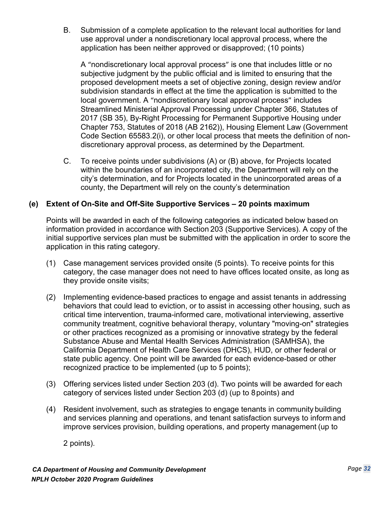B. Submission of a complete application to the relevant local authorities for land use approval under a nondiscretionary local approval process, where the application has been neither approved or disapproved; (10 points)

A "nondiscretionary local approval process" is one that includes little or no subjective judgment by the public official and is limited to ensuring that the proposed development meets a set of objective zoning, design review and/or subdivision standards in effect at the time the application is submitted to the local government. A "nondiscretionary local approval process" includes Streamlined Ministerial Approval Processing under Chapter 366, Statutes of 2017 (SB 35), By-Right Processing for Permanent Supportive Housing under Chapter 753, Statutes of 2018 (AB 2162)), Housing Element Law (Government Code Section 65583.2(i), or other local process that meets the definition of nondiscretionary approval process, as determined by the Department.

C. To receive points under subdivisions (A) or (B) above, for Projects located within the boundaries of an incorporated city, the Department will rely on the city's determination, and for Projects located in the unincorporated areas of a county, the Department will rely on the county's determination

#### **(e) Extent of On-Site and Off-Site Supportive Services – 20 points maximum**

Points will be awarded in each of the following categories as indicated below based on information provided in accordance with Section 203 (Supportive Services). A copy of the initial supportive services plan must be submitted with the application in order to score the application in this rating category.

- (1) Case management services provided onsite (5 points). To receive points for this category, the case manager does not need to have offices located onsite, as long as they provide onsite visits;
- (2) Implementing evidence-based practices to engage and assist tenants in addressing behaviors that could lead to eviction, or to assist in accessing other housing, such as critical time intervention, trauma-informed care, motivational interviewing, assertive community treatment, cognitive behavioral therapy, voluntary "moving-on" strategies or other practices recognized as a promising or innovative strategy by the federal Substance Abuse and Mental Health Services Administration (SAMHSA), the California Department of Health Care Services (DHCS), HUD, or other federal or state public agency. One point will be awarded for each evidence-based or other recognized practice to be implemented (up to 5 points);
- (3) Offering services listed under Section 203 (d). Two points will be awarded for each category of services listed under Section 203 (d) (up to 8 points) and
- (4) Resident involvement, such as strategies to engage tenants in community building and services planning and operations, and tenant satisfaction surveys to informand improve services provision, building operations, and property management (up to

2 points).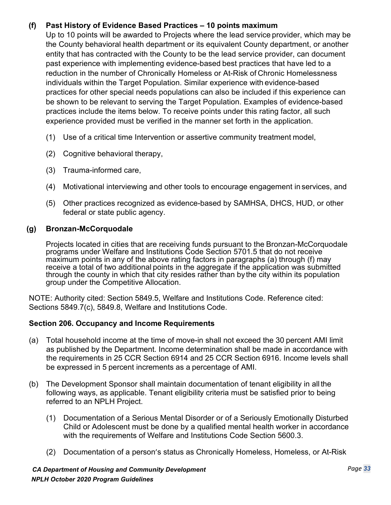# **(f) Past History of Evidence Based Practices – 10 points maximum**

Up to 10 points will be awarded to Projects where the lead service provider, which may be the County behavioral health department or its equivalent County department, or another entity that has contracted with the County to be the lead service provider, can document past experience with implementing evidence-based best practices that have led to a reduction in the number of Chronically Homeless or At-Risk of Chronic Homelessness individuals within the Target Population. Similar experience with evidence-based practices for other special needs populations can also be included if this experience can be shown to be relevant to serving the Target Population. Examples of evidence-based practices include the items below. To receive points under this rating factor, all such experience provided must be verified in the manner set forth in the application.

- (1) Use of a critical time Intervention or assertive community treatment model,
- (2) Cognitive behavioral therapy,
- (3) Trauma-informed care,
- (4) Motivational interviewing and other tools to encourage engagement in services, and
- (5) Other practices recognized as evidence-based by SAMHSA, DHCS, HUD, or other federal or state public agency.

#### **(g) Bronzan-McCorquodale**

Projects located in cities that are receiving funds pursuant to the Bronzan-McCorquodale programs under Welfare and Institutions Code Section 5701.5 that do not receive maximum points in any of the above rating factors in paragraphs (a) through (f) may receive a total of two additional points in the aggregate if the application was submitted through the county in which that city resides rather than by the city within its population group under the Competitive Allocation.

NOTE: Authority cited: Section 5849.5, Welfare and Institutions Code. Reference cited: Sections 5849.7(c), 5849.8, Welfare and Institutions Code.

#### **Section 206. Occupancy and Income Requirements**

- (a) Total household income at the time of move-in shall not exceed the 30 percent AMI limit as published by the Department. Income determination shall be made in accordance with the requirements in 25 CCR Section 6914 and 25 CCR Section 6916. Income levels shall be expressed in 5 percent increments as a percentage of AMI.
- (b) The Development Sponsor shall maintain documentation of tenant eligibility in all the following ways, as applicable. Tenant eligibility criteria must be satisfied prior to being referred to an NPLH Project.
	- (1) Documentation of a Serious Mental Disorder or of a Seriously Emotionally Disturbed Child or Adolescent must be done by a qualified mental health worker in accordance with the requirements of Welfare and Institutions Code Section 5600.3.
	- (2) Documentation of a person's status as Chronically Homeless, Homeless, or At-Risk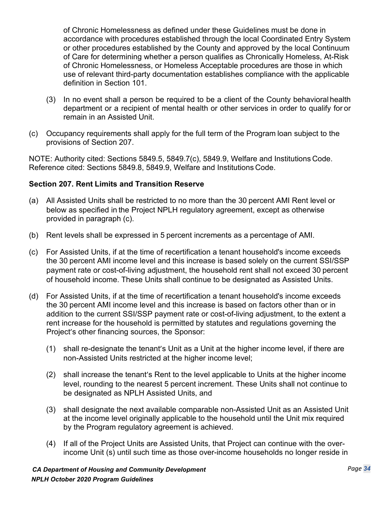of Chronic Homelessness as defined under these Guidelines must be done in accordance with procedures established through the local Coordinated Entry System or other procedures established by the County and approved by the local Continuum of Care for determining whether a person qualifies as Chronically Homeless, At-Risk of Chronic Homelessness, or Homeless Acceptable procedures are those in which use of relevant third-party documentation establishes compliance with the applicable definition in Section 101.

- (3) In no event shall a person be required to be a client of the County behavioral health department or a recipient of mental health or other services in order to qualify for or remain in an Assisted Unit.
- (c) Occupancy requirements shall apply for the full term of the Program loan subject to the provisions of Section 207.

NOTE: Authority cited: Sections 5849.5, 5849.7(c), 5849.9, Welfare and Institutions Code. Reference cited: Sections 5849.8, 5849.9, Welfare and Institutions Code.

## **Section 207. Rent Limits and Transition Reserve**

- (a) All Assisted Units shall be restricted to no more than the 30 percent AMI Rent level or below as specified in the Project NPLH regulatory agreement, except as otherwise provided in paragraph (c).
- (b) Rent levels shall be expressed in 5 percent increments as a percentage of AMI.
- (c) For Assisted Units, if at the time of recertification a tenant household's income exceeds the 30 percent AMI income level and this increase is based solely on the current SSI/SSP payment rate or cost-of-living adjustment, the household rent shall not exceed 30 percent of household income. These Units shall continue to be designated as Assisted Units.
- (d) For Assisted Units, if at the time of recertification a tenant household's income exceeds the 30 percent AMI income level and this increase is based on factors other than or in addition to the current SSI/SSP payment rate or cost-of-living adjustment, to the extent a rent increase for the household is permitted by statutes and regulations governing the Project's other financing sources, the Sponsor:
	- (1) shall re-designate the tenant's Unit as a Unit at the higher income level, if there are non-Assisted Units restricted at the higher income level;
	- (2) shall increase the tenant's Rent to the level applicable to Units at the higher income level, rounding to the nearest 5 percent increment. These Units shall not continue to be designated as NPLH Assisted Units, and
	- (3) shall designate the next available comparable non-Assisted Unit as an Assisted Unit at the income level originally applicable to the household until the Unit mix required by the Program regulatory agreement is achieved.
	- (4) If all of the Project Units are Assisted Units, that Project can continue with the overincome Unit (s) until such time as those over-income households no longer reside in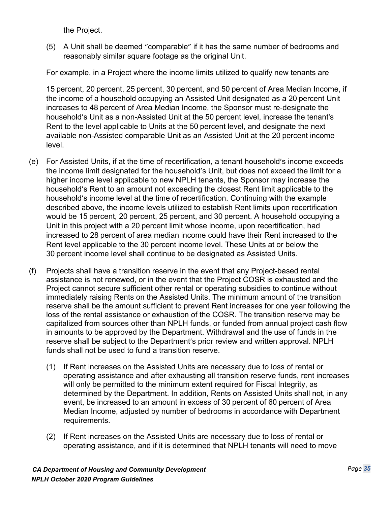the Project.

(5) A Unit shall be deemed "comparable" if it has the same number of bedrooms and reasonably similar square footage as the original Unit.

For example, in a Project where the income limits utilized to qualify new tenants are

15 percent, 20 percent, 25 percent, 30 percent, and 50 percent of Area Median Income, if the income of a household occupying an Assisted Unit designated as a 20 percent Unit increases to 48 percent of Area Median Income, the Sponsor must re-designate the household's Unit as a non-Assisted Unit at the 50 percent level, increase the tenant's Rent to the level applicable to Units at the 50 percent level, and designate the next available non-Assisted comparable Unit as an Assisted Unit at the 20 percent income level.

- (e) For Assisted Units, if at the time of recertification, a tenant household's income exceeds the income limit designated for the household's Unit, but does not exceed the limit for a higher income level applicable to new NPLH tenants, the Sponsor may increase the household's Rent to an amount not exceeding the closest Rent limit applicable to the household's income level at the time of recertification. Continuing with the example described above, the income levels utilized to establish Rent limits upon recertification would be 15 percent, 20 percent, 25 percent, and 30 percent. A household occupying a Unit in this project with a 20 percent limit whose income, upon recertification, had increased to 28 percent of area median income could have their Rent increased to the Rent level applicable to the 30 percent income level. These Units at or below the 30 percent income level shall continue to be designated as Assisted Units.
- (f) Projects shall have a transition reserve in the event that any Project-based rental assistance is not renewed, or in the event that the Project COSR is exhausted and the Project cannot secure sufficient other rental or operating subsidies to continue without immediately raising Rents on the Assisted Units. The minimum amount of the transition reserve shall be the amount sufficient to prevent Rent increases for one year following the loss of the rental assistance or exhaustion of the COSR. The transition reserve may be capitalized from sources other than NPLH funds, or funded from annual project cash flow in amounts to be approved by the Department. Withdrawal and the use of funds in the reserve shall be subject to the Department's prior review and written approval. NPLH funds shall not be used to fund a transition reserve.
	- (1) If Rent increases on the Assisted Units are necessary due to loss of rental or operating assistance and after exhausting all transition reserve funds, rent increases will only be permitted to the minimum extent required for Fiscal Integrity, as determined by the Department. In addition, Rents on Assisted Units shall not, in any event, be increased to an amount in excess of 30 percent of 60 percent of Area Median Income, adjusted by number of bedrooms in accordance with Department requirements.
	- (2) If Rent increases on the Assisted Units are necessary due to loss of rental or operating assistance, and if it is determined that NPLH tenants will need to move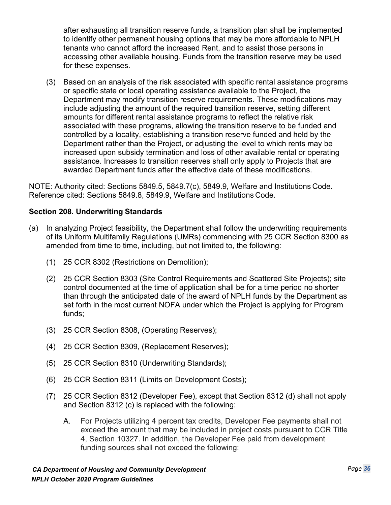after exhausting all transition reserve funds, a transition plan shall be implemented to identify other permanent housing options that may be more affordable to NPLH tenants who cannot afford the increased Rent, and to assist those persons in accessing other available housing. Funds from the transition reserve may be used for these expenses.

(3) Based on an analysis of the risk associated with specific rental assistance programs or specific state or local operating assistance available to the Project, the Department may modify transition reserve requirements. These modifications may include adjusting the amount of the required transition reserve, setting different amounts for different rental assistance programs to reflect the relative risk associated with these programs, allowing the transition reserve to be funded and controlled by a locality, establishing a transition reserve funded and held by the Department rather than the Project, or adjusting the level to which rents may be increased upon subsidy termination and loss of other available rental or operating assistance. Increases to transition reserves shall only apply to Projects that are awarded Department funds after the effective date of these modifications.

NOTE: Authority cited: Sections 5849.5, 5849.7(c), 5849.9, Welfare and Institutions Code. Reference cited: Sections 5849.8, 5849.9, Welfare and Institutions Code.

## **Section 208. Underwriting Standards**

- (a) In analyzing Project feasibility, the Department shall follow the underwriting requirements of its Uniform Multifamily Regulations (UMRs) commencing with 25 CCR Section 8300 as amended from time to time, including, but not limited to, the following:
	- (1) 25 CCR 8302 (Restrictions on Demolition);
	- (2) 25 CCR Section 8303 (Site Control Requirements and Scattered Site Projects); site control documented at the time of application shall be for a time period no shorter than through the anticipated date of the award of NPLH funds by the Department as set forth in the most current NOFA under which the Project is applying for Program funds;
	- (3) 25 CCR Section 8308, (Operating Reserves);
	- (4) 25 CCR Section 8309, (Replacement Reserves);
	- (5) 25 CCR Section 8310 (Underwriting Standards);
	- (6) 25 CCR Section 8311 (Limits on Development Costs);
	- (7) 25 CCR Section 8312 (Developer Fee), except that Section 8312 (d) shall not apply and Section 8312 (c) is replaced with the following:
		- A. For Projects utilizing 4 percent tax credits, Developer Fee payments shall not exceed the amount that may be included in project costs pursuant to CCR Title 4, Section 10327. In addition, the Developer Fee paid from development funding sources shall not exceed the following: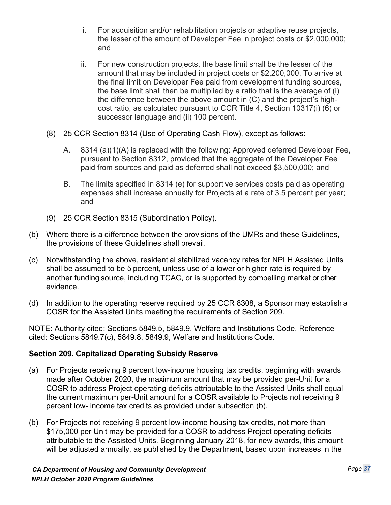- i. For acquisition and/or rehabilitation projects or adaptive reuse projects, the lesser of the amount of Developer Fee in project costs or \$2,000,000; and
- ii. For new construction projects, the base limit shall be the lesser of the amount that may be included in project costs or \$2,200,000. To arrive at the final limit on Developer Fee paid from development funding sources, the base limit shall then be multiplied by a ratio that is the average of (i) the difference between the above amount in (C) and the project's highcost ratio, as calculated pursuant to CCR Title 4, Section 10317(i) (6) or successor language and (ii) 100 percent.
- (8) 25 CCR Section 8314 (Use of Operating Cash Flow), except as follows:
	- A. 8314 (a)(1)(A) is replaced with the following: Approved deferred Developer Fee, pursuant to Section 8312, provided that the aggregate of the Developer Fee paid from sources and paid as deferred shall not exceed \$3,500,000; and
	- B. The limits specified in 8314 (e) for supportive services costs paid as operating expenses shall increase annually for Projects at a rate of 3.5 percent per year; and
- (9) 25 CCR Section 8315 (Subordination Policy).
- (b) Where there is a difference between the provisions of the UMRs and these Guidelines, the provisions of these Guidelines shall prevail.
- (c) Notwithstanding the above, residential stabilized vacancy rates for NPLH Assisted Units shall be assumed to be 5 percent, unless use of a lower or higher rate is required by another funding source, including TCAC, or is supported by compelling market or other evidence.
- (d) In addition to the operating reserve required by 25 CCR 8308, a Sponsor may establish a COSR for the Assisted Units meeting the requirements of Section 209.

NOTE: Authority cited: Sections 5849.5, 5849.9, Welfare and Institutions Code. Reference cited: Sections 5849.7(c), 5849.8, 5849.9, Welfare and Institutions Code.

## **Section 209. Capitalized Operating Subsidy Reserve**

- (a) For Projects receiving 9 percent low-income housing tax credits, beginning with awards made after October 2020, the maximum amount that may be provided per-Unit for a COSR to address Project operating deficits attributable to the Assisted Units shall equal the current maximum per-Unit amount for a COSR available to Projects not receiving 9 percent low- income tax credits as provided under subsection (b).
- (b) For Projects not receiving 9 percent low-income housing tax credits, not more than \$175,000 per Unit may be provided for a COSR to address Project operating deficits attributable to the Assisted Units. Beginning January 2018, for new awards, this amount will be adjusted annually, as published by the Department, based upon increases in the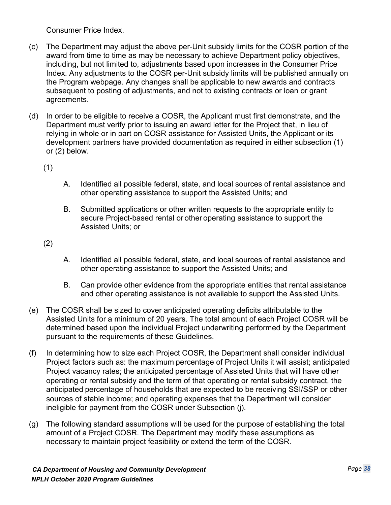Consumer Price Index.

- (c) The Department may adjust the above per-Unit subsidy limits for the COSR portion of the award from time to time as may be necessary to achieve Department policy objectives, including, but not limited to, adjustments based upon increases in the Consumer Price Index. Any adjustments to the COSR per-Unit subsidy limits will be published annually on the Program webpage. Any changes shall be applicable to new awards and contracts subsequent to posting of adjustments, and not to existing contracts or loan or grant agreements.
- (d) In order to be eligible to receive a COSR, the Applicant must first demonstrate, and the Department must verify prior to issuing an award letter for the Project that, in lieu of relying in whole or in part on COSR assistance for Assisted Units, the Applicant or its development partners have provided documentation as required in either subsection (1) or (2) below.

(1)

- A. Identified all possible federal, state, and local sources of rental assistance and other operating assistance to support the Assisted Units; and
- B. Submitted applications or other written requests to the appropriate entity to secure Project-based rental or other operating assistance to support the Assisted Units; or

(2)

- A. Identified all possible federal, state, and local sources of rental assistance and other operating assistance to support the Assisted Units; and
- B. Can provide other evidence from the appropriate entities that rental assistance and other operating assistance is not available to support the Assisted Units.
- (e) The COSR shall be sized to cover anticipated operating deficits attributable to the Assisted Units for a minimum of 20 years. The total amount of each Project COSR will be determined based upon the individual Project underwriting performed by the Department pursuant to the requirements of these Guidelines.
- (f) In determining how to size each Project COSR, the Department shall consider individual Project factors such as: the maximum percentage of Project Units it will assist; anticipated Project vacancy rates; the anticipated percentage of Assisted Units that will have other operating or rental subsidy and the term of that operating or rental subsidy contract, the anticipated percentage of households that are expected to be receiving SSI/SSP or other sources of stable income; and operating expenses that the Department will consider ineligible for payment from the COSR under Subsection (j).
- (g) The following standard assumptions will be used for the purpose of establishing the total amount of a Project COSR. The Department may modify these assumptions as necessary to maintain project feasibility or extend the term of the COSR.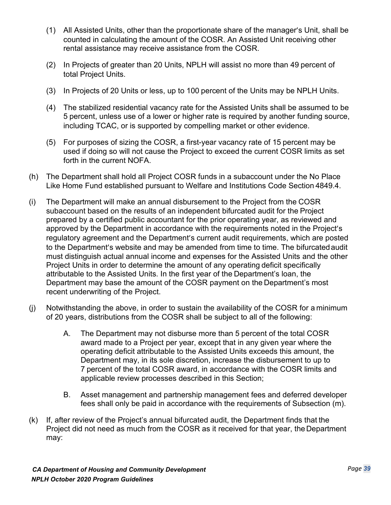- (1) All Assisted Units, other than the proportionate share of the manager's Unit, shall be counted in calculating the amount of the COSR. An Assisted Unit receiving other rental assistance may receive assistance from the COSR.
- (2) In Projects of greater than 20 Units, NPLH will assist no more than 49 percent of total Project Units.
- (3) In Projects of 20 Units or less, up to 100 percent of the Units may be NPLH Units.
- (4) The stabilized residential vacancy rate for the Assisted Units shall be assumed to be 5 percent, unless use of a lower or higher rate is required by another funding source, including TCAC, or is supported by compelling market or other evidence.
- (5) For purposes of sizing the COSR, a first-year vacancy rate of 15 percent may be used if doing so will not cause the Project to exceed the current COSR limits as set forth in the current NOFA.
- (h) The Department shall hold all Project COSR funds in a subaccount under the No Place Like Home Fund established pursuant to Welfare and Institutions Code Section 4849.4.
- (i) The Department will make an annual disbursement to the Project from the COSR subaccount based on the results of an independent bifurcated audit for the Project prepared by a certified public accountant for the prior operating year, as reviewed and approved by the Department in accordance with the requirements noted in the Project's regulatory agreement and the Department's current audit requirements, which are posted to the Department's website and may be amended from time to time. The bifurcatedaudit must distinguish actual annual income and expenses for the Assisted Units and the other Project Units in order to determine the amount of any operating deficit specifically attributable to the Assisted Units. In the first year of the Department's loan, the Department may base the amount of the COSR payment on the Department's most recent underwriting of the Project.
- (j) Notwithstanding the above, in order to sustain the availability of the COSR for a minimum of 20 years, distributions from the COSR shall be subject to all of the following:
	- A. The Department may not disburse more than 5 percent of the total COSR award made to a Project per year, except that in any given year where the operating deficit attributable to the Assisted Units exceeds this amount, the Department may, in its sole discretion, increase the disbursement to up to 7 percent of the total COSR award, in accordance with the COSR limits and applicable review processes described in this Section;
	- B. Asset management and partnership management fees and deferred developer fees shall only be paid in accordance with the requirements of Subsection (m).
- (k) If, after review of the Project's annual bifurcated audit, the Department finds that the Project did not need as much from the COSR as it received for that year, the Department may: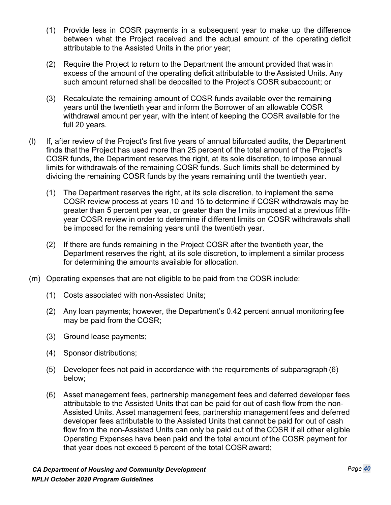- (1) Provide less in COSR payments in a subsequent year to make up the difference between what the Project received and the actual amount of the operating deficit attributable to the Assisted Units in the prior year;
- (2) Require the Project to return to the Department the amount provided that was in excess of the amount of the operating deficit attributable to the Assisted Units. Any such amount returned shall be deposited to the Project's COSR subaccount; or
- (3) Recalculate the remaining amount of COSR funds available over the remaining years until the twentieth year and inform the Borrower of an allowable COSR withdrawal amount per year, with the intent of keeping the COSR available for the full 20 years.
- (l) If, after review of the Project's first five years of annual bifurcated audits, the Department finds that the Project has used more than 25 percent of the total amount of the Project's COSR funds, the Department reserves the right, at its sole discretion, to impose annual limits for withdrawals of the remaining COSR funds. Such limits shall be determined by dividing the remaining COSR funds by the years remaining until the twentieth year.
	- (1) The Department reserves the right, at its sole discretion, to implement the same COSR review process at years 10 and 15 to determine if COSR withdrawals may be greater than 5 percent per year, or greater than the limits imposed at a previous fifthyear COSR review in order to determine if different limits on COSR withdrawals shall be imposed for the remaining years until the twentieth year.
	- (2) If there are funds remaining in the Project COSR after the twentieth year, the Department reserves the right, at its sole discretion, to implement a similar process for determining the amounts available for allocation.
- (m) Operating expenses that are not eligible to be paid from the COSR include:
	- (1) Costs associated with non-Assisted Units;
	- (2) Any loan payments; however, the Department's 0.42 percent annual monitoring fee may be paid from the COSR;
	- (3) Ground lease payments;
	- (4) Sponsor distributions;
	- (5) Developer fees not paid in accordance with the requirements of subparagraph (6) below;
	- (6) Asset management fees, partnership management fees and deferred developer fees attributable to the Assisted Units that can be paid for out of cash flow from the non-Assisted Units. Asset management fees, partnership management fees and deferred developer fees attributable to the Assisted Units that cannot be paid for out of cash flow from the non-Assisted Units can only be paid out of the COSR if all other eligible Operating Expenses have been paid and the total amount of the COSR payment for that year does not exceed 5 percent of the total COSR award;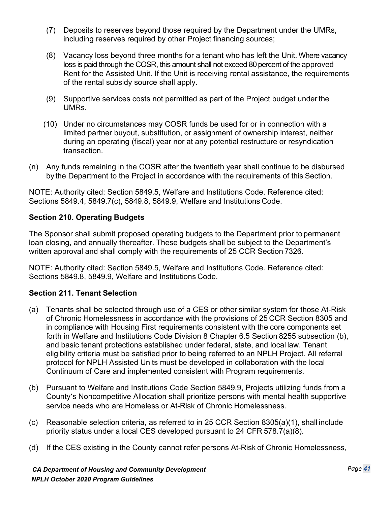- (7) Deposits to reserves beyond those required by the Department under the UMRs, including reserves required by other Project financing sources;
- (8) Vacancy loss beyond three months for a tenant who has left the Unit. Where vacancy loss is paid through the COSR, this amount shall not exceed 80 percent of the approved Rent for the Assisted Unit. If the Unit is receiving rental assistance, the requirements of the rental subsidy source shall apply.
- (9) Supportive services costs not permitted as part of the Project budget under the UMRs.
- (10) Under no circumstances may COSR funds be used for or in connection with a limited partner buyout, substitution, or assignment of ownership interest, neither during an operating (fiscal) year nor at any potential restructure or resyndication transaction.
- (n) Any funds remaining in the COSR after the twentieth year shall continue to be disbursed by the Department to the Project in accordance with the requirements of this Section.

NOTE: Authority cited: Section 5849.5, Welfare and Institutions Code. Reference cited: Sections 5849.4, 5849.7(c), 5849.8, 5849.9, Welfare and Institutions Code.

## **Section 210. Operating Budgets**

The Sponsor shall submit proposed operating budgets to the Department prior to permanent loan closing, and annually thereafter. These budgets shall be subject to the Department's written approval and shall comply with the requirements of 25 CCR Section 7326.

NOTE: Authority cited: Section 5849.5, Welfare and Institutions Code. Reference cited: Sections 5849.8, 5849.9, Welfare and Institutions Code.

## **Section 211. Tenant Selection**

- (a) Tenants shall be selected through use of a CES or other similar system for those At-Risk of Chronic Homelessness in accordance with the provisions of 25 CCR Section 8305 and in compliance with Housing First requirements consistent with the core components set forth in Welfare and Institutions Code Division 8 Chapter 6.5 Section 8255 subsection (b), and basic tenant protections established under federal, state, and local law. Tenant eligibility criteria must be satisfied prior to being referred to an NPLH Project. All referral protocol for NPLH Assisted Units must be developed in collaboration with the local Continuum of Care and implemented consistent with Program requirements.
- (b) Pursuant to Welfare and Institutions Code Section 5849.9, Projects utilizing funds from a County's Noncompetitive Allocation shall prioritize persons with mental health supportive service needs who are Homeless or At-Risk of Chronic Homelessness.
- (c) Reasonable selection criteria, as referred to in 25 CCR Section 8305(a)(1), shall include priority status under a local CES developed pursuant to 24 CFR 578.7(a)(8).
- (d) If the CES existing in the County cannot refer persons At-Risk of Chronic Homelessness,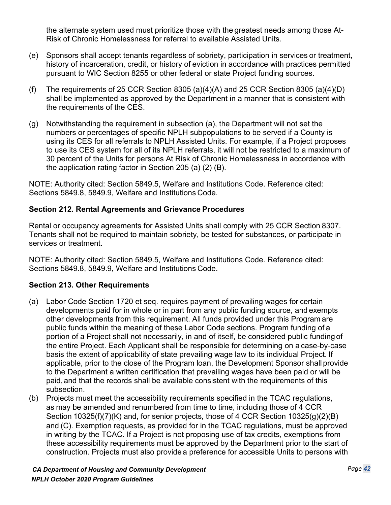the alternate system used must prioritize those with the greatest needs among those At-Risk of Chronic Homelessness for referral to available Assisted Units.

- (e) Sponsors shall accept tenants regardless of sobriety, participation in services or treatment, history of incarceration, credit, or history of eviction in accordance with practices permitted pursuant to WIC Section 8255 or other federal or state Project funding sources.
- (f) The requirements of 25 CCR Section 8305 (a)(4)(A) and 25 CCR Section 8305 (a)(4)(D) shall be implemented as approved by the Department in a manner that is consistent with the requirements of the CES.
- (g) Notwithstanding the requirement in subsection (a), the Department will not set the numbers or percentages of specific NPLH subpopulations to be served if a County is using its CES for all referrals to NPLH Assisted Units. For example, if a Project proposes to use its CES system for all of its NPLH referrals, it will not be restricted to a maximum of 30 percent of the Units for persons At Risk of Chronic Homelessness in accordance with the application rating factor in Section 205 (a) (2) (B).

NOTE: Authority cited: Section 5849.5, Welfare and Institutions Code. Reference cited: Sections 5849.8, 5849.9, Welfare and Institutions Code.

#### **Section 212. Rental Agreements and Grievance Procedures**

Rental or occupancy agreements for Assisted Units shall comply with 25 CCR Section 8307. Tenants shall not be required to maintain sobriety, be tested for substances, or participate in services or treatment.

NOTE: Authority cited: Section 5849.5, Welfare and Institutions Code. Reference cited: Sections 5849.8, 5849.9, Welfare and Institutions Code.

## **Section 213. Other Requirements**

- (a) Labor Code Section 1720 et seq. requires payment of prevailing wages for certain developments paid for in whole or in part from any public funding source, and exempts other developments from this requirement. All funds provided under this Program are public funds within the meaning of these Labor Code sections. Program funding of a portion of a Project shall not necessarily, in and of itself, be considered public funding of the entire Project. Each Applicant shall be responsible for determining on a case-by-case basis the extent of applicability of state prevailing wage law to its individual Project. If applicable, prior to the close of the Program loan, the Development Sponsor shall provide to the Department a written certification that prevailing wages have been paid or will be paid,and that the records shall be available consistent with the requirements of this subsection.
- (b) Projects must meet the accessibility requirements specified in the TCAC regulations, as may be amended and renumbered from time to time, including those of 4 CCR Section 10325(f)(7)(K) and, for senior projects, those of 4 CCR Section 10325(g)(2)(B) and (C). Exemption requests, as provided for in the TCAC regulations, must be approved in writing by the TCAC. If a Project is not proposing use of tax credits, exemptions from these accessibility requirements must be approved by the Department prior to the start of construction. Projects must also provide a preference for accessible Units to persons with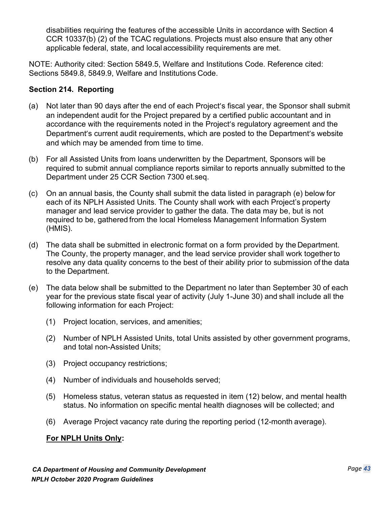disabilities requiring the features of the accessible Units in accordance with Section 4 CCR 10337(b) (2) of the TCAC regulations. Projects must also ensure that any other applicable federal, state, and localaccessibility requirements are met.

NOTE: Authority cited: Section 5849.5, Welfare and Institutions Code. Reference cited: Sections 5849.8, 5849.9, Welfare and Institutions Code.

## **Section 214. Reporting**

- (a) Not later than 90 days after the end of each Project's fiscal year, the Sponsor shall submit an independent audit for the Project prepared by a certified public accountant and in accordance with the requirements noted in the Project's regulatory agreement and the Department's current audit requirements, which are posted to the Department's website and which may be amended from time to time.
- (b) For all Assisted Units from loans underwritten by the Department, Sponsors will be required to submit annual compliance reports similar to reports annually submitted to the Department under 25 CCR Section 7300 et.seq.
- (c) On an annual basis, the County shall submit the data listed in paragraph (e) below for each of its NPLH Assisted Units. The County shall work with each Project's property manager and lead service provider to gather the data. The data may be, but is not required to be, gathered from the local Homeless Management Information System (HMIS).
- (d) The data shall be submitted in electronic format on a form provided by the Department. The County, the property manager, and the lead service provider shall work together to resolve any data quality concerns to the best of their ability prior to submission of the data to the Department.
- (e) The data below shall be submitted to the Department no later than September 30 of each year for the previous state fiscal year of activity (July 1-June 30) and shall include all the following information for each Project:
	- (1) Project location, services, and amenities;
	- (2) Number of NPLH Assisted Units, total Units assisted by other government programs, and total non-Assisted Units;
	- (3) Project occupancy restrictions;
	- (4) Number of individuals and households served;
	- (5) Homeless status, veteran status as requested in item (12) below, and mental health status. No information on specific mental health diagnoses will be collected; and
	- (6) Average Project vacancy rate during the reporting period (12-month average).

## **For NPLH Units Only:**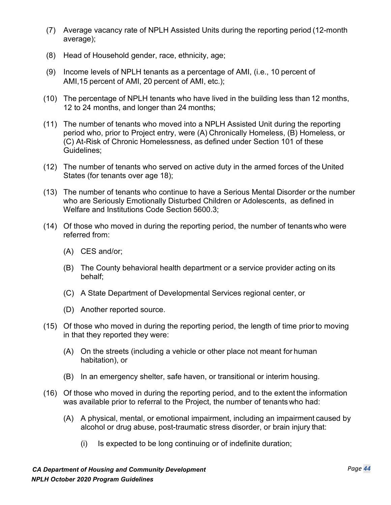- (7) Average vacancy rate of NPLH Assisted Units during the reporting period (12-month average);
- (8) Head of Household gender, race, ethnicity, age;
- (9) Income levels of NPLH tenants as a percentage of AMI, (i.e., 10 percent of AMI,15 percent of AMI, 20 percent of AMI, etc.);
- (10) The percentage of NPLH tenants who have lived in the building less than 12 months, 12 to 24 months, and longer than 24 months;
- (11) The number of tenants who moved into a NPLH Assisted Unit during the reporting period who, prior to Project entry, were (A) Chronically Homeless, (B) Homeless, or (C) At-Risk of Chronic Homelessness, as defined under Section 101 of these Guidelines;
- (12) The number of tenants who served on active duty in the armed forces of the United States (for tenants over age 18);
- (13) The number of tenants who continue to have a Serious Mental Disorder or the number who are Seriously Emotionally Disturbed Children or Adolescents, as defined in [Welfare and Institutions Code Section](http://leginfo.legislature.ca.gov/faces/codes_displaySection.xhtml?lawCode=WIC&sectionNum=5600.3) 5600.3;
- (14) Of those who moved in during the reporting period, the number of tenantswho were referred from:
	- (A) CES and/or;
	- (B) The County behavioral health department or a service provider acting on its behalf;
	- (C) A State Department of Developmental Services regional center, or
	- (D) Another reported source.
- (15) Of those who moved in during the reporting period, the length of time prior to moving in that they reported they were:
	- (A) On the streets (including a vehicle or other place not meant for human habitation), or
	- (B) In an emergency shelter, safe haven, or transitional or interim housing.
- (16) Of those who moved in during the reporting period, and to the extent the information was available prior to referral to the Project, the number of tenantswho had:
	- (A) A physical, mental, or emotional impairment, including an impairment caused by alcohol or drug abuse, post-traumatic stress disorder, or brain injury that:
		- (i) Is expected to be long continuing or of indefinite duration;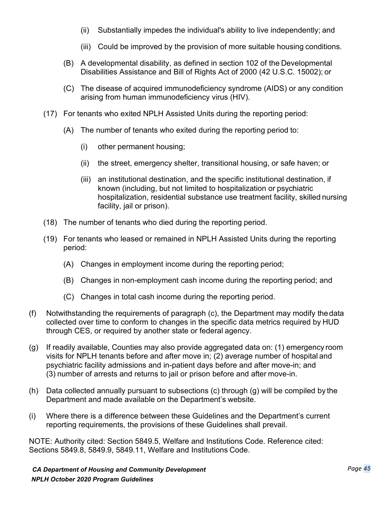- (ii) Substantially impedes the individual's ability to live independently; and
- (iii) Could be improved by the provision of more suitable housing conditions.
- (B) A developmental disability, as defined in section 102 of the Developmental Disabilities Assistance and Bill of Rights Act of 2000 (42 U.S.C. 15002); or
- (C) The disease of acquired immunodeficiency syndrome (AIDS) or any condition arising from human immunodeficiency virus (HIV).
- (17) For tenants who exited NPLH Assisted Units during the reporting period:
	- (A) The number of tenants who exited during the reporting period to:
		- (i) other permanent housing;
		- (ii) the street, emergency shelter, transitional housing, or safe haven; or
		- (iii) an institutional destination, and the specific institutional destination, if known (including, but not limited to hospitalization or psychiatric hospitalization, residential substance use treatment facility, skilled nursing facility, jail or prison).
- (18) The number of tenants who died during the reporting period.
- (19) For tenants who leased or remained in NPLH Assisted Units during the reporting period:
	- (A) Changes in employment income during the reporting period;
	- (B) Changes in non-employment cash income during the reporting period; and
	- (C) Changes in total cash income during the reporting period.
- (f) Notwithstanding the requirements of paragraph (c), the Department may modify thedata collected over time to conform to changes in the specific data metrics required by HUD through CES, or required by another state or federal agency.
- (g) If readily available, Counties may also provide aggregated data on: (1) emergency room visits for NPLH tenants before and after move in; (2) average number of hospital and psychiatric facility admissions and in-patient days before and after move-in; and (3) number of arrests and returns to jail or prison before and after move-in.
- (h) Data collected annually pursuant to subsections (c) through (g) will be compiled by the Department and made available on the Department's website.
- (i) Where there is a difference between these Guidelines and the Department's current reporting requirements, the provisions of these Guidelines shall prevail.

NOTE: Authority cited: Section 5849.5, Welfare and Institutions Code. Reference cited: Sections 5849.8, 5849.9, 5849.11, Welfare and Institutions Code.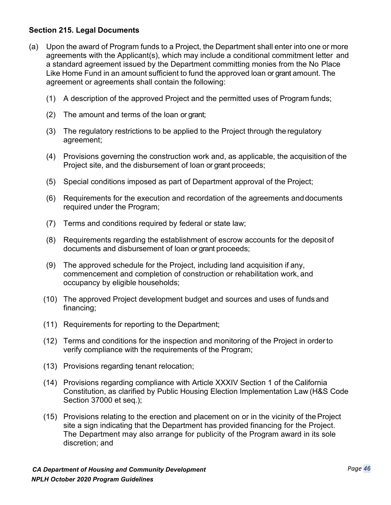## **Section 215. Legal Documents**

- (a) Upon the award of Program funds to a Project, the Department shall enter into one or more agreements with the Applicant(s), which may include a conditional commitment letter and a standard agreement issued by the Department committing monies from the No Place Like Home Fund in an amount sufficient to fund the approved loan or grant amount. The agreement or agreements shall contain the following:
	- (1) A description of the approved Project and the permitted uses of Program funds;
	- (2) The amount and terms of the loan or grant;
	- (3) The regulatory restrictions to be applied to the Project through the regulatory agreement;
	- (4) Provisions governing the construction work and, as applicable, the acquisition of the Project site, and the disbursement of loan or grant proceeds;
	- (5) Special conditions imposed as part of Department approval of the Project;
	- (6) Requirements for the execution and recordation of the agreements anddocuments required under the Program;
	- (7) Terms and conditions required by federal or state law;
	- (8) Requirements regarding the establishment of escrow accounts for the deposit of documents and disbursement of loan or grant proceeds;
	- (9) The approved schedule for the Project, including land acquisition if any, commencement and completion of construction or rehabilitation work, and occupancy by eligible households;
	- (10) The approved Project development budget and sources and uses of funds and financing;
	- (11) Requirements for reporting to the Department;
	- (12) Terms and conditions for the inspection and monitoring of the Project in orderto verify compliance with the requirements of the Program;
	- (13) Provisions regarding tenant relocation;
	- (14) Provisions regarding compliance with Article XXXIV Section 1 of the California Constitution, as clarified by Public Housing Election Implementation Law (H&S Code Section 37000 et seq.);
	- (15) Provisions relating to the erection and placement on or in the vicinity of theProject site a sign indicating that the Department has provided financing for the Project. The Department may also arrange for publicity of the Program award in its sole discretion; and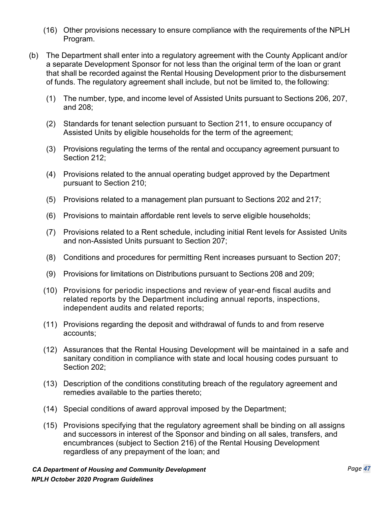- (16) Other provisions necessary to ensure compliance with the requirements of the NPLH Program.
- (b) The Department shall enter into a regulatory agreement with the County Applicant and/or a separate Development Sponsor for not less than the original term of the loan or grant that shall be recorded against the Rental Housing Development prior to the disbursement of funds. The regulatory agreement shall include, but not be limited to, the following:
	- (1) The number, type, and income level of Assisted Units pursuant to Sections 206, 207, and 208;
	- (2) Standards for tenant selection pursuant to Section 211, to ensure occupancy of Assisted Units by eligible households for the term of the agreement;
	- (3) Provisions regulating the terms of the rental and occupancy agreement pursuant to Section 212;
	- (4) Provisions related to the annual operating budget approved by the Department pursuant to Section 210;
	- (5) Provisions related to a management plan pursuant to Sections 202 and 217;
	- (6) Provisions to maintain affordable rent levels to serve eligible households;
	- (7) Provisions related to a Rent schedule, including initial Rent levels for Assisted Units and non-Assisted Units pursuant to Section 207;
	- (8) Conditions and procedures for permitting Rent increases pursuant to Section 207;
	- (9) Provisions for limitations on Distributions pursuant to Sections 208 and 209;
	- (10) Provisions for periodic inspections and review of year-end fiscal audits and related reports by the Department including annual reports, inspections, independent audits and related reports;
	- (11) Provisions regarding the deposit and withdrawal of funds to and from reserve accounts;
	- (12) Assurances that the Rental Housing Development will be maintained in a safe and sanitary condition in compliance with state and local housing codes pursuant to Section 202;
	- (13) Description of the conditions constituting breach of the regulatory agreement and remedies available to the parties thereto;
	- (14) Special conditions of award approval imposed by the Department;
	- (15) Provisions specifying that the regulatory agreement shall be binding on all assigns and successors in interest of the Sponsor and binding on all sales, transfers, and encumbrances (subject to Section 216) of the Rental Housing Development regardless of any prepayment of the loan; and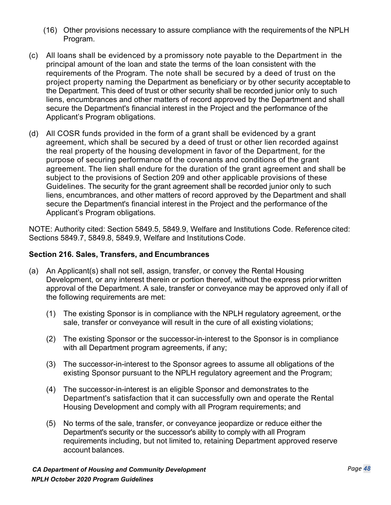- (16) Other provisions necessary to assure compliance with the requirements of the NPLH Program.
- (c) All loans shall be evidenced by a promissory note payable to the Department in the principal amount of the loan and state the terms of the loan consistent with the requirements of the Program. The note shall be secured by a deed of trust on the project property naming the Department as beneficiary or by other security acceptable to the Department. This deed of trust or other security shall be recorded junior only to such liens, encumbrances and other matters of record approved by the Department and shall secure the Department's financial interest in the Project and the performance of the Applicant's Program obligations.
- (d) All COSR funds provided in the form of a grant shall be evidenced by a grant agreement, which shall be secured by a deed of trust or other lien recorded against the real property of the housing development in favor of the Department, for the purpose of securing performance of the covenants and conditions of the grant agreement. The lien shall endure for the duration of the grant agreement and shall be subject to the provisions of Section 209 and other applicable provisions of these Guidelines. The security for the grant agreement shall be recorded junior only to such liens, encumbrances, and other matters of record approved by the Department and shall secure the Department's financial interest in the Project and the performance of the Applicant's Program obligations.

NOTE: Authority cited: Section 5849.5, 5849.9, Welfare and Institutions Code. Reference cited: Sections 5849.7, 5849.8, 5849.9, Welfare and Institutions Code.

#### **Section 216. Sales, Transfers, and Encumbrances**

- (a) An Applicant(s) shall not sell, assign, transfer, or convey the Rental Housing Development, or any interest therein or portion thereof, without the express priorwritten approval of the Department. A sale, transfer or conveyance may be approved only if all of the following requirements are met:
	- (1) The existing Sponsor is in compliance with the NPLH regulatory agreement, or the sale, transfer or conveyance will result in the cure of all existing violations;
	- (2) The existing Sponsor or the successor-in-interest to the Sponsor is in compliance with all Department program agreements, if any;
	- (3) The successor-in-interest to the Sponsor agrees to assume all obligations of the existing Sponsor pursuant to the NPLH regulatory agreement and the Program;
	- (4) The successor-in-interest is an eligible Sponsor and demonstrates to the Department's satisfaction that it can successfully own and operate the Rental Housing Development and comply with all Program requirements; and
	- (5) No terms of the sale, transfer, or conveyance jeopardize or reduce either the Department's security or the successor's ability to comply with all Program requirements including, but not limited to, retaining Department approved reserve account balances.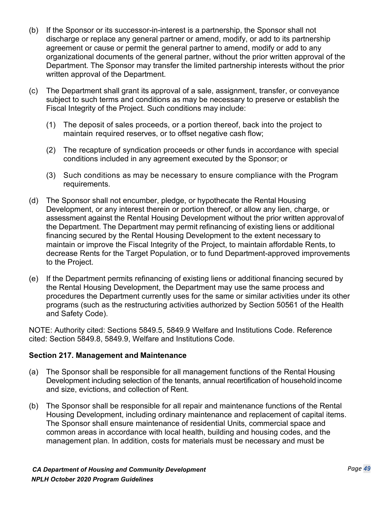- (b) If the Sponsor or its successor-in-interest is a partnership, the Sponsor shall not discharge or replace any general partner or amend, modify, or add to its partnership agreement or cause or permit the general partner to amend, modify or add to any organizational documents of the general partner, without the prior written approval of the Department. The Sponsor may transfer the limited partnership interests without the prior written approval of the Department.
- (c) The Department shall grant its approval of a sale, assignment, transfer, or conveyance subject to such terms and conditions as may be necessary to preserve or establish the Fiscal Integrity of the Project. Such conditions may include:
	- (1) The deposit of sales proceeds, or a portion thereof, back into the project to maintain required reserves, or to offset negative cash flow;
	- (2) The recapture of syndication proceeds or other funds in accordance with special conditions included in any agreement executed by the Sponsor; or
	- (3) Such conditions as may be necessary to ensure compliance with the Program requirements.
- (d) The Sponsor shall not encumber, pledge, or hypothecate the Rental Housing Development, or any interest therein or portion thereof, or allow any lien, charge, or assessment against the Rental Housing Development without the prior written approvalof the Department. The Department may permit refinancing of existing liens or additional financing secured by the Rental Housing Development to the extent necessary to maintain or improve the Fiscal Integrity of the Project, to maintain affordable Rents, to decrease Rents for the Target Population, or to fund Department-approved improvements to the Project.
- (e) If the Department permits refinancing of existing liens or additional financing secured by the Rental Housing Development, the Department may use the same process and procedures the Department currently uses for the same or similar activities under its other programs (such as the restructuring activities authorized by Section 50561 of the Health and Safety Code).

NOTE: Authority cited: Sections 5849.5, 5849.9 Welfare and Institutions Code. Reference cited: Section 5849.8, 5849.9, Welfare and Institutions Code.

## **Section 217. Management and Maintenance**

- (a) The Sponsor shall be responsible for all management functions of the Rental Housing Development including selection of the tenants, annual recertification of household income and size, evictions, and collection of Rent.
- (b) The Sponsor shall be responsible for all repair and maintenance functions of the Rental Housing Development, including ordinary maintenance and replacement of capital items. The Sponsor shall ensure maintenance of residential Units, commercial space and common areas in accordance with local health, building and housing codes, and the management plan. In addition, costs for materials must be necessary and must be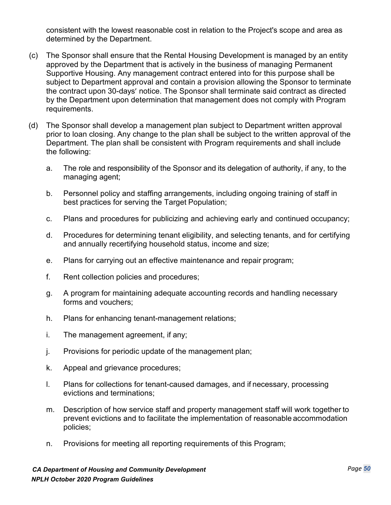consistent with the lowest reasonable cost in relation to the Project's scope and area as determined by the Department.

- (c) The Sponsor shall ensure that the Rental Housing Development is managed by an entity approved by the Department that is actively in the business of managing Permanent Supportive Housing. Any management contract entered into for this purpose shall be subject to Department approval and contain a provision allowing the Sponsor to terminate the contract upon 30-days' notice. The Sponsor shall terminate said contract as directed by the Department upon determination that management does not comply with Program requirements.
- (d) The Sponsor shall develop a management plan subject to Department written approval prior to loan closing. Any change to the plan shall be subject to the written approval of the Department. The plan shall be consistent with Program requirements and shall include the following:
	- a. The role and responsibility of the Sponsor and its delegation of authority, if any, to the managing agent;
	- b. Personnel policy and staffing arrangements, including ongoing training of staff in best practices for serving the Target Population;
	- c. Plans and procedures for publicizing and achieving early and continued occupancy;
	- d. Procedures for determining tenant eligibility, and selecting tenants, and for certifying and annually recertifying household status, income and size;
	- e. Plans for carrying out an effective maintenance and repair program;
	- f. Rent collection policies and procedures;
	- g. A program for maintaining adequate accounting records and handling necessary forms and vouchers;
	- h. Plans for enhancing tenant-management relations;
	- i. The management agreement, if any;
	- j. Provisions for periodic update of the management plan;
	- k. Appeal and grievance procedures;
	- l. Plans for collections for tenant-caused damages, and if necessary, processing evictions and terminations;
	- m. Description of how service staff and property management staff will work together to prevent evictions and to facilitate the implementation of reasonable accommodation policies;
	- n. Provisions for meeting all reporting requirements of this Program;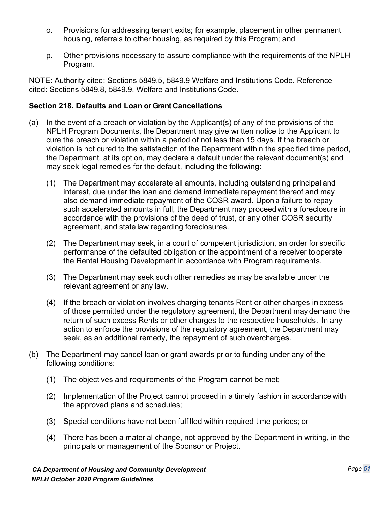- o. Provisions for addressing tenant exits; for example, placement in other permanent housing, referrals to other housing, as required by this Program; and
- p. Other provisions necessary to assure compliance with the requirements of the NPLH Program.

NOTE: Authority cited: Sections 5849.5, 5849.9 Welfare and Institutions Code. Reference cited: Sections 5849.8, 5849.9, Welfare and Institutions Code.

## **Section 218. Defaults and Loan or Grant Cancellations**

- (a) In the event of a breach or violation by the Applicant(s) of any of the provisions of the NPLH Program Documents, the Department may give written notice to the Applicant to cure the breach or violation within a period of not less than 15 days. If the breach or violation is not cured to the satisfaction of the Department within the specified time period, the Department, at its option, may declare a default under the relevant document(s) and may seek legal remedies for the default, including the following:
	- (1) The Department may accelerate all amounts, including outstanding principal and interest, due under the loan and demand immediate repayment thereof and may also demand immediate repayment of the COSR award. Upon a failure to repay such accelerated amounts in full, the Department may proceed with a foreclosure in accordance with the provisions of the deed of trust, or any other COSR security agreement, and state law regarding foreclosures.
	- (2) The Department may seek, in a court of competent jurisdiction, an order for specific performance of the defaulted obligation or the appointment of a receiver tooperate the Rental Housing Development in accordance with Program requirements.
	- (3) The Department may seek such other remedies as may be available under the relevant agreement or any law.
	- (4) If the breach or violation involves charging tenants Rent or other charges in excess of those permitted under the regulatory agreement, the Department may demand the return of such excess Rents or other charges to the respective households. In any action to enforce the provisions of the regulatory agreement, the Department may seek, as an additional remedy, the repayment of such overcharges.
- (b) The Department may cancel loan or grant awards prior to funding under any of the following conditions:
	- (1) The objectives and requirements of the Program cannot be met;
	- (2) Implementation of the Project cannot proceed in a timely fashion in accordance with the approved plans and schedules;
	- (3) Special conditions have not been fulfilled within required time periods; or
	- (4) There has been a material change, not approved by the Department in writing, in the principals or management of the Sponsor or Project.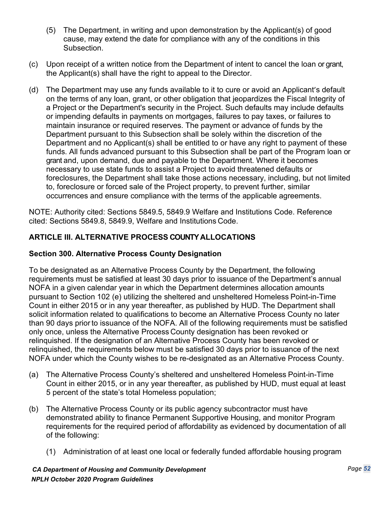- (5) The Department, in writing and upon demonstration by the Applicant(s) of good cause, may extend the date for compliance with any of the conditions in this Subsection.
- (c) Upon receipt of a written notice from the Department of intent to cancel the loan or grant, the Applicant(s) shall have the right to appeal to the Director.
- (d) The Department may use any funds available to it to cure or avoid an Applicant's default on the terms of any loan, grant, or other obligation that jeopardizes the Fiscal Integrity of a Project or the Department's security in the Project. Such defaults may include defaults or impending defaults in payments on mortgages, failures to pay taxes, or failures to maintain insurance or required reserves. The payment or advance of funds by the Department pursuant to this Subsection shall be solely within the discretion of the Department and no Applicant(s) shall be entitled to or have any right to payment of these funds. All funds advanced pursuant to this Subsection shall be part of the Program loan or grant and, upon demand, due and payable to the Department. Where it becomes necessary to use state funds to assist a Project to avoid threatened defaults or foreclosures, the Department shall take those actions necessary, including, but not limited to, foreclosure or forced sale of the Project property, to prevent further, similar occurrences and ensure compliance with the terms of the applicable agreements.

NOTE: Authority cited: Sections 5849.5, 5849.9 Welfare and Institutions Code. Reference cited: Sections 5849.8, 5849.9, Welfare and Institutions Code.

## **ARTICLE III. ALTERNATIVE PROCESS COUNTY ALLOCATIONS**

#### **Section 300. Alternative Process County Designation**

To be designated as an Alternative Process County by the Department, the following requirements must be satisfied at least 30 days prior to issuance of the Department's annual NOFA in a given calendar year in which the Department determines allocation amounts pursuant to Section 102 (e) utilizing the sheltered and unsheltered Homeless Point-in-Time Count in either 2015 or in any year thereafter, as published by HUD. The Department shall solicit information related to qualifications to become an Alternative Process County no later than 90 days priorto issuance of the NOFA. All of the following requirements must be satisfied only once, unless the Alternative Process County designation has been revoked or relinquished. If the designation of an Alternative Process County has been revoked or relinquished, the requirements below must be satisfied 30 days prior to issuance of the next NOFA under which the County wishes to be re-designated as an Alternative Process County.

- (a) The Alternative Process County's sheltered and unsheltered Homeless Point-in-Time Count in either 2015, or in any year thereafter, as published by HUD, must equal at least 5 percent of the state's total Homeless population;
- (b) The Alternative Process County or its public agency subcontractor must have demonstrated ability to finance Permanent Supportive Housing, and monitor Program requirements for the required period of affordability as evidenced by documentation of all of the following:
	- (1) Administration of at least one local or federally funded affordable housing program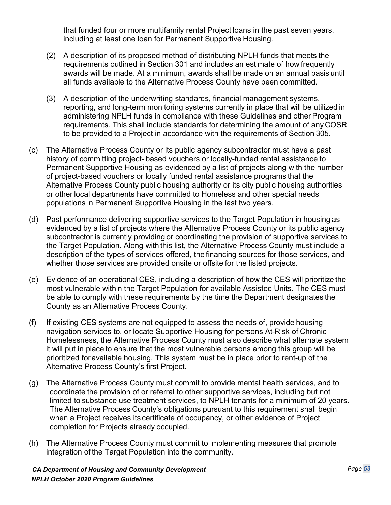that funded four or more multifamily rental Project loans in the past seven years, including at least one loan for Permanent Supportive Housing.

- (2) A description of its proposed method of distributing NPLH funds that meets the requirements outlined in Section 301 and includes an estimate of how frequently awards will be made. At a minimum, awards shall be made on an annual basis until all funds available to the Alternative Process County have been committed.
- (3) A description of the underwriting standards, financial management systems, reporting, and long-term monitoring systems currently in place that will be utilized in administering NPLH funds in compliance with these Guidelines and other Program requirements. This shall include standards for determining the amount of any COSR to be provided to a Project in accordance with the requirements of Section 305.
- (c) The Alternative Process County or its public agency subcontractor must have a past history of committing project- based vouchers or locally-funded rental assistance to Permanent Supportive Housing as evidenced by a list of projects along with the number of project-based vouchers or locally funded rental assistance programs that the Alternative Process County public housing authority or its city public housing authorities or other local departments have committed to Homeless and other special needs populations in Permanent Supportive Housing in the last two years.
- (d) Past performance delivering supportive services to the Target Population in housing as evidenced by a list of projects where the Alternative Process County or its public agency subcontractor is currently providing or coordinating the provision of supportive services to the Target Population. Along with this list, the Alternative Process County must include a description of the types of services offered, the financing sources for those services, and whether those services are provided onsite or offsite for the listed projects.
- (e) Evidence of an operational CES, including a description of how the CES will prioritize the most vulnerable within the Target Population for available Assisted Units. The CES must be able to comply with these requirements by the time the Department designates the County as an Alternative Process County.
- (f) If existing CES systems are not equipped to assess the needs of, provide housing navigation services to, or locate Supportive Housing for persons At-Risk of Chronic Homelessness, the Alternative Process County must also describe what alternate system it will put in place to ensure that the most vulnerable persons among this group will be prioritized foravailable housing. This system must be in place prior to rent-up of the Alternative Process County's first Project.
- (g) The Alternative Process County must commit to provide mental health services, and to coordinate the provision of or referral to other supportive services, including but not limited to substance use treatment services, to NPLH tenants for a minimum of 20 years. The Alternative Process County's obligations pursuant to this requirement shall begin when a Project receives its certificate of occupancy, or other evidence of Project completion for Projects already occupied.
- (h) The Alternative Process County must commit to implementing measures that promote integration of the Target Population into the community.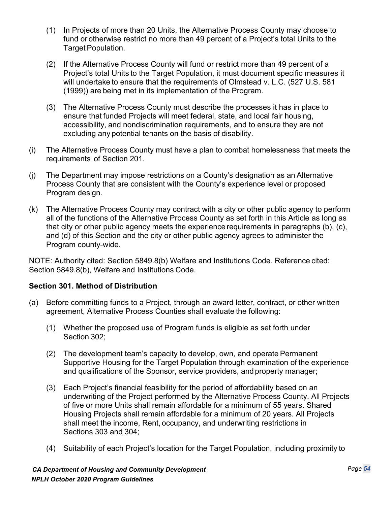- (1) In Projects of more than 20 Units, the Alternative Process County may choose to fund or otherwise restrict no more than 49 percent of a Project's total Units to the Target Population.
- (2) If the Alternative Process County will fund or restrict more than 49 percent of a Project's total Units to the Target Population, it must document specific measures it will undertake to ensure that the requirements of Olmstead v. L.C. (527 U.S. 581 (1999)) are being met in its implementation of the Program.
- (3) The Alternative Process County must describe the processes it has in place to ensure that funded Projects will meet federal, state, and local fair housing, accessibility, and nondiscrimination requirements, and to ensure they are not excluding any potential tenants on the basis of disability.
- (i) The Alternative Process County must have a plan to combat homelessness that meets the requirements of Section 201.
- (j) The Department may impose restrictions on a County's designation as an Alternative Process County that are consistent with the County's experience level or proposed Program design.
- (k) The Alternative Process County may contract with a city or other public agency to perform all of the functions of the Alternative Process County as set forth in this Article as long as that city or other public agency meets the experience requirements in paragraphs (b), (c), and (d) of this Section and the city or other public agency agrees to administer the Program county-wide.

NOTE: Authority cited: Section 5849.8(b) Welfare and Institutions Code. Reference cited: Section 5849.8(b), Welfare and Institutions Code.

## **Section 301. Method of Distribution**

- (a) Before committing funds to a Project, through an award letter, contract, or other written agreement, Alternative Process Counties shall evaluate the following:
	- (1) Whether the proposed use of Program funds is eligible as set forth under Section 302;
	- (2) The development team's capacity to develop, own, and operate Permanent Supportive Housing for the Target Population through examination of the experience and qualifications of the Sponsor, service providers, and property manager;
	- (3) Each Project's financial feasibility for the period of affordability based on an underwriting of the Project performed by the Alternative Process County. All Projects of five or more Units shall remain affordable for a minimum of 55 years. Shared Housing Projects shall remain affordable for a minimum of 20 years. All Projects shall meet the income, Rent, occupancy, and underwriting restrictions in Sections 303 and 304;
	- (4) Suitability of each Project's location for the Target Population, including proximity to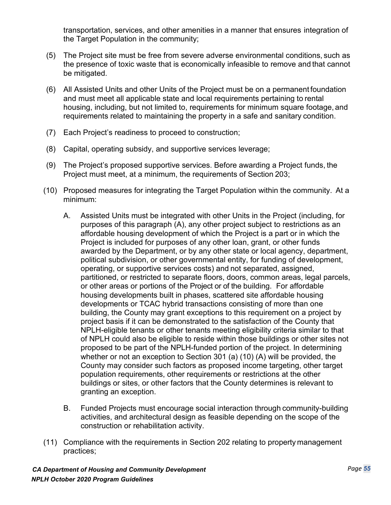transportation, services, and other amenities in a manner that ensures integration of the Target Population in the community;

- (5) The Project site must be free from severe adverse environmental conditions, such as the presence of toxic waste that is economically infeasible to remove and that cannot be mitigated.
- (6) All Assisted Units and other Units of the Project must be on a permanent foundation and must meet all applicable state and local requirements pertaining to rental housing, including, but not limited to, requirements for minimum square footage, and requirements related to maintaining the property in a safe and sanitary condition.
- (7) Each Project's readiness to proceed to construction;
- (8) Capital, operating subsidy, and supportive services leverage;
- (9) The Project's proposed supportive services. Before awarding a Project funds, the Project must meet, at a minimum, the requirements of Section 203;
- (10) Proposed measures for integrating the Target Population within the community. At a minimum:
	- A. Assisted Units must be integrated with other Units in the Project (including, for purposes of this paragraph (A), any other project subject to restrictions as an affordable housing development of which the Project is a part or in which the Project is included for purposes of any other loan, grant, or other funds awarded by the Department, or by any other state or local agency, department, political subdivision, or other governmental entity, for funding of development, operating, or supportive services costs) and not separated, assigned, partitioned, or restricted to separate floors, doors, common areas, legal parcels, or other areas or portions of the Project or of the building. For affordable housing developments built in phases, scattered site affordable housing developments or TCAC hybrid transactions consisting of more than one building, the County may grant exceptions to this requirement on a project by project basis if it can be demonstrated to the satisfaction of the County that NPLH-eligible tenants or other tenants meeting eligibility criteria similar to that of NPLH could also be eligible to reside within those buildings or other sites not proposed to be part of the NPLH-funded portion of the project. In determining whether or not an exception to Section 301 (a) (10) (A) will be provided, the County may consider such factors as proposed income targeting, other target population requirements, other requirements or restrictions at the other buildings or sites, or other factors that the County determines is relevant to granting an exception.
	- B. Funded Projects must encourage social interaction through community-building activities, and architectural design as feasible depending on the scope of the construction or rehabilitation activity.
- (11) Compliance with the requirements in Section 202 relating to property management practices;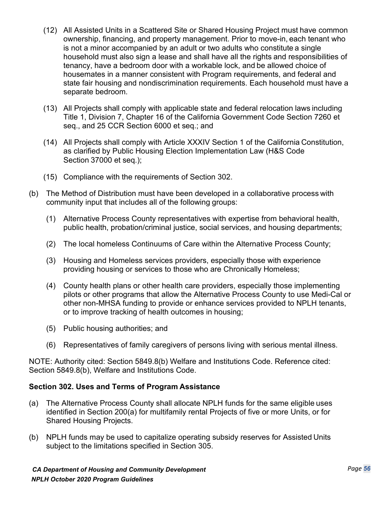- (12) All Assisted Units in a Scattered Site or Shared Housing Project must have common ownership, financing, and property management. Prior to move-in, each tenant who is not a minor accompanied by an adult or two adults who constitute a single household must also sign a lease and shall have all the rights and responsibilities of tenancy, have a bedroom door with a workable lock, and be allowed choice of housemates in a manner consistent with Program requirements, and federal and state fair housing and nondiscrimination requirements. Each household must have a separate bedroom.
- (13) All Projects shall comply with applicable state and federal relocation laws including Title 1, Division 7, Chapter 16 of the California Government Code Section 7260 et seq., and 25 CCR Section 6000 et seq.; and
- (14) All Projects shall comply with Article XXXIV Section 1 of the California Constitution, as clarified by Public Housing Election Implementation Law (H&S Code Section 37000 et seq.);
- (15) Compliance with the requirements of Section 302.
- (b) The Method of Distribution must have been developed in a collaborative process with community input that includes all of the following groups:
	- (1) Alternative Process County representatives with expertise from behavioral health, public health, probation/criminal justice, social services, and housing departments;
	- (2) The local homeless Continuums of Care within the Alternative Process County;
	- (3) Housing and Homeless services providers, especially those with experience providing housing or services to those who are Chronically Homeless;
	- (4) County health plans or other health care providers, especially those implementing pilots or other programs that allow the Alternative Process County to use Medi-Cal or other non-MHSA funding to provide or enhance services provided to NPLH tenants, or to improve tracking of health outcomes in housing;
	- (5) Public housing authorities; and
	- (6) Representatives of family caregivers of persons living with serious mental illness.

NOTE: Authority cited: Section 5849.8(b) Welfare and Institutions Code. Reference cited: Section 5849.8(b), Welfare and Institutions Code.

## **Section 302. Uses and Terms of Program Assistance**

- (a) The Alternative Process County shall allocate NPLH funds for the same eligible uses identified in Section 200(a) for multifamily rental Projects of five or more Units, or for Shared Housing Projects.
- (b) NPLH funds may be used to capitalize operating subsidy reserves for Assisted Units subject to the limitations specified in Section 305.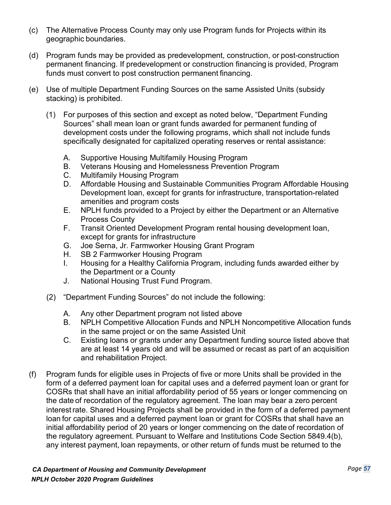- (c) The Alternative Process County may only use Program funds for Projects within its geographic boundaries.
- (d) Program funds may be provided as predevelopment, construction, or post-construction permanent financing. If predevelopment or construction financing is provided, Program funds must convert to post construction permanent financing.
- (e) Use of multiple Department Funding Sources on the same Assisted Units (subsidy stacking) is prohibited.
	- (1) For purposes of this section and except as noted below, "Department Funding Sources" shall mean loan or grant funds awarded for permanent funding of development costs under the following programs, which shall not include funds specifically designated for capitalized operating reserves or rental assistance:
		- A. Supportive Housing Multifamily Housing Program
		- B. Veterans Housing and Homelessness Prevention Program
		- C. Multifamily Housing Program
		- D. Affordable Housing and Sustainable Communities Program Affordable Housing Development loan, except for grants for infrastructure, transportation-related amenities and program costs
		- E. NPLH funds provided to a Project by either the Department or an Alternative Process County
		- F. Transit Oriented Development Program rental housing development loan, except for grants for infrastructure
		- G. Joe Serna, Jr. Farmworker Housing Grant Program
		- H. SB 2 Farmworker Housing Program
		- I. Housing for a Healthy California Program, including funds awarded either by the Department or a County
		- J. National Housing Trust Fund Program.
	- (2) "Department Funding Sources" do not include the following:
		- A. Any other Department program not listed above
		- B. NPLH Competitive Allocation Funds and NPLH Noncompetitive Allocation funds in the same project or on the same Assisted Unit
		- C. Existing loans or grants under any Department funding source listed above that are at least 14 years old and will be assumed or recast as part of an acquisition and rehabilitation Project.
- (f) Program funds for eligible uses in Projects of five or more Units shall be provided in the form of a deferred payment loan for capital uses and a deferred payment loan or grant for COSRs that shall have an initial affordability period of 55 years or longer commencing on the date of recordation of the regulatory agreement. The loan may bear a zero percent interestrate. Shared Housing Projects shall be provided in the form of a deferred payment loan for capital uses and a deferred payment loan or grant for COSRs that shall have an initial affordability period of 20 years or longer commencing on the date of recordation of the regulatory agreement. Pursuant to Welfare and Institutions Code Section 5849.4(b), any interest payment, loan repayments, or other return of funds must be returned to the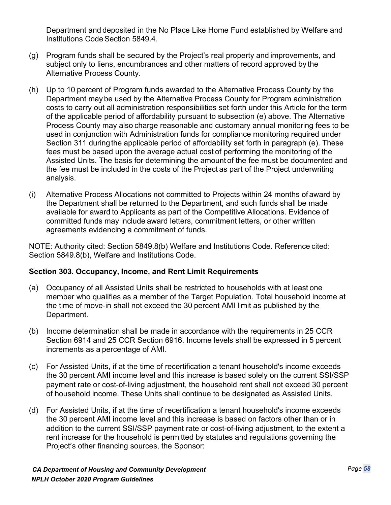Department and deposited in the No Place Like Home Fund established by Welfare and Institutions Code Section 5849.4.

- (g) Program funds shall be secured by the Project's real property and improvements, and subject only to liens, encumbrances and other matters of record approved by the Alternative Process County.
- (h) Up to 10 percent of Program funds awarded to the Alternative Process County by the Department may be used by the Alternative Process County for Program administration costs to carry out all administration responsibilities set forth under this Article for the term of the applicable period of affordability pursuant to subsection (e) above. The Alternative Process County may also charge reasonable and customary annual monitoring fees to be used in conjunction with Administration funds for compliance monitoring required under Section 311 during the applicable period of affordability set forth in paragraph (e). These fees must be based upon the average actual cost of performing the monitoring of the Assisted Units. The basis for determining the amount of the fee must be documented and the fee must be included in the costs of the Project as part of the Project underwriting analysis.
- (i) Alternative Process Allocations not committed to Projects within 24 months of award by the Department shall be returned to the Department, and such funds shall be made available for award to Applicants as part of the Competitive Allocations. Evidence of committed funds may include award letters, commitment letters, or other written agreements evidencing a commitment of funds.

NOTE: Authority cited: Section 5849.8(b) Welfare and Institutions Code. Reference cited: Section 5849.8(b), Welfare and Institutions Code.

#### **Section 303. Occupancy, Income, and Rent Limit Requirements**

- (a) Occupancy of all Assisted Units shall be restricted to households with at least one member who qualifies as a member of the Target Population. Total household income at the time of move-in shall not exceed the 30 percent AMI limit as published by the Department.
- (b) Income determination shall be made in accordance with the requirements in 25 CCR Section 6914 and 25 CCR Section 6916. Income levels shall be expressed in 5 percent increments as a percentage of AMI.
- (c) For Assisted Units, if at the time of recertification a tenant household's income exceeds the 30 percent AMI income level and this increase is based solely on the current SSI/SSP payment rate or cost-of-living adjustment, the household rent shall not exceed 30 percent of household income. These Units shall continue to be designated as Assisted Units.
- (d) For Assisted Units, if at the time of recertification a tenant household's income exceeds the 30 percent AMI income level and this increase is based on factors other than or in addition to the current SSI/SSP payment rate or cost-of-living adjustment, to the extent a rent increase for the household is permitted by statutes and regulations governing the Project's other financing sources, the Sponsor: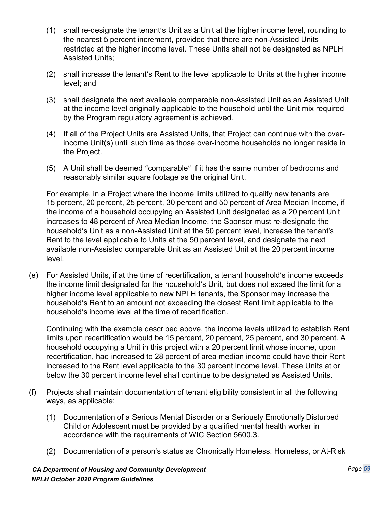- (1) shall re-designate the tenant's Unit as a Unit at the higher income level, rounding to the nearest 5 percent increment, provided that there are non-Assisted Units restricted at the higher income level. These Units shall not be designated as NPLH Assisted Units;
- (2) shall increase the tenant's Rent to the level applicable to Units at the higher income level; and
- (3) shall designate the next available comparable non-Assisted Unit as an Assisted Unit at the income level originally applicable to the household until the Unit mix required by the Program regulatory agreement is achieved.
- (4) If all of the Project Units are Assisted Units, that Project can continue with the overincome Unit(s) until such time as those over-income households no longer reside in the Project.
- (5) A Unit shall be deemed "comparable" if it has the same number of bedrooms and reasonably similar square footage as the original Unit.

For example, in a Project where the income limits utilized to qualify new tenants are 15 percent, 20 percent, 25 percent, 30 percent and 50 percent of Area Median Income, if the income of a household occupying an Assisted Unit designated as a 20 percent Unit increases to 48 percent of Area Median Income, the Sponsor must re-designate the household's Unit as a non-Assisted Unit at the 50 percent level, increase the tenant's Rent to the level applicable to Units at the 50 percent level, and designate the next available non-Assisted comparable Unit as an Assisted Unit at the 20 percent income level.

(e) For Assisted Units, if at the time of recertification, a tenant household's income exceeds the income limit designated for the household's Unit, but does not exceed the limit for a higher income level applicable to new NPLH tenants, the Sponsor may increase the household's Rent to an amount not exceeding the closest Rent limit applicable to the household's income level at the time of recertification.

Continuing with the example described above, the income levels utilized to establish Rent limits upon recertification would be 15 percent, 20 percent, 25 percent, and 30 percent. A household occupying a Unit in this project with a 20 percent limit whose income, upon recertification, had increased to 28 percent of area median income could have their Rent increased to the Rent level applicable to the 30 percent income level. These Units at or below the 30 percent income level shall continue to be designated as Assisted Units.

- (f) Projects shall maintain documentation of tenant eligibility consistent in all the following ways, as applicable:
	- (1) Documentation of a Serious Mental Disorder or a Seriously Emotionally Disturbed Child or Adolescent must be provided by a qualified mental health worker in accordance with the requirements of WIC Section 5600.3.
	- (2) Documentation of a person's status as Chronically Homeless, Homeless, or At-Risk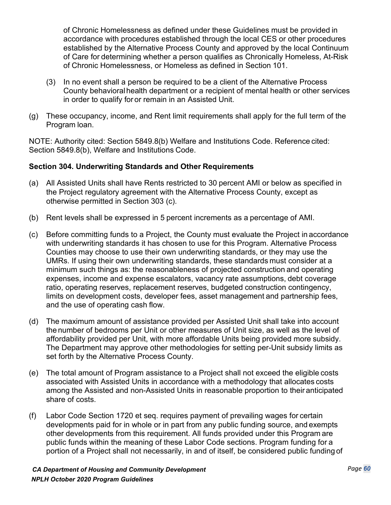of Chronic Homelessness as defined under these Guidelines must be provided in accordance with procedures established through the local CES or other procedures established by the Alternative Process County and approved by the local Continuum of Care for determining whether a person qualifies as Chronically Homeless, At-Risk of Chronic Homelessness, or Homeless as defined in Section 101.

- (3) In no event shall a person be required to be a client of the Alternative Process County behavioralhealth department or a recipient of mental health or other services in order to qualify for or remain in an Assisted Unit.
- (g) These occupancy, income, and Rent limit requirements shall apply for the full term of the Program loan.

NOTE: Authority cited: Section 5849.8(b) Welfare and Institutions Code. Reference cited: Section 5849.8(b), Welfare and Institutions Code.

## **Section 304. Underwriting Standards and Other Requirements**

- (a) All Assisted Units shall have Rents restricted to 30 percent AMI or below as specified in the Project regulatory agreement with the Alternative Process County, except as otherwise permitted in Section 303 (c).
- (b) Rent levels shall be expressed in 5 percent increments as a percentage of AMI.
- (c) Before committing funds to a Project, the County must evaluate the Project in accordance with underwriting standards it has chosen to use for this Program. Alternative Process Counties may choose to use their own underwriting standards, or they may use the UMRs. If using their own underwriting standards, these standards must consider at a minimum such things as: the reasonableness of projected construction and operating expenses, income and expense escalators, vacancy rate assumptions, debt coverage ratio, operating reserves, replacement reserves, budgeted construction contingency, limits on development costs, developer fees, asset management and partnership fees, and the use of operating cash flow.
- (d) The maximum amount of assistance provided per Assisted Unit shall take into account the number of bedrooms per Unit or other measures of Unit size, as well as the level of affordability provided per Unit, with more affordable Units being provided more subsidy. The Department may approve other methodologies for setting per-Unit subsidy limits as set forth by the Alternative Process County.
- (e) The total amount of Program assistance to a Project shall not exceed the eligible costs associated with Assisted Units in accordance with a methodology that allocates costs among the Assisted and non-Assisted Units in reasonable proportion to their anticipated share of costs.
- (f) Labor Code Section 1720 et seq. requires payment of prevailing wages for certain developments paid for in whole or in part from any public funding source, and exempts other developments from this requirement. All funds provided under this Program are public funds within the meaning of these Labor Code sections. Program funding for a portion of a Project shall not necessarily, in and of itself, be considered public funding of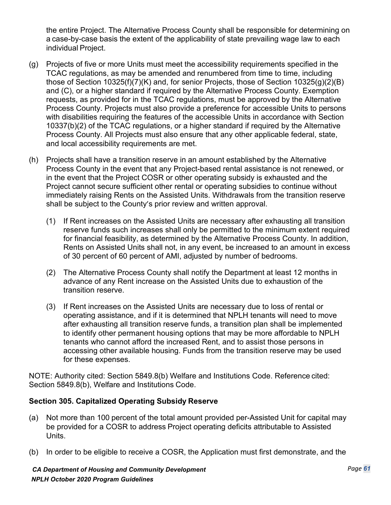the entire Project. The Alternative Process County shall be responsible for determining on a case-by-case basis the extent of the applicability of state prevailing wage law to each individual Project.

- (g) Projects of five or more Units must meet the accessibility requirements specified in the TCAC regulations, as may be amended and renumbered from time to time, including those of Section 10325(f)(7)(K) and, for senior Projects, those of Section 10325(g)(2)(B) and (C), or a higher standard if required by the Alternative Process County. Exemption requests, as provided for in the TCAC regulations, must be approved by the Alternative Process County. Projects must also provide a preference for accessible Units to persons with disabilities requiring the features of the accessible Units in accordance with Section 10337(b)(2) of the TCAC regulations, or a higher standard if required by the Alternative Process County. All Projects must also ensure that any other applicable federal, state, and local accessibility requirements are met.
- (h) Projects shall have a transition reserve in an amount established by the Alternative Process County in the event that any Project-based rental assistance is not renewed, or in the event that the Project COSR or other operating subsidy is exhausted and the Project cannot secure sufficient other rental or operating subsidies to continue without immediately raising Rents on the Assisted Units. Withdrawals from the transition reserve shall be subject to the County's prior review and written approval.
	- (1) If Rent increases on the Assisted Units are necessary after exhausting all transition reserve funds such increases shall only be permitted to the minimum extent required for financial feasibility, as determined by the Alternative Process County. In addition, Rents on Assisted Units shall not, in any event, be increased to an amount in excess of 30 percent of 60 percent of AMI, adjusted by number of bedrooms.
	- (2) The Alternative Process County shall notify the Department at least 12 months in advance of any Rent increase on the Assisted Units due to exhaustion of the transition reserve.
	- (3) If Rent increases on the Assisted Units are necessary due to loss of rental or operating assistance, and if it is determined that NPLH tenants will need to move after exhausting all transition reserve funds, a transition plan shall be implemented to identify other permanent housing options that may be more affordable to NPLH tenants who cannot afford the increased Rent, and to assist those persons in accessing other available housing. Funds from the transition reserve may be used for these expenses.

NOTE: Authority cited: Section 5849.8(b) Welfare and Institutions Code. Reference cited: Section 5849.8(b), Welfare and Institutions Code.

## **Section 305. Capitalized Operating Subsidy Reserve**

- (a) Not more than 100 percent of the total amount provided per-Assisted Unit for capital may be provided for a COSR to address Project operating deficits attributable to Assisted Units.
- (b) In order to be eligible to receive a COSR, the Application must first demonstrate, and the

*CA Department of Housing and Community Development NPLH October 2020 Program Guidelines*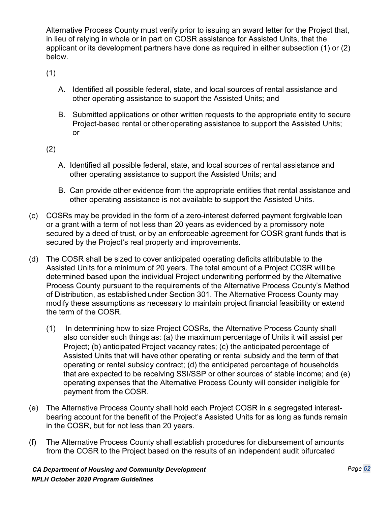Alternative Process County must verify prior to issuing an award letter for the Project that, in lieu of relying in whole or in part on COSR assistance for Assisted Units, that the applicant or its development partners have done as required in either subsection (1) or (2) below.

(1)

- A. Identified all possible federal, state, and local sources of rental assistance and other operating assistance to support the Assisted Units; and
- B. Submitted applications or other written requests to the appropriate entity to secure Project-based rental or other operating assistance to support the Assisted Units; or

(2)

- A. Identified all possible federal, state, and local sources of rental assistance and other operating assistance to support the Assisted Units; and
- B. Can provide other evidence from the appropriate entities that rental assistance and other operating assistance is not available to support the Assisted Units.
- (c) COSRs may be provided in the form of a zero-interest deferred payment forgivable loan or a grant with a term of not less than 20 years as evidenced by a promissory note secured by a deed of trust, or by an enforceable agreement for COSR grant funds that is secured by the Project's real property and improvements.
- (d) The COSR shall be sized to cover anticipated operating deficits attributable to the Assisted Units for a minimum of 20 years. The total amount of a Project COSR will be determined based upon the individual Project underwriting performed by the Alternative Process County pursuant to the requirements of the Alternative Process County's Method of Distribution, as established under Section 301. The Alternative Process County may modify these assumptions as necessary to maintain project financial feasibility or extend the term of the COSR.
	- (1) In determining how to size Project COSRs, the Alternative Process County shall also consider such things as: (a) the maximum percentage of Units it will assist per Project; (b) anticipated Project vacancy rates; (c) the anticipated percentage of Assisted Units that will have other operating or rental subsidy and the term of that operating or rental subsidy contract; (d) the anticipated percentage of households that are expected to be receiving SSI/SSP or other sources of stable income; and (e) operating expenses that the Alternative Process County will consider ineligible for payment from the COSR.
- (e) The Alternative Process County shall hold each Project COSR in a segregated interestbearing account for the benefit of the Project's Assisted Units for as long as funds remain in the COSR, but for not less than 20 years.
- (f) The Alternative Process County shall establish procedures for disbursement of amounts from the COSR to the Project based on the results of an independent audit bifurcated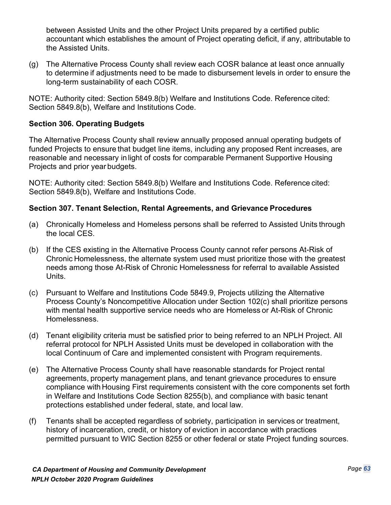between Assisted Units and the other Project Units prepared by a certified public accountant which establishes the amount of Project operating deficit, if any, attributable to the Assisted Units.

(g) The Alternative Process County shall review each COSR balance at least once annually to determine if adjustments need to be made to disbursement levels in order to ensure the long-term sustainability of each COSR.

NOTE: Authority cited: Section 5849.8(b) Welfare and Institutions Code. Reference cited: Section 5849.8(b), Welfare and Institutions Code.

## **Section 306. Operating Budgets**

The Alternative Process County shall review annually proposed annual operating budgets of funded Projects to ensure that budget line items, including any proposed Rent increases, are reasonable and necessary in light of costs for comparable Permanent Supportive Housing Projects and prior year budgets.

NOTE: Authority cited: Section 5849.8(b) Welfare and Institutions Code. Reference cited: Section 5849.8(b), Welfare and Institutions Code.

## **Section 307. Tenant Selection, Rental Agreements, and Grievance Procedures**

- (a) Chronically Homeless and Homeless persons shall be referred to Assisted Units through the local CES.
- (b) If the CES existing in the Alternative Process County cannot refer persons At-Risk of Chronic Homelessness, the alternate system used must prioritize those with the greatest needs among those At-Risk of Chronic Homelessness for referral to available Assisted Units.
- (c) Pursuant to Welfare and Institutions Code 5849.9, Projects utilizing the Alternative Process County's Noncompetitive Allocation under Section 102(c) shall prioritize persons with mental health supportive service needs who are Homeless or At-Risk of Chronic Homelessness.
- (d) Tenant eligibility criteria must be satisfied prior to being referred to an NPLH Project. All referral protocol for NPLH Assisted Units must be developed in collaboration with the local Continuum of Care and implemented consistent with Program requirements.
- (e) The Alternative Process County shall have reasonable standards for Project rental agreements, property management plans, and tenant grievance procedures to ensure compliance with Housing First requirements consistent with the core components set forth in Welfare and Institutions Code Section 8255(b), and compliance with basic tenant protections established under federal, state, and local law.
- (f) Tenants shall be accepted regardless of sobriety, participation in services or treatment, history of incarceration, credit, or history of eviction in accordance with practices permitted pursuant to WIC Section 8255 or other federal or state Project funding sources.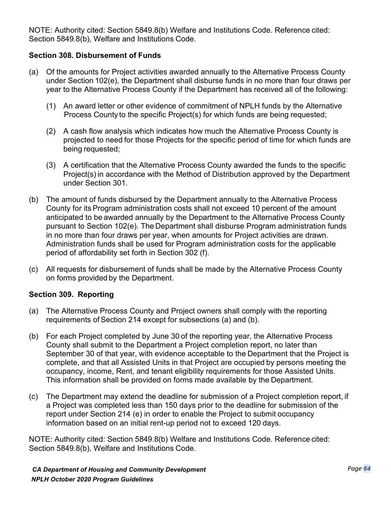NOTE: Authority cited: Section 5849.8(b) Welfare and Institutions Code. Reference cited: Section 5849.8(b), Welfare and Institutions Code.

#### **Section 308. Disbursement of Funds**

- (a) Of the amounts for Project activities awarded annually to the Alternative Process County under Section 102(e), the Department shall disburse funds in no more than four draws per year to the Alternative Process County if the Department has received all of the following:
	- (1) An award letter or other evidence of commitment of NPLH funds by the Alternative Process County to the specific Project(s) for which funds are being requested;
	- (2) A cash flow analysis which indicates how much the Alternative Process County is projected to need for those Projects for the specific period of time for which funds are being requested;
	- (3) A certification that the Alternative Process County awarded the funds to the specific Project(s) in accordance with the Method of Distribution approved by the Department under Section 301.
- (b) The amount of funds disbursed by the Department annually to the Alternative Process County for its Program administration costs shall not exceed 10 percent of the amount anticipated to be awarded annually by the Department to the Alternative Process County pursuant to Section 102(e). The Department shall disburse Program administration funds in no more than four draws per year, when amounts for Project activities are drawn. Administration funds shall be used for Program administration costs for the applicable period of affordability set forth in Section 302 (f).
- (c) All requests for disbursement of funds shall be made by the Alternative Process County on forms provided by the Department.

#### **Section 309. Reporting**

- (a) The Alternative Process County and Project owners shall comply with the reporting requirements of Section 214 except for subsections (a) and (b).
- (b) For each Project completed by June 30 of the reporting year, the Alternative Process County shall submit to the Department a Project completion report, no later than September 30 of that year, with evidence acceptable to the Department that the Project is complete, and that all Assisted Units in that Project are occupied by persons meeting the occupancy, income, Rent, and tenant eligibility requirements for those Assisted Units. This information shall be provided on forms made available by the Department.
- (c) The Department may extend the deadline for submission of a Project completion report, if a Project was completed less than 150 days prior to the deadline for submission of the report under Section 214 (e) in order to enable the Project to submit occupancy information based on an initial rent-up period not to exceed 120 days.

NOTE: Authority cited: Section 5849.8(b) Welfare and Institutions Code. Reference cited: Section 5849.8(b), Welfare and Institutions Code.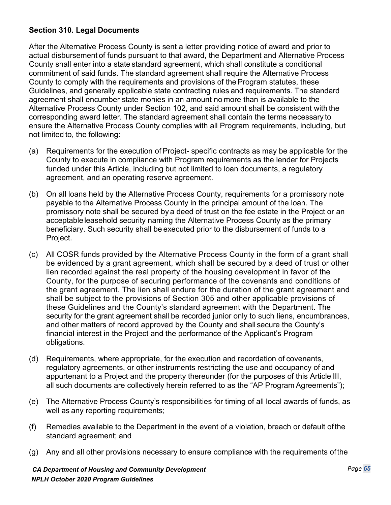## **Section 310. Legal Documents**

After the Alternative Process County is sent a letter providing notice of award and prior to actual disbursement of funds pursuant to that award, the Department and Alternative Process County shall enter into a state standard agreement, which shall constitute a conditional commitment of said funds. The standard agreement shall require the Alternative Process County to comply with the requirements and provisions of the Program statutes, these Guidelines, and generally applicable state contracting rules and requirements. The standard agreement shall encumber state monies in an amount no more than is available to the Alternative Process County under Section 102, and said amount shall be consistent with the corresponding award letter. The standard agreement shall contain the terms necessary to ensure the Alternative Process County complies with all Program requirements, including, but not limited to, the following:

- (a) Requirements for the execution of Project- specific contracts as may be applicable for the County to execute in compliance with Program requirements as the lender for Projects funded under this Article, including but not limited to loan documents, a regulatory agreement, and an operating reserve agreement.
- (b) On all loans held by the Alternative Process County, requirements for a promissory note payable to the Alternative Process County in the principal amount of the loan. The promissory note shall be secured by a deed of trust on the fee estate in the Project or an acceptable leasehold security naming the Alternative Process County as the primary beneficiary. Such security shall be executed prior to the disbursement of funds to a Project.
- (c) All COSR funds provided by the Alternative Process County in the form of a grant shall be evidenced by a grant agreement, which shall be secured by a deed of trust or other lien recorded against the real property of the housing development in favor of the County, for the purpose of securing performance of the covenants and conditions of the grant agreement. The lien shall endure for the duration of the grant agreement and shall be subject to the provisions of Section 305 and other applicable provisions of these Guidelines and the County's standard agreement with the Department. The security for the grant agreement shall be recorded junior only to such liens, encumbrances, and other matters of record approved by the County and shall secure the County's financial interest in the Project and the performance of the Applicant's Program obligations.
- (d) Requirements, where appropriate, for the execution and recordation of covenants, regulatory agreements, or other instruments restricting the use and occupancy of and appurtenant to a Project and the property thereunder (for the purposes of this Article III, all such documents are collectively herein referred to as the "AP Program Agreements");
- (e) The Alternative Process County's responsibilities for timing of all local awards of funds, as well as any reporting requirements;
- (f) Remedies available to the Department in the event of a violation, breach or default ofthe standard agreement; and
- (g) Any and all other provisions necessary to ensure compliance with the requirements ofthe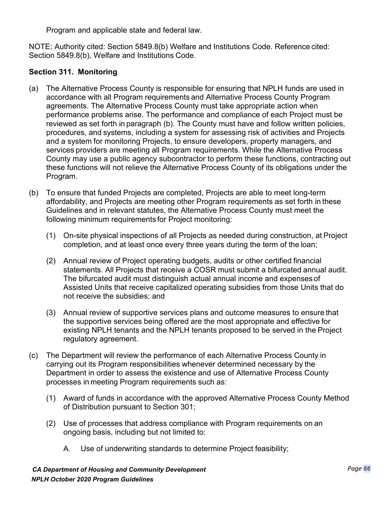Program and applicable state and federal law.

NOTE: Authority cited: Section 5849.8(b) Welfare and Institutions Code. Reference cited: Section 5849.8(b), Welfare and Institutions Code.

## **Section 311. Monitoring**

- (a) The Alternative Process County is responsible for ensuring that NPLH funds are used in accordance with all Program requirements and Alternative Process County Program agreements. The Alternative Process County must take appropriate action when performance problems arise. The performance and compliance of each Project must be reviewed as set forth in paragraph (b). The County must have and follow written policies, procedures, and systems, including a system for assessing risk of activities and Projects and a system for monitoring Projects, to ensure developers, property managers, and services providers are meeting all Program requirements. While the Alternative Process County may use a public agency subcontractor to perform these functions, contracting out these functions will not relieve the Alternative Process County of its obligations under the Program.
- (b) To ensure that funded Projects are completed, Projects are able to meet long-term affordability, and Projects are meeting other Program requirements as set forth in these Guidelines and in relevant statutes, the Alternative Process County must meet the following minimum requirements for Project monitoring:
	- (1) On-site physical inspections of all Projects as needed during construction, at Project completion, and at least once every three years during the term of the loan;
	- (2) Annual review of Project operating budgets, audits or other certified financial statements. All Projects that receive a COSR must submit a bifurcated annual audit. The bifurcated audit must distinguish actual annual income and expenses of Assisted Units that receive capitalized operating subsidies from those Units that do not receive the subsidies; and
	- (3) Annual review of supportive services plans and outcome measures to ensure that the supportive services being offered are the most appropriate and effective for existing NPLH tenants and the NPLH tenants proposed to be served in the Project regulatory agreement.
- (c) The Department will review the performance of each Alternative Process County in carrying out its Program responsibilities whenever determined necessary by the Department in order to assess the existence and use of Alternative Process County processes in meeting Program requirements such as:
	- (1) Award of funds in accordance with the approved Alternative Process County Method of Distribution pursuant to Section 301;
	- (2) Use of processes that address compliance with Program requirements on an ongoing basis, including but not limited to:
		- A. Use of underwriting standards to determine Project feasibility;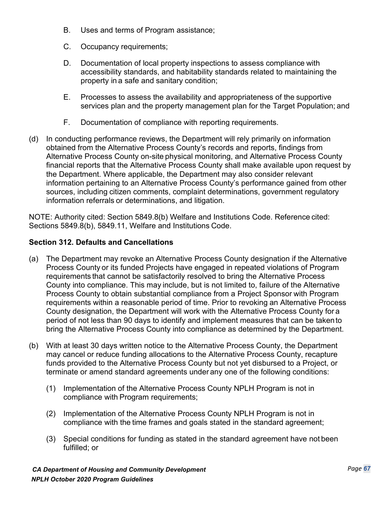- B. Uses and terms of Program assistance;
- C. Occupancy requirements;
- D. Documentation of local property inspections to assess compliance with accessibility standards, and habitability standards related to maintaining the property in a safe and sanitary condition;
- E. Processes to assess the availability and appropriateness of the supportive services plan and the property management plan for the Target Population; and
- F. Documentation of compliance with reporting requirements.
- (d) In conducting performance reviews, the Department will rely primarily on information obtained from the Alternative Process County's records and reports, findings from Alternative Process County on-site physical monitoring, and Alternative Process County financial reports that the Alternative Process County shall make available upon request by the Department. Where applicable, the Department may also consider relevant information pertaining to an Alternative Process County's performance gained from other sources, including citizen comments, complaint determinations, government regulatory information referrals or determinations, and litigation.

NOTE: Authority cited: Section 5849.8(b) Welfare and Institutions Code. Reference cited: Sections 5849.8(b), 5849.11, Welfare and Institutions Code.

# **Section 312. Defaults and Cancellations**

- (a) The Department may revoke an Alternative Process County designation if the Alternative Process County or its funded Projects have engaged in repeated violations of Program requirements that cannot be satisfactorily resolved to bring the Alternative Process County into compliance. This may include, but is not limited to, failure of the Alternative Process County to obtain substantial compliance from a Project Sponsor with Program requirements within a reasonable period of time. Prior to revoking an Alternative Process County designation, the Department will work with the Alternative Process County for a period of not less than 90 days to identify and implement measures that can be takento bring the Alternative Process County into compliance as determined by the Department.
- (b) With at least 30 days written notice to the Alternative Process County, the Department may cancel or reduce funding allocations to the Alternative Process County, recapture funds provided to the Alternative Process County but not yet disbursed to a Project, or terminate or amend standard agreements under any one of the following conditions:
	- (1) Implementation of the Alternative Process County NPLH Program is not in compliance with Program requirements;
	- (2) Implementation of the Alternative Process County NPLH Program is not in compliance with the time frames and goals stated in the standard agreement;
	- (3) Special conditions for funding as stated in the standard agreement have not been fulfilled; or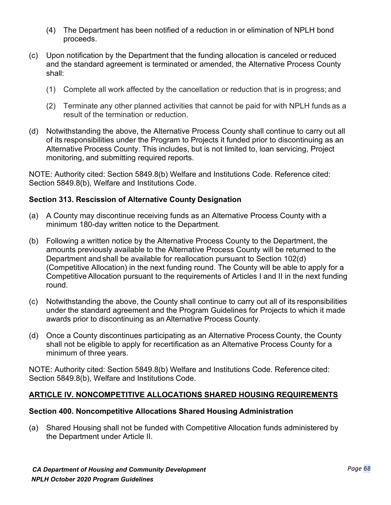- (4) The Department has been notified of a reduction in or elimination of NPLH bond proceeds.
- (c) Upon notification by the Department that the funding allocation is canceled or reduced and the standard agreement is terminated or amended, the Alternative Process County shall:
	- (1) Complete all work affected by the cancellation or reduction that is in progress; and
	- (2) Terminate any other planned activities that cannot be paid for with NPLH funds as a result of the termination or reduction.
- (d) Notwithstanding the above, the Alternative Process County shall continue to carry out all of its responsibilities under the Program to Projects it funded prior to discontinuing as an Alternative Process County. This includes, but is not limited to, loan servicing, Project monitoring, and submitting required reports.

NOTE: Authority cited: Section 5849.8(b) Welfare and Institutions Code. Reference cited: Section 5849.8(b), Welfare and Institutions Code.

## **Section 313. Rescission of Alternative County Designation**

- (a) A County may discontinue receiving funds as an Alternative Process County with a minimum 180-day written notice to the Department.
- (b) Following a written notice by the Alternative Process County to the Department, the amounts previously available to the Alternative Process County will be returned to the Department and shall be available for reallocation pursuant to Section 102(d) (Competitive Allocation) in the next funding round. The County will be able to apply for a Competitive Allocation pursuant to the requirements of Articles I and II in the next funding round.
- (c) Notwithstanding the above, the County shall continue to carry out all of its responsibilities under the standard agreement and the Program Guidelines for Projects to which it made awards prior to discontinuing as an Alternative Process County.
- (d) Once a County discontinues participating as an Alternative Process County, the County shall not be eligible to apply for recertification as an Alternative Process County for a minimum of three years.

NOTE: Authority cited: Section 5849.8(b) Welfare and Institutions Code. Reference cited: Section 5849.8(b), Welfare and Institutions Code.

# **ARTICLE IV. NONCOMPETITIVE ALLOCATIONS SHARED HOUSING REQUIREMENTS**

## **Section 400. Noncompetitive Allocations Shared Housing Administration**

(a) Shared Housing shall not be funded with Competitive Allocation funds administered by the Department under Article II.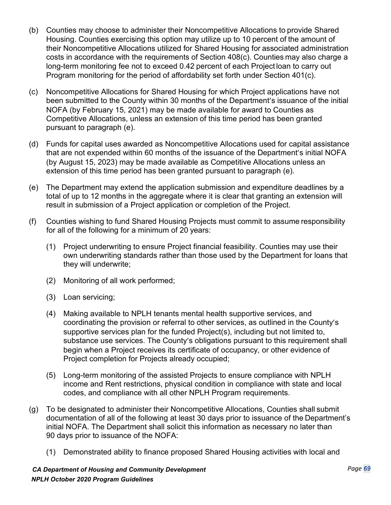- (b) Counties may choose to administer their Noncompetitive Allocations to provide Shared Housing. Counties exercising this option may utilize up to 10 percent of the amount of their Noncompetitive Allocations utilized for Shared Housing for associated administration costs in accordance with the requirements of Section 408(c). Counties may also charge a long-term monitoring fee not to exceed 0.42 percent of each Project loan to carry out Program monitoring for the period of affordability set forth under Section 401(c).
- (c) Noncompetitive Allocations for Shared Housing for which Project applications have not been submitted to the County within 30 months of the Department's issuance of the initial NOFA (by February 15, 2021) may be made available for award to Counties as Competitive Allocations, unless an extension of this time period has been granted pursuant to paragraph (e).
- (d) Funds for capital uses awarded as Noncompetitive Allocations used for capital assistance that are not expended within 60 months of the issuance of the Department's initial NOFA (by August 15, 2023) may be made available as Competitive Allocations unless an extension of this time period has been granted pursuant to paragraph (e).
- (e) The Department may extend the application submission and expenditure deadlines by a total of up to 12 months in the aggregate where it is clear that granting an extension will result in submission of a Project application or completion of the Project.
- (f) Counties wishing to fund Shared Housing Projects must commit to assume responsibility for all of the following for a minimum of 20 years:
	- (1) Project underwriting to ensure Project financial feasibility. Counties may use their own underwriting standards rather than those used by the Department for loans that they will underwrite;
	- (2) Monitoring of all work performed;
	- (3) Loan servicing;
	- (4) Making available to NPLH tenants mental health supportive services, and coordinating the provision or referral to other services, as outlined in the County's supportive services plan for the funded Project(s), including but not limited to, substance use services. The County's obligations pursuant to this requirement shall begin when a Project receives its certificate of occupancy, or other evidence of Project completion for Projects already occupied;
	- (5) Long-term monitoring of the assisted Projects to ensure compliance with NPLH income and Rent restrictions, physical condition in compliance with state and local codes, and compliance with all other NPLH Program requirements.
- (g) To be designated to administer their Noncompetitive Allocations, Counties shall submit documentation of all of the following at least 30 days prior to issuance of the Department's initial NOFA. The Department shall solicit this information as necessary no later than 90 days prior to issuance of the NOFA:
	- (1) Demonstrated ability to finance proposed Shared Housing activities with local and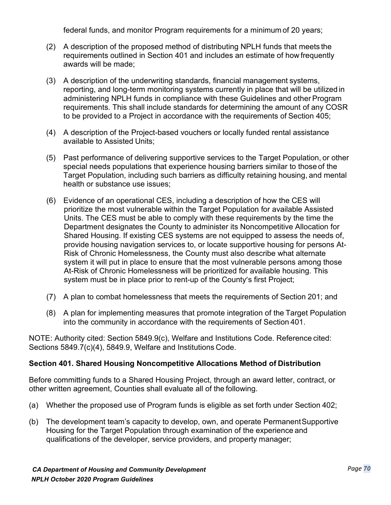federal funds, and monitor Program requirements for a minimum of 20 years;

- (2) A description of the proposed method of distributing NPLH funds that meets the requirements outlined in Section 401 and includes an estimate of how frequently awards will be made;
- (3) A description of the underwriting standards, financial management systems, reporting, and long-term monitoring systems currently in place that will be utilized in administering NPLH funds in compliance with these Guidelines and other Program requirements. This shall include standards for determining the amount of any COSR to be provided to a Project in accordance with the requirements of Section 405;
- (4) A description of the Project-based vouchers or locally funded rental assistance available to Assisted Units;
- (5) Past performance of delivering supportive services to the Target Population, or other special needs populations that experience housing barriers similar to those of the Target Population, including such barriers as difficulty retaining housing, and mental health or substance use issues;
- (6) Evidence of an operational CES, including a description of how the CES will prioritize the most vulnerable within the Target Population for available Assisted Units. The CES must be able to comply with these requirements by the time the Department designates the County to administer its Noncompetitive Allocation for Shared Housing. If existing CES systems are not equipped to assess the needs of, provide housing navigation services to, or locate supportive housing for persons At-Risk of Chronic Homelessness, the County must also describe what alternate system it will put in place to ensure that the most vulnerable persons among those At-Risk of Chronic Homelessness will be prioritized for available housing. This system must be in place prior to rent-up of the County's first Project;
- (7) A plan to combat homelessness that meets the requirements of Section 201; and
- (8) A plan for implementing measures that promote integration of the Target Population into the community in accordance with the requirements of Section 401.

NOTE: Authority cited: Section 5849.9(c), Welfare and Institutions Code. Reference cited: Sections 5849.7(c)(4), 5849.9, Welfare and Institutions Code.

## **Section 401. Shared Housing Noncompetitive Allocations Method of Distribution**

Before committing funds to a Shared Housing Project, through an award letter, contract, or other written agreement, Counties shall evaluate all of the following.

- (a) Whether the proposed use of Program funds is eligible as set forth under Section 402;
- (b) The development team's capacity to develop, own, and operate PermanentSupportive Housing for the Target Population through examination of the experience and qualifications of the developer, service providers, and property manager;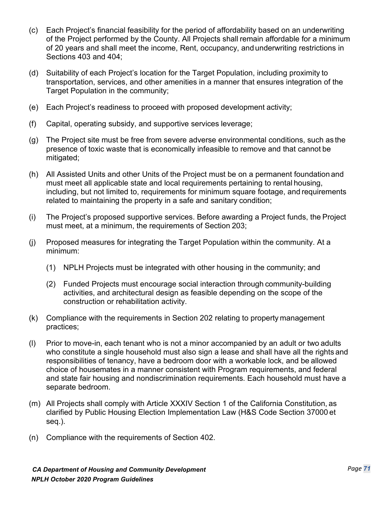- (c) Each Project's financial feasibility for the period of affordability based on an underwriting of the Project performed by the County. All Projects shall remain affordable for a minimum of 20 years and shall meet the income, Rent, occupancy, andunderwriting restrictions in Sections 403 and 404;
- (d) Suitability of each Project's location for the Target Population, including proximity to transportation, services, and other amenities in a manner that ensures integration of the Target Population in the community;
- (e) Each Project's readiness to proceed with proposed development activity;
- (f) Capital, operating subsidy, and supportive services leverage;
- (g) The Project site must be free from severe adverse environmental conditions, such as the presence of toxic waste that is economically infeasible to remove and that cannot be mitigated;
- (h) All Assisted Units and other Units of the Project must be on a permanent foundation and must meet all applicable state and local requirements pertaining to rental housing, including, but not limited to, requirements for minimum square footage, and requirements related to maintaining the property in a safe and sanitary condition;
- (i) The Project's proposed supportive services. Before awarding a Project funds, the Project must meet, at a minimum, the requirements of Section 203;
- (j) Proposed measures for integrating the Target Population within the community. At a minimum:
	- (1) NPLH Projects must be integrated with other housing in the community; and
	- (2) Funded Projects must encourage social interaction through community-building activities, and architectural design as feasible depending on the scope of the construction or rehabilitation activity.
- (k) Compliance with the requirements in Section 202 relating to property management practices;
- (l) Prior to move-in, each tenant who is not a minor accompanied by an adult or two adults who constitute a single household must also sign a lease and shall have all the rights and responsibilities of tenancy, have a bedroom door with a workable lock, and be allowed choice of housemates in a manner consistent with Program requirements, and federal and state fair housing and nondiscrimination requirements. Each household must have a separate bedroom.
- (m) All Projects shall comply with Article XXXIV Section 1 of the California Constitution, as clarified by Public Housing Election Implementation Law (H&S Code Section 37000 et seq.).
- (n) Compliance with the requirements of Section 402.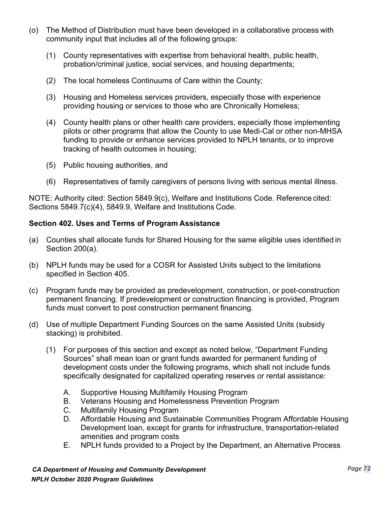- (o) The Method of Distribution must have been developed in a collaborative process with community input that includes all of the following groups:
	- (1) County representatives with expertise from behavioral health, public health, probation/criminal justice, social services, and housing departments;
	- (2) The local homeless Continuums of Care within the County;
	- (3) Housing and Homeless services providers, especially those with experience providing housing or services to those who are Chronically Homeless;
	- (4) County health plans or other health care providers, especially those implementing pilots or other programs that allow the County to use Medi-Cal or other non-MHSA funding to provide or enhance services provided to NPLH tenants, or to improve tracking of health outcomes in housing;
	- (5) Public housing authorities, and
	- (6) Representatives of family caregivers of persons living with serious mental illness.

NOTE: Authority cited: Section 5849.9(c), Welfare and Institutions Code. Reference cited: Sections 5849.7(c)(4), 5849.9, Welfare and Institutions Code.

#### **Section 402. Uses and Terms of Program Assistance**

- (a) Counties shall allocate funds for Shared Housing for the same eligible uses identified in Section 200(a).
- (b) NPLH funds may be used for a COSR for Assisted Units subject to the limitations specified in Section 405.
- (c) Program funds may be provided as predevelopment, construction, or post-construction permanent financing. If predevelopment or construction financing is provided, Program funds must convert to post construction permanent financing.
- (d) Use of multiple Department Funding Sources on the same Assisted Units (subsidy stacking) is prohibited.
	- (1) For purposes of this section and except as noted below, "Department Funding Sources" shall mean loan or grant funds awarded for permanent funding of development costs under the following programs, which shall not include funds specifically designated for capitalized operating reserves or rental assistance:
		- A. Supportive Housing Multifamily Housing Program
		- B. Veterans Housing and Homelessness Prevention Program
		- C. Multifamily Housing Program
		- D. Affordable Housing and Sustainable Communities Program Affordable Housing Development loan, except for grants for infrastructure, transportation-related amenities and program costs
		- E. NPLH funds provided to a Project by the Department, an Alternative Process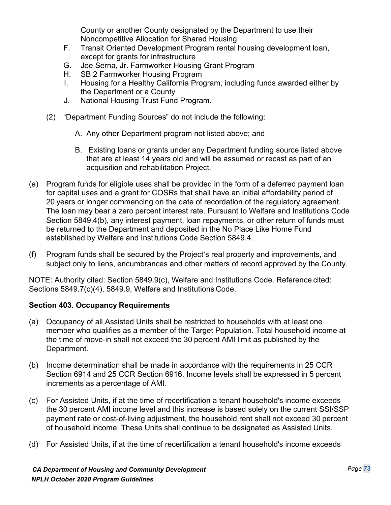County or another County designated by the Department to use their Noncompetitive Allocation for Shared Housing

- F. Transit Oriented Development Program rental housing development loan, except for grants for infrastructure
- G. Joe Serna, Jr. Farmworker Housing Grant Program
- H. SB 2 Farmworker Housing Program
- I. Housing for a Healthy California Program, including funds awarded either by the Department or a County
- J. National Housing Trust Fund Program.
- (2) "Department Funding Sources" do not include the following:
	- A. Any other Department program not listed above; and
	- B. Existing loans or grants under any Department funding source listed above that are at least 14 years old and will be assumed or recast as part of an acquisition and rehabilitation Project.
- (e) Program funds for eligible uses shall be provided in the form of a deferred payment loan for capital uses and a grant for COSRs that shall have an initial affordability period of 20 years or longer commencing on the date of recordation of the regulatory agreement. The loan may bear a zero percent interest rate. Pursuant to Welfare and Institutions Code Section 5849.4(b), any interest payment, loan repayments, or other return of funds must be returned to the Department and deposited in the No Place Like Home Fund established by Welfare and Institutions Code Section 5849.4.
- (f) Program funds shall be secured by the Project's real property and improvements, and subject only to liens, encumbrances and other matters of record approved by the County.

NOTE: Authority cited: Section 5849.9(c), Welfare and Institutions Code. Reference cited: Sections 5849.7(c)(4), 5849.9, Welfare and Institutions Code.

## **Section 403. Occupancy Requirements**

- (a) Occupancy of all Assisted Units shall be restricted to households with at least one member who qualifies as a member of the Target Population. Total household income at the time of move-in shall not exceed the 30 percent AMI limit as published by the Department.
- (b) Income determination shall be made in accordance with the requirements in 25 CCR Section 6914 and 25 CCR Section 6916. Income levels shall be expressed in 5 percent increments as a percentage of AMI.
- (c) For Assisted Units, if at the time of recertification a tenant household's income exceeds the 30 percent AMI income level and this increase is based solely on the current SSI/SSP payment rate or cost-of-living adjustment, the household rent shall not exceed 30 percent of household income. These Units shall continue to be designated as Assisted Units.
- (d) For Assisted Units, if at the time of recertification a tenant household's income exceeds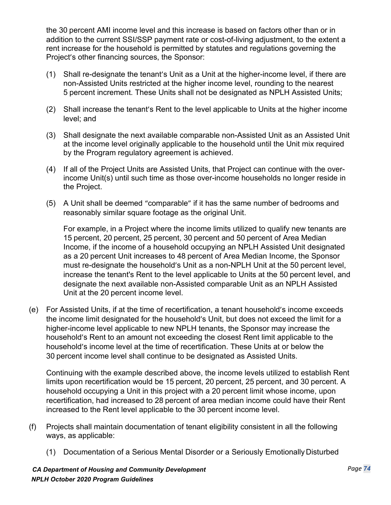the 30 percent AMI income level and this increase is based on factors other than or in addition to the current SSI/SSP payment rate or cost-of-living adjustment, to the extent a rent increase for the household is permitted by statutes and regulations governing the Project's other financing sources, the Sponsor:

- (1) Shall re-designate the tenant's Unit as a Unit at the higher-income level, if there are non-Assisted Units restricted at the higher income level, rounding to the nearest 5 percent increment. These Units shall not be designated as NPLH Assisted Units;
- (2) Shall increase the tenant's Rent to the level applicable to Units at the higher income level; and
- (3) Shall designate the next available comparable non-Assisted Unit as an Assisted Unit at the income level originally applicable to the household until the Unit mix required by the Program regulatory agreement is achieved.
- (4) If all of the Project Units are Assisted Units, that Project can continue with the overincome Unit(s) until such time as those over-income households no longer reside in the Project.
- (5) A Unit shall be deemed "comparable" if it has the same number of bedrooms and reasonably similar square footage as the original Unit.

For example, in a Project where the income limits utilized to qualify new tenants are 15 percent, 20 percent, 25 percent, 30 percent and 50 percent of Area Median Income, if the income of a household occupying an NPLH Assisted Unit designated as a 20 percent Unit increases to 48 percent of Area Median Income, the Sponsor must re-designate the household's Unit as a non-NPLH Unit at the 50 percent level, increase the tenant's Rent to the level applicable to Units at the 50 percent level, and designate the next available non-Assisted comparable Unit as an NPLH Assisted Unit at the 20 percent income level.

(e) For Assisted Units, if at the time of recertification, a tenant household's income exceeds the income limit designated for the household's Unit, but does not exceed the limit for a higher-income level applicable to new NPLH tenants, the Sponsor may increase the household's Rent to an amount not exceeding the closest Rent limit applicable to the household's income level at the time of recertification. These Units at or below the 30 percent income level shall continue to be designated as Assisted Units.

Continuing with the example described above, the income levels utilized to establish Rent limits upon recertification would be 15 percent, 20 percent, 25 percent, and 30 percent. A household occupying a Unit in this project with a 20 percent limit whose income, upon recertification, had increased to 28 percent of area median income could have their Rent increased to the Rent level applicable to the 30 percent income level.

- (f) Projects shall maintain documentation of tenant eligibility consistent in all the following ways, as applicable:
	- (1) Documentation of a Serious Mental Disorder or a Seriously Emotionally Disturbed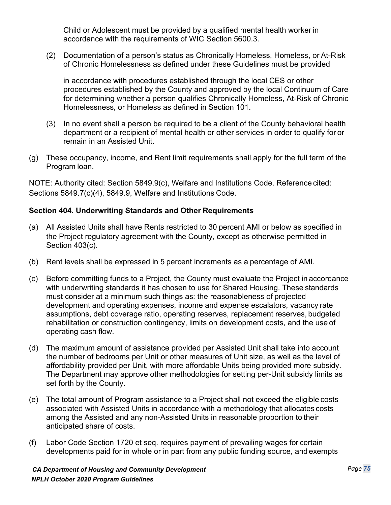Child or Adolescent must be provided by a qualified mental health worker in accordance with the requirements of WIC Section 5600.3.

(2) Documentation of a person's status as Chronically Homeless, Homeless, or At-Risk of Chronic Homelessness as defined under these Guidelines must be provided

in accordance with procedures established through the local CES or other procedures established by the County and approved by the local Continuum of Care for determining whether a person qualifies Chronically Homeless, At-Risk of Chronic Homelessness, or Homeless as defined in Section 101.

- (3) In no event shall a person be required to be a client of the County behavioral health department or a recipient of mental health or other services in order to qualify for or remain in an Assisted Unit.
- (g) These occupancy, income, and Rent limit requirements shall apply for the full term of the Program loan.

NOTE: Authority cited: Section 5849.9(c), Welfare and Institutions Code. Reference cited: Sections 5849.7(c)(4), 5849.9, Welfare and Institutions Code.

## **Section 404. Underwriting Standards and Other Requirements**

- (a) All Assisted Units shall have Rents restricted to 30 percent AMI or below as specified in the Project regulatory agreement with the County, except as otherwise permitted in Section 403(c).
- (b) Rent levels shall be expressed in 5 percent increments as a percentage of AMI.
- (c) Before committing funds to a Project, the County must evaluate the Project in accordance with underwriting standards it has chosen to use for Shared Housing. These standards must consider at a minimum such things as: the reasonableness of projected development and operating expenses, income and expense escalators, vacancy rate assumptions, debt coverage ratio, operating reserves, replacement reserves, budgeted rehabilitation or construction contingency, limits on development costs, and the use of operating cash flow.
- (d) The maximum amount of assistance provided per Assisted Unit shall take into account the number of bedrooms per Unit or other measures of Unit size, as well as the level of affordability provided per Unit, with more affordable Units being provided more subsidy. The Department may approve other methodologies for setting per-Unit subsidy limits as set forth by the County.
- (e) The total amount of Program assistance to a Project shall not exceed the eligible costs associated with Assisted Units in accordance with a methodology that allocates costs among the Assisted and any non-Assisted Units in reasonable proportion to their anticipated share of costs.
- (f) Labor Code Section 1720 et seq. requires payment of prevailing wages for certain developments paid for in whole or in part from any public funding source, and exempts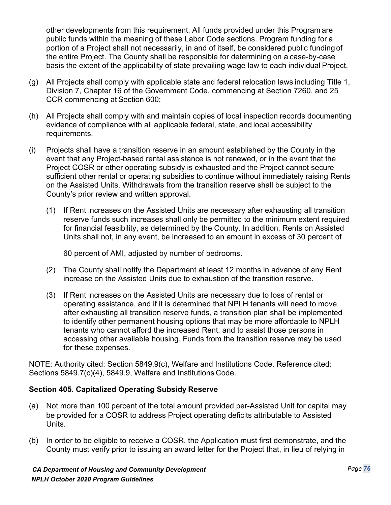other developments from this requirement. All funds provided under this Program are public funds within the meaning of these Labor Code sections. Program funding for a portion of a Project shall not necessarily, in and of itself, be considered public funding of the entire Project. The County shall be responsible for determining on a case-by-case basis the extent of the applicability of state prevailing wage law to each individual Project.

- (g) All Projects shall comply with applicable state and federal relocation laws including Title 1, Division 7, Chapter 16 of the Government Code, commencing at Section 7260, and 25 CCR commencing at Section 600;
- (h) All Projects shall comply with and maintain copies of local inspection records documenting evidence of compliance with all applicable federal, state, and local accessibility requirements.
- (i) Projects shall have a transition reserve in an amount established by the County in the event that any Project-based rental assistance is not renewed, or in the event that the Project COSR or other operating subsidy is exhausted and the Project cannot secure sufficient other rental or operating subsidies to continue without immediately raising Rents on the Assisted Units. Withdrawals from the transition reserve shall be subject to the County's prior review and written approval.
	- (1) If Rent increases on the Assisted Units are necessary after exhausting all transition reserve funds such increases shall only be permitted to the minimum extent required for financial feasibility, as determined by the County. In addition, Rents on Assisted Units shall not, in any event, be increased to an amount in excess of 30 percent of

60 percent of AMI, adjusted by number of bedrooms.

- (2) The County shall notify the Department at least 12 months in advance of any Rent increase on the Assisted Units due to exhaustion of the transition reserve.
- (3) If Rent increases on the Assisted Units are necessary due to loss of rental or operating assistance, and if it is determined that NPLH tenants will need to move after exhausting all transition reserve funds, a transition plan shall be implemented to identify other permanent housing options that may be more affordable to NPLH tenants who cannot afford the increased Rent, and to assist those persons in accessing other available housing. Funds from the transition reserve may be used for these expenses.

NOTE: Authority cited: Section 5849.9(c), Welfare and Institutions Code. Reference cited: Sections 5849.7(c)(4), 5849.9, Welfare and Institutions Code.

## **Section 405. Capitalized Operating Subsidy Reserve**

- (a) Not more than 100 percent of the total amount provided per-Assisted Unit for capital may be provided for a COSR to address Project operating deficits attributable to Assisted Units.
- (b) In order to be eligible to receive a COSR, the Application must first demonstrate, and the County must verify prior to issuing an award letter for the Project that, in lieu of relying in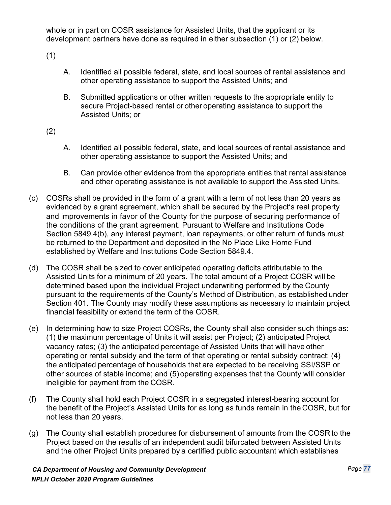whole or in part on COSR assistance for Assisted Units, that the applicant or its development partners have done as required in either subsection (1) or (2) below.

(1)

- A. Identified all possible federal, state, and local sources of rental assistance and other operating assistance to support the Assisted Units; and
- B. Submitted applications or other written requests to the appropriate entity to secure Project-based rental or other operating assistance to support the Assisted Units; or
- (2)
- A. Identified all possible federal, state, and local sources of rental assistance and other operating assistance to support the Assisted Units; and
- B. Can provide other evidence from the appropriate entities that rental assistance and other operating assistance is not available to support the Assisted Units.
- (c) COSRs shall be provided in the form of a grant with a term of not less than 20 years as evidenced by a grant agreement, which shall be secured by the Project's real property and improvements in favor of the County for the purpose of securing performance of the conditions of the grant agreement. Pursuant to Welfare and Institutions Code Section 5849.4(b), any interest payment, loan repayments, or other return of funds must be returned to the Department and deposited in the No Place Like Home Fund established by Welfare and Institutions Code Section 5849.4.
- (d) The COSR shall be sized to cover anticipated operating deficits attributable to the Assisted Units for a minimum of 20 years. The total amount of a Project COSR will be determined based upon the individual Project underwriting performed by the County pursuant to the requirements of the County's Method of Distribution, as established under Section 401. The County may modify these assumptions as necessary to maintain project financial feasibility or extend the term of the COSR.
- (e) In determining how to size Project COSRs, the County shall also consider such things as: (1) the maximum percentage of Units it will assist per Project; (2) anticipated Project vacancy rates; (3) the anticipated percentage of Assisted Units that will have other operating or rental subsidy and the term of that operating or rental subsidy contract; (4) the anticipated percentage of households that are expected to be receiving SSI/SSP or other sources of stable income; and (5)operating expenses that the County will consider ineligible for payment from the COSR.
- (f) The County shall hold each Project COSR in a segregated interest-bearing account for the benefit of the Project's Assisted Units for as long as funds remain in the COSR, but for not less than 20 years.
- (g) The County shall establish procedures for disbursement of amounts from the COSR to the Project based on the results of an independent audit bifurcated between Assisted Units and the other Project Units prepared by a certified public accountant which establishes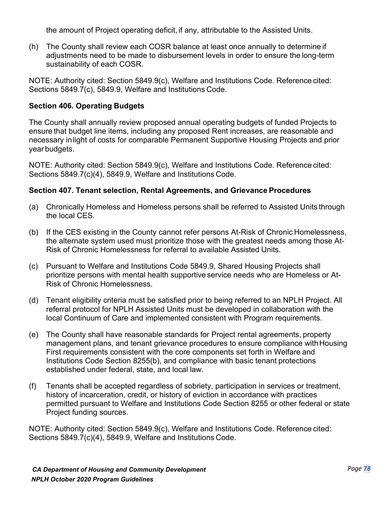the amount of Project operating deficit, if any, attributable to the Assisted Units.

(h) The County shall review each COSR balance at least once annually to determine if adjustments need to be made to disbursement levels in order to ensure the long-term sustainability of each COSR.

NOTE: Authority cited: Section 5849.9(c), Welfare and Institutions Code. Reference cited: Sections 5849.7(c), 5849.9, Welfare and Institutions Code.

# **Section 406. Operating Budgets**

The County shall annually review proposed annual operating budgets of funded Projects to ensure that budget line items, including any proposed Rent increases, are reasonable and necessary inlight of costs for comparable Permanent Supportive Housing Projects and prior year budgets.

NOTE: Authority cited: Section 5849.9(c), Welfare and Institutions Code. Reference cited: Sections 5849.7(c)(4), 5849.9, Welfare and Institutions Code.

## **Section 407. Tenant selection, Rental Agreements, and Grievance Procedures**

- (a) Chronically Homeless and Homeless persons shall be referred to Assisted Units through the local CES.
- (b) If the CES existing in the County cannot refer persons At-Risk of Chronic Homelessness, the alternate system used must prioritize those with the greatest needs among those At-Risk of Chronic Homelessness for referral to available Assisted Units.
- (c) Pursuant to Welfare and Institutions Code 5849.9, Shared Housing Projects shall prioritize persons with mental health supportive service needs who are Homeless or At-Risk of Chronic Homelessness.
- (d) Tenant eligibility criteria must be satisfied prior to being referred to an NPLH Project. All referral protocol for NPLH Assisted Units must be developed in collaboration with the local Continuum of Care and implemented consistent with Program requirements.
- (e) The County shall have reasonable standards for Project rental agreements, property management plans, and tenant grievance procedures to ensure compliance with Housing First requirements consistent with the core components set forth in Welfare and Institutions Code Section 8255(b), and compliance with basic tenant protections established under federal, state, and local law.
- (f) Tenants shall be accepted regardless of sobriety, participation in services or treatment, history of incarceration, credit, or history of eviction in accordance with practices permitted pursuant to Welfare and Institutions Code Section 8255 or other federal or state Project funding sources.

NOTE: Authority cited: Section 5849.9(c), Welfare and Institutions Code. Reference cited: Sections 5849.7(c)(4), 5849.9, Welfare and Institutions Code.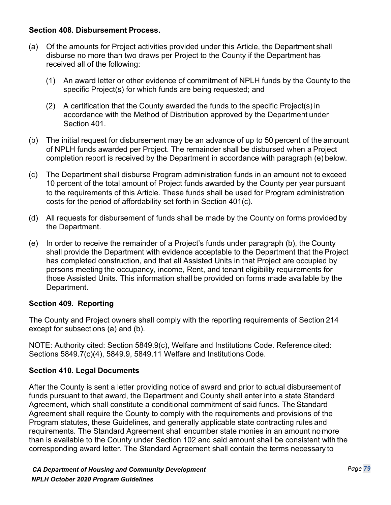#### **Section 408. Disbursement Process.**

- (a) Of the amounts for Project activities provided under this Article, the Department shall disburse no more than two draws per Project to the County if the Department has received all of the following:
	- (1) An award letter or other evidence of commitment of NPLH funds by the County to the specific Project(s) for which funds are being requested; and
	- (2) A certification that the County awarded the funds to the specific Project(s) in accordance with the Method of Distribution approved by the Department under Section 401.
- (b) The initial request for disbursement may be an advance of up to 50 percent of the amount of NPLH funds awarded per Project. The remainder shall be disbursed when a Project completion report is received by the Department in accordance with paragraph (e) below.
- (c) The Department shall disburse Program administration funds in an amount not to exceed 10 percent of the total amount of Project funds awarded by the County per year pursuant to the requirements of this Article. These funds shall be used for Program administration costs for the period of affordability set forth in Section 401(c).
- (d) All requests for disbursement of funds shall be made by the County on forms provided by the Department.
- (e) In order to receive the remainder of a Project's funds under paragraph (b), the County shall provide the Department with evidence acceptable to the Department that the Project has completed construction, and that all Assisted Units in that Project are occupied by persons meeting the occupancy, income, Rent, and tenant eligibility requirements for those Assisted Units. This information shall be provided on forms made available by the Department.

## **Section 409. Reporting**

The County and Project owners shall comply with the reporting requirements of Section 214 except for subsections (a) and (b).

NOTE: Authority cited: Section 5849.9(c), Welfare and Institutions Code. Reference cited: Sections 5849.7(c)(4), 5849.9, 5849.11 Welfare and Institutions Code.

## **Section 410. Legal Documents**

After the County is sent a letter providing notice of award and prior to actual disbursement of funds pursuant to that award, the Department and County shall enter into a state Standard Agreement, which shall constitute a conditional commitment of said funds. The Standard Agreement shall require the County to comply with the requirements and provisions of the Program statutes, these Guidelines, and generally applicable state contracting rules and requirements. The Standard Agreement shall encumber state monies in an amount no more than is available to the County under Section 102 and said amount shall be consistent with the corresponding award letter. The Standard Agreement shall contain the terms necessary to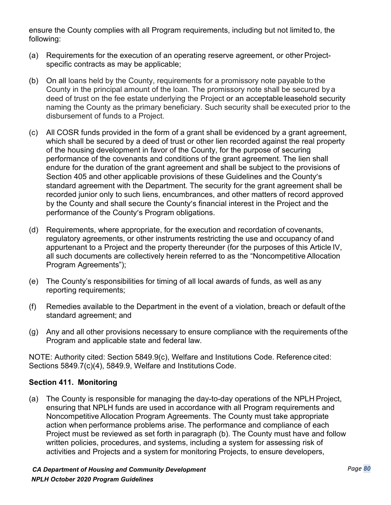ensure the County complies with all Program requirements, including but not limited to, the following:

- (a) Requirements for the execution of an operating reserve agreement, or other Projectspecific contracts as may be applicable;
- (b) On all loans held by the County, requirements for a promissory note payable to the County in the principal amount of the loan. The promissory note shall be secured by a deed of trust on the fee estate underlying the Project or an acceptable leasehold security naming the County as the primary beneficiary. Such security shall be executed prior to the disbursement of funds to a Project.
- (c) All COSR funds provided in the form of a grant shall be evidenced by a grant agreement, which shall be secured by a deed of trust or other lien recorded against the real property of the housing development in favor of the County, for the purpose of securing performance of the covenants and conditions of the grant agreement. The lien shall endure for the duration of the grant agreement and shall be subject to the provisions of Section 405 and other applicable provisions of these Guidelines and the County's standard agreement with the Department. The security for the grant agreement shall be recorded junior only to such liens, encumbrances, and other matters of record approved by the County and shall secure the County's financial interest in the Project and the performance of the County's Program obligations.
- (d) Requirements, where appropriate, for the execution and recordation of covenants, regulatory agreements, or other instruments restricting the use and occupancy of and appurtenant to a Project and the property thereunder (for the purposes of this Article IV, all such documents are collectively herein referred to as the "Noncompetitive Allocation Program Agreements");
- (e) The County's responsibilities for timing of all local awards of funds, as well as any reporting requirements;
- (f) Remedies available to the Department in the event of a violation, breach or default of the standard agreement; and
- (g) Any and all other provisions necessary to ensure compliance with the requirements ofthe Program and applicable state and federal law.

NOTE: Authority cited: Section 5849.9(c), Welfare and Institutions Code. Reference cited: Sections 5849.7(c)(4), 5849.9, Welfare and Institutions Code.

## **Section 411. Monitoring**

(a) The County is responsible for managing the day-to-day operations of the NPLH Project, ensuring that NPLH funds are used in accordance with all Program requirements and Noncompetitive Allocation Program Agreements. The County must take appropriate action when performance problems arise. The performance and compliance of each Project must be reviewed as set forth in paragraph (b). The County must have and follow written policies, procedures, and systems, including a system for assessing risk of activities and Projects and a system for monitoring Projects, to ensure developers,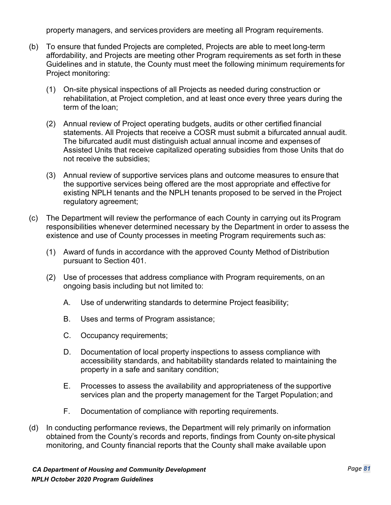property managers, and services providers are meeting all Program requirements.

- (b) To ensure that funded Projects are completed, Projects are able to meet long-term affordability, and Projects are meeting other Program requirements as set forth in these Guidelines and in statute, the County must meet the following minimum requirements for Project monitoring:
	- (1) On-site physical inspections of all Projects as needed during construction or rehabilitation, at Project completion, and at least once every three years during the term of the loan;
	- (2) Annual review of Project operating budgets, audits or other certified financial statements. All Projects that receive a COSR must submit a bifurcated annual audit. The bifurcated audit must distinguish actual annual income and expenses of Assisted Units that receive capitalized operating subsidies from those Units that do not receive the subsidies;
	- (3) Annual review of supportive services plans and outcome measures to ensure that the supportive services being offered are the most appropriate and effective for existing NPLH tenants and the NPLH tenants proposed to be served in the Project regulatory agreement;
- (c) The Department will review the performance of each County in carrying out itsProgram responsibilities whenever determined necessary by the Department in order to assess the existence and use of County processes in meeting Program requirements such as:
	- (1) Award of funds in accordance with the approved County Method of Distribution pursuant to Section 401.
	- (2) Use of processes that address compliance with Program requirements, on an ongoing basis including but not limited to:
		- A. Use of underwriting standards to determine Project feasibility;
		- B. Uses and terms of Program assistance;
		- C. Occupancy requirements;
		- D. Documentation of local property inspections to assess compliance with accessibility standards, and habitability standards related to maintaining the property in a safe and sanitary condition;
		- E. Processes to assess the availability and appropriateness of the supportive services plan and the property management for the Target Population; and
		- F. Documentation of compliance with reporting requirements.
- (d) In conducting performance reviews, the Department will rely primarily on information obtained from the County's records and reports, findings from County on-site physical monitoring, and County financial reports that the County shall make available upon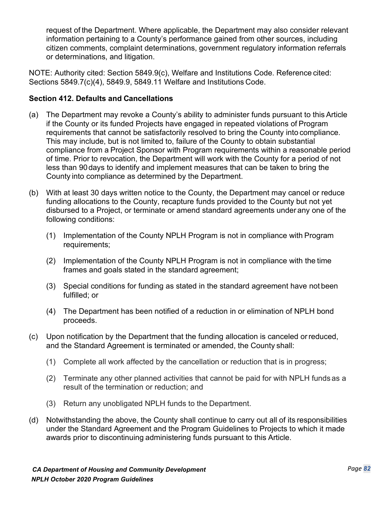request of the Department. Where applicable, the Department may also consider relevant information pertaining to a County's performance gained from other sources, including citizen comments, complaint determinations, government regulatory information referrals or determinations, and litigation.

NOTE: Authority cited: Section 5849.9(c), Welfare and Institutions Code. Reference cited: Sections 5849.7(c)(4), 5849.9, 5849.11 Welfare and Institutions Code.

# **Section 412. Defaults and Cancellations**

- (a) The Department may revoke a County's ability to administer funds pursuant to this Article if the County or its funded Projects have engaged in repeated violations of Program requirements that cannot be satisfactorily resolved to bring the County into compliance. This may include, but is not limited to, failure of the County to obtain substantial compliance from a Project Sponsor with Program requirements within a reasonable period of time. Prior to revocation, the Department will work with the County for a period of not less than 90days to identify and implement measures that can be taken to bring the County into compliance as determined by the Department.
- (b) With at least 30 days written notice to the County, the Department may cancel or reduce funding allocations to the County, recapture funds provided to the County but not yet disbursed to a Project, or terminate or amend standard agreements under any one of the following conditions:
	- (1) Implementation of the County NPLH Program is not in compliance with Program requirements;
	- (2) Implementation of the County NPLH Program is not in compliance with the time frames and goals stated in the standard agreement;
	- (3) Special conditions for funding as stated in the standard agreement have not been fulfilled; or
	- (4) The Department has been notified of a reduction in or elimination of NPLH bond proceeds.
- (c) Upon notification by the Department that the funding allocation is canceled orreduced, and the Standard Agreement is terminated or amended, the County shall:
	- (1) Complete all work affected by the cancellation or reduction that is in progress;
	- (2) Terminate any other planned activities that cannot be paid for with NPLH funds as a result of the termination or reduction; and
	- (3) Return any unobligated NPLH funds to the Department.
- (d) Notwithstanding the above, the County shall continue to carry out all of its responsibilities under the Standard Agreement and the Program Guidelines to Projects to which it made awards prior to discontinuing administering funds pursuant to this Article.